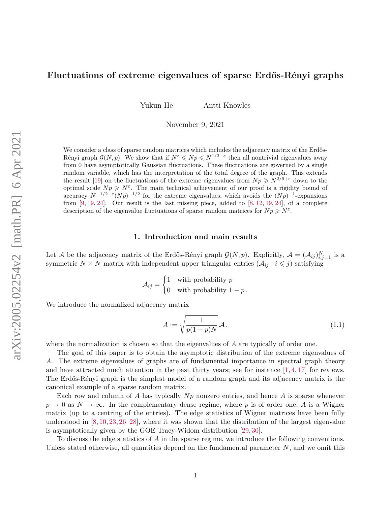# <span id="page-0-1"></span>**Fluctuations of extreme eigenvalues of sparse Erdős-Rényi graphs**

Yukun He Antti Knowles

November 9, 2021

We consider a class of sparse random matrices which includes the adjacency matrix of the Erdős-Rényi graph  $\mathcal{G}(N, p)$ . We show that if  $N^{\varepsilon} \leqslant Np \leqslant N^{1/3-\varepsilon}$  then all nontrivial eigenvalues away from 0 have asymptotically Gaussian fluctuations. These fluctuations are governed by a single random variable, which has the interpretation of the total degree of the graph. This extends the result [\[19\]](#page-51-0) on the fluctuations of the extreme eigenvalues from  $Np \geq N^{2/9+\epsilon}$  down to the optimal scale  $Np \geqslant N^{\varepsilon}$ . The main technical achievement of our proof is a rigidity bound of accuracy  $N^{-1/2-\epsilon}(Np)^{-1/2}$  for the extreme eigenvalues, which avoids the  $(Np)^{-1}$ -expansions from  $[9, 19, 24]$  $[9, 19, 24]$  $[9, 19, 24]$  $[9, 19, 24]$  $[9, 19, 24]$ . Our result is the last missing piece, added to  $[8, 12, 19, 24]$  $[8, 12, 19, 24]$  $[8, 12, 19, 24]$  $[8, 12, 19, 24]$ , of a complete description of the eigenvalue fluctuations of sparse random matrices for  $Np \ge N^{\varepsilon}$ .

#### **1. Introduction and main results**

Let A be the adjacency matrix of the Erdős-Rényi graph  $\mathcal{G}(N,p)$ . Explicitly,  $\mathcal{A} = (\mathcal{A}_{ij})_{i,j=1}^N$  is a symmetric  $N \times N$  matrix with independent upper triangular entries  $(A_{ij} : i \leq j)$  satisfying

$$
\mathcal{A}_{ij} = \begin{cases} 1 & \text{with probability } p \\ 0 & \text{with probability } 1 - p \end{cases}.
$$

We introduce the normalized adjacency matrix

<span id="page-0-0"></span>
$$
A := \sqrt{\frac{1}{p(1-p)N}} \mathcal{A},\tag{1.1}
$$

where the normalization is chosen so that the eigenvalues of *A* are typically of order one.

The goal of this paper is to obtain the asymptotic distribution of the extreme eigenvalues of *A*. The extreme eigenvalues of graphs are of fundamental importance in spectral graph theory and have attracted much attention in the past thirty years; see for instance  $[1, 4, 17]$  $[1, 4, 17]$  $[1, 4, 17]$  $[1, 4, 17]$  $[1, 4, 17]$  for reviews. The Erdős-Rényi graph is the simplest model of a random graph and its adjacency matrix is the canonical example of a sparse random matrix.

Each row and column of *A* has typically *Np* nonzero entries, and hence *A* is sparse whenever  $p \rightarrow 0$  as  $N \rightarrow \infty$ . In the complementary dense regime, where *p* is of order one, *A* is a Wigner matrix (up to a centring of the entries). The edge statistics of Wigner matrices have been fully understood in [\[8,](#page-51-2) [10,](#page-51-7) [23,](#page-52-1) [26](#page-52-2)[–28\]](#page-52-3), where it was shown that the distribution of the largest eigenvalue is asymptotically given by the GOE Tracy-Widom distribution [\[29,](#page-52-4) [30\]](#page-52-5).

To discuss the edge statistics of *A* in the sparse regime, we introduce the following conventions. Unless stated otherwise, all quantities depend on the fundamental parameter *N*, and we omit this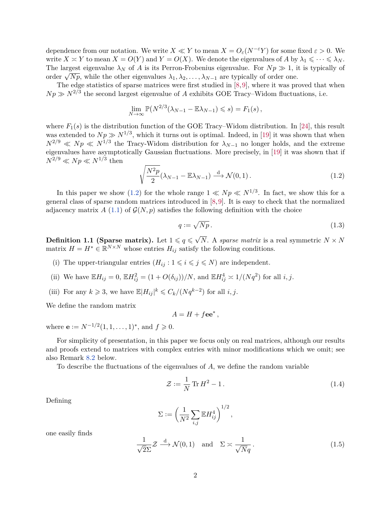dependence from our notation. We write  $X \ll Y$  to mean  $X = O_{\varepsilon}(N^{-\varepsilon}Y)$  for some fixed  $\varepsilon > 0$ . We write  $X \cong Y$  to mean  $X = O(Y)$  and  $Y = O(X)$ . We denote the eigenvalues of A by  $\lambda_1 \leq \cdots \leq \lambda_N$ . The largest eigenvalue  $\lambda_N$  of A is its Perron-Frobenius eigenvalue. For  $Np \gg 1$ , it is typically of The largest eigenvalue  $\lambda_N$  or  $A$  is its refron-rrobemus eigenvalue. For  $Np \gg 1$ , i<br>order  $\sqrt{Np}$ , while the other eigenvalues  $\lambda_1, \lambda_2, ..., \lambda_{N-1}$  are typically of order one.

The edge statistics of sparse matrices were first studied in [\[8,](#page-51-2)[9\]](#page-51-1), where it was proved that when  $Np \gg N^{2/3}$  the second largest eigenvalue of *A* exhibits GOE Tracy–Widom fluctuations, i.e.

$$
\lim_{N \to \infty} \mathbb{P}(N^{2/3}(\lambda_{N-1} - \mathbb{E}\lambda_{N-1}) \leq s) = F_1(s),
$$

where  $F_1(s)$  is the distribution function of the GOE Tracy–Widom distribution. In [\[24\]](#page-52-0), this result was extended to  $Np \gg N^{1/3}$ , which it turns out is optimal. Indeed, in [\[19\]](#page-51-0) it was shown that when  $N^{2/9} \ll Np \ll N^{1/3}$  the Tracy-Widom distribution for  $\lambda_{N-1}$  no longer holds, and the extreme eigenvalues have asymptotically Gaussian fluctuations. More precisely, in [\[19\]](#page-51-0) it was shown that if  $N^{2/9} \ll Np \ll N^{1/3}$  then

<span id="page-1-0"></span>
$$
\sqrt{\frac{N^2 p}{2}}(\lambda_{N-1} - \mathbb{E}\lambda_{N-1}) \xrightarrow{d} \mathcal{N}(0,1).
$$
\n(1.2)

In this paper we show [\(1.2\)](#page-1-0) for the whole range  $1 \ll Np \ll N^{1/3}$ . In fact, we show this for a general class of sparse random matrices introduced in [\[8,](#page-51-2)[9\]](#page-51-1). It is easy to check that the normalized adjacency matrix A [\(1.1\)](#page-0-0) of  $\mathcal{G}(N,p)$  satisfies the following definition with the choice

<span id="page-1-1"></span>
$$
q := \sqrt{Np} \,. \tag{1.3}
$$

<span id="page-1-2"></span> $\textbf{Definition 1.1 (Sparse matrix).} \hspace{0.1cm} \text{Let} \hspace{0.1cm} 1 \leqslant q \leqslant \sqrt{2}$ *N*. A *sparse matrix* is a real symmetric  $N \times N$ matrix  $H = H^* \in \mathbb{R}^{N \times N}$  whose entries  $H_{ij}$  satisfy the following conditions.

- (i) The upper-triangular entries  $(H_{ij}: 1 \leq i \leq j \leq N)$  are independent.
- (ii) We have  $\mathbb{E}H_{ij} = 0$ ,  $\mathbb{E}H_{ij}^2 = (1 + O(\delta_{ij})) / N$ , and  $\mathbb{E}H_{ij}^4 \approx 1/(Nq^2)$  for all *i*, *j*.
- (iii) For any  $k \ge 3$ , we have  $\mathbb{E}|H_{ij}|^k \le C_k/(Nq^{k-2})$  for all *i*, *j*.

We define the random matrix

$$
A = H + f \mathbf{e} \mathbf{e}^*,
$$

where  $\mathbf{e} := N^{-1/2}(1, 1, \dots, 1)^*$ , and  $f \geq 0$ .

For simplicity of presentation, in this paper we focus only on real matrices, although our results and proofs extend to matrices with complex entries with minor modifications which we omit; see also Remark [8.2](#page-36-0) below.

To describe the fluctuations of the eigenvalues of *A*, we define the random variable

<span id="page-1-4"></span>
$$
\mathcal{Z} := \frac{1}{N} \operatorname{Tr} H^2 - 1. \tag{1.4}
$$

Defining

$$
\Sigma := \left(\frac{1}{N^2} \sum_{i,j} \mathbb{E} H_{ij}^4\right)^{1/2},
$$

one easily finds

<span id="page-1-3"></span>
$$
\frac{1}{\sqrt{2}\Sigma} \mathcal{Z} \xrightarrow{d} \mathcal{N}(0,1) \quad \text{and} \quad \Sigma \approx \frac{1}{\sqrt{N}q} \,. \tag{1.5}
$$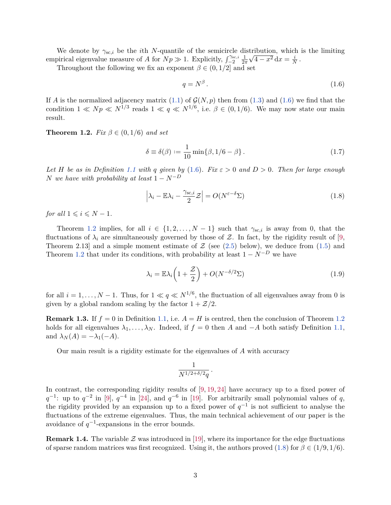We denote by  $\gamma_{sc,i}$  be the *i*th *N*-quantile of the semicircle distribution, which is the limiting empirical eigenvalue measure of *A* for  $Np \gg 1$ . Explicitly,  $\int_{-2}^{\gamma_{sc,i}} \frac{1}{27}$  $\frac{1}{2\pi}\sqrt{4-x^2}\,\mathrm{d}x=\frac{i}{\Lambda}$  $\frac{\imath}{N}$  .

Throughout the following we fix an exponent  $\beta \in (0, 1/2]$  and set

<span id="page-2-0"></span>
$$
q = N^{\beta}.
$$
\n<sup>(1.6)</sup>

If *A* is the normalized adjacency matrix [\(1.1\)](#page-0-0) of  $\mathcal{G}(N,p)$  then from [\(1.3\)](#page-1-1) and [\(1.6\)](#page-2-0) we find that the condition  $1 \ll Np \ll N^{1/3}$  reads  $1 \ll q \ll N^{1/6}$ , i.e.  $\beta \in (0, 1/6)$ . We may now state our main result.

<span id="page-2-1"></span>**Theorem 1.2.** *Fix*  $\beta \in (0, 1/6)$  *and set* 

<span id="page-2-4"></span>
$$
\delta \equiv \delta(\beta) := \frac{1}{10} \min \{ \beta, 1/6 - \beta \}.
$$
 (1.7)

*Let H be as in Definition* [1.1](#page-1-2) *with q given by* [\(1.6\)](#page-2-0)*. Fix*  $\varepsilon > 0$  *and*  $D > 0$ *. Then for large enough N* we have with probability at least  $1 - N^{-D}$ 

<span id="page-2-2"></span>
$$
\left|\lambda_i - \mathbb{E}\lambda_i - \frac{\gamma_{\text{sc},i}}{2}\mathcal{Z}\right| = O(N^{\varepsilon - \delta}\Sigma)
$$
\n(1.8)

*for all*  $1 \leq i \leq N-1$ *.* 

Theorem [1.2](#page-2-1) implies, for all  $i \in \{1, 2, ..., N-1\}$  such that  $\gamma_{sc,i}$  is away from 0, that the fluctuations of  $\lambda_i$  are simultaneously governed by those of Z. In fact, by the rigidity result of [\[9,](#page-51-1) Theorem 2.13 and a simple moment estimate of  $\mathcal Z$  (see [\(2.5\)](#page-6-0) below), we deduce from [\(1.5\)](#page-1-3) and Theorem [1.2](#page-2-1) that under its conditions, with probability at least  $1 - N^{-D}$  we have

<span id="page-2-3"></span>
$$
\lambda_i = \mathbb{E}\lambda_i \left(1 + \frac{\mathcal{Z}}{2}\right) + O(N^{-\delta/2}\Sigma) \tag{1.9}
$$

for all  $i = 1, \ldots, N - 1$ . Thus, for  $1 \ll q \ll N^{1/6}$ , the fluctuation of all eigenvalues away from 0 is given by a global random scaling by the factor  $1 + \mathcal{Z}/2$ .

**Remark 1.3.** If  $f = 0$  in Definition [1.1,](#page-1-2) i.e.  $A = H$  is centred, then the conclusion of Theorem [1.2](#page-2-1) holds for all eigenvalues  $\lambda_1, \ldots, \lambda_N$ . Indeed, if  $f = 0$  then *A* and  $-A$  both satisfy Definition [1.1,](#page-1-2) and  $\lambda_N(A) = -\lambda_1(-A)$ .

Our main result is a rigidity estimate for the eigenvalues of *A* with accuracy

$$
\frac{1}{N^{1/2+\delta/2}q}.
$$

In contrast, the corresponding rigidity results of  $[9, 19, 24]$  $[9, 19, 24]$  $[9, 19, 24]$  $[9, 19, 24]$  $[9, 19, 24]$  have accuracy up to a fixed power of  $q^{-1}$ : up to  $q^{-2}$  in [\[9\]](#page-51-1),  $q^{-4}$  in [\[24\]](#page-52-0), and  $q^{-6}$  in [\[19\]](#page-51-0). For arbitrarily small polynomial values of *q*, the rigidity provided by an expansion up to a fixed power of  $q^{-1}$  is not sufficient to analyse the fluctuations of the extreme eigenvalues. Thus, the main technical achievement of our paper is the avoidance of  $q^{-1}$ -expansions in the error bounds.

**Remark 1.4.** The variable  $\mathcal{Z}$  was introduced in [\[19\]](#page-51-0), where its importance for the edge fluctuations of sparse random matrices was first recognized. Using it, the authors proved [\(1.8\)](#page-2-2) for  $\beta \in (1/9, 1/6)$ .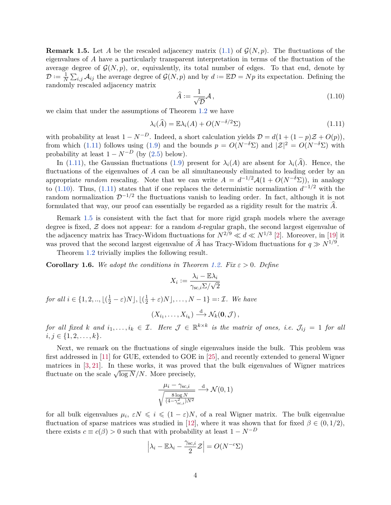<span id="page-3-2"></span>**Remark 1.5.** Let A be the rescaled adjacency matrix [\(1.1\)](#page-0-0) of  $\mathcal{G}(N,p)$ . The fluctuations of the eigenvalues of *A* have a particularly transparent interpretation in terms of the fluctuation of the average degree of  $\mathcal{G}(N,p)$ , or, equivalently, its total number of edges. To that end, denote by  $\mathcal{D} \vcentcolon = \frac{1}{N}$  $\frac{1}{N} \sum_{i,j} A_{ij}$  the average degree of  $\mathcal{G}(N,p)$  and by  $d := \mathbb{E} \mathcal{D} = Np$  its expectation. Defining the randomly rescaled adjacency matrix

<span id="page-3-1"></span>
$$
\widehat{A} := \frac{1}{\sqrt{D}} \mathcal{A},\tag{1.10}
$$

we claim that under the assumptions of Theorem [1.2](#page-2-1) we have

<span id="page-3-0"></span>
$$
\lambda_i(\widehat{A}) = \mathbb{E}\lambda_i(A) + O(N^{-\delta/2}\Sigma)
$$
\n(1.11)

with probability at least  $1 - N^{-D}$ . Indeed, a short calculation yields  $\mathcal{D} = d(1 + (1 - p)\mathcal{Z} + O(p)),$ from which [\(1.11\)](#page-3-0) follows using [\(1.9\)](#page-2-3) and the bounds  $p = O(N^{-\delta}\Sigma)$  and  $|Z|^2 = O(N^{-\delta}\Sigma)$  with probability at least  $1 - N^{-D}$  (by [\(2.5\)](#page-6-0) below).

In [\(1.11\)](#page-3-0), the Gaussian fluctuations [\(1.9\)](#page-2-3) present for  $\lambda_i(A)$  are absent for  $\lambda_i(\widehat{A})$ . Hence, the fluctuations of the eigenvalues of *A* can be all simultaneously eliminated to leading order by an appropriate *random* rescaling. Note that we can write  $A = d^{-1/2}A(1 + O(N^{-\delta} \Sigma))$ , in analogy to [\(1.10\)](#page-3-1). Thus, [\(1.11\)](#page-3-0) states that if one replaces the deterministic normalization  $d^{-1/2}$  with the random normalization D−1*/*<sup>2</sup> the fluctuations vanish to leading order. In fact, although it is not formulated that way, our proof can essentially be regarded as a rigidity result for the matrix *A*b.

Remark [1.5](#page-3-2) is consistent with the fact that for more rigid graph models where the average degree is fixed, Z does not appear: for a random *d*-regular graph, the second largest eigenvalue of the adjacency matrix has Tracy-Widom fluctuations for  $N^{2/9} \ll d \ll N^{1/3}$  [\[2\]](#page-51-8). Moreover, in [\[19\]](#page-51-0) it was proved that the second largest eigenvalue of  $\hat{A}$  has Tracy-Widom fluctuations for  $q \gg N^{1/9}$ .

Theorem [1.2](#page-2-1) trivially implies the following result.

**Corollary 1.6.** We adopt the conditions in Theorem [1.2.](#page-2-1) Fix  $\varepsilon > 0$ . Define

$$
X_i := \frac{\lambda_i - \mathbb{E}\lambda_i}{\gamma_{\text{sc},i}\Sigma/\sqrt{2}}
$$

*for all*  $i \in \{1, 2, \ldots, \lfloor(\frac{1}{2} - \varepsilon)N\rfloor, \lfloor(\frac{1}{2} + \varepsilon)N\rfloor, \ldots, N-1\} =: \mathcal{I}$ *. We have* 

$$
(X_{i_1},\ldots,X_{i_k})\stackrel{\mathrm{d}}{\longrightarrow}\mathcal{N}_k(\mathbf{0},\mathcal{J}),
$$

*for all fixed k and*  $i_1, \ldots, i_k \in \mathcal{I}$ *. Here*  $\mathcal{J} \in \mathbb{R}^{k \times k}$  *is the matrix of ones, i.e.*  $\mathcal{J}_{ij} = 1$  *for all*  $i, j \in \{1, 2, \ldots, k\}.$ 

Next, we remark on the fluctuations of single eigenvalues inside the bulk. This problem was first addressed in [\[11\]](#page-51-9) for GUE, extended to GOE in [\[25\]](#page-52-6), and recently extended to general Wigner matrices in [\[3,](#page-51-10) [21\]](#page-51-11). In these works, it was proved that the bulk eigenvalues of Wigner matrices matrices in [5, 21]. In these works, it was prove<br>fluctuate on the scale  $\sqrt{\log N}/N$ . More precisely,

$$
\frac{\mu_i - \gamma_{\text{sc},i}}{\sqrt{\frac{8 \log N}{(4 - \gamma_{\text{sc},i}^2)N^2}}}\xrightarrow{d} \mathcal{N}(0, 1)
$$

for all bulk eigenvalues  $\mu_i, \varepsilon N \leqslant i \leqslant (1-\varepsilon)N$ , of a real Wigner matrix. The bulk eigenvalue fluctuation of sparse matrices was studied in [\[12\]](#page-51-3), where it was shown that for fixed  $\beta \in (0,1/2)$ , there exists  $c \equiv c(\beta) > 0$  such that with probability at least  $1 - N^{-D}$ 

$$
\left|\lambda_i - \mathbb{E}\lambda_i - \frac{\gamma_{\text{sc},i}}{2}\mathcal{Z}\right| = O(N^{-c}\Sigma)
$$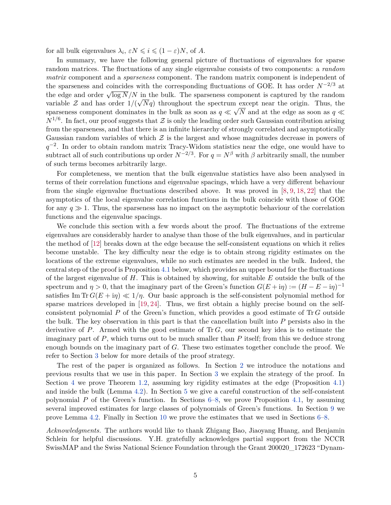for all bulk eigenvalues  $\lambda_i$ ,  $\epsilon N \leqslant i \leqslant (1 - \epsilon)N$ , of A.

In summary, we have the following general picture of fluctuations of eigenvalues for sparse random matrices. The fluctuations of any single eigenvalue consists of two components: a *random matrix* component and a *sparseness* component. The random matrix component is independent of the sparseness and coincides with the corresponding fluctuations of GOE. It has order  $N^{-2/3}$  at the edge and order  $\sqrt{\log N}/N$  in the bulk. The sparseness component is captured by the random the edge and order  $\sqrt{\log N}/N$  in the bulk. The sparseness component is captured by the random variable  $\mathcal Z$  and has order  $1/(\sqrt{Nq})$  throughout the spectrum except near the origin. Thus, the sparseness component dominates in the bulk as soon as  $q \ll \sqrt{N}$  and at the edge as soon as  $q \ll$  $N^{1/6}$ . In fact, our proof suggests that Z is only the leading order such Gaussian contribution arising from the sparseness, and that there is an infinite hierarchy of strongly correlated and asymptotically Gaussian random variables of which  $\mathcal Z$  is the largest and whose magnitudes decrease in powers of *q*<sup>-2</sup>. In order to obtain random matrix Tracy-Widom statistics near the edge, one would have to subtract all of such contributions up order  $N^{-2/3}$ . For  $q = N^{\beta}$  with  $\beta$  arbitrarily small, the number of such terms becomes arbitrarily large.

For completeness, we mention that the bulk eigenvalue statistics have also been analysed in terms of their correlation functions and eigenvalue spacings, which have a very different behaviour from the single eigenvalue fluctuations described above. It was proved in  $[8, 9, 18, 22]$  $[8, 9, 18, 22]$  $[8, 9, 18, 22]$  $[8, 9, 18, 22]$  $[8, 9, 18, 22]$  $[8, 9, 18, 22]$  $[8, 9, 18, 22]$  that the asymptotics of the local eigenvalue correlation functions in the bulk coincide with those of GOE for any  $q \gg 1$ . Thus, the sparseness has no impact on the asymptotic behaviour of the correlation functions and the eigenvalue spacings.

We conclude this section with a few words about the proof. The fluctuations of the extreme eigenvalues are considerably harder to analyse than those of the bulk eigenvalues, and in particular the method of [\[12\]](#page-51-3) breaks down at the edge because the self-consistent equations on which it relies become unstable. The key difficulty near the edge is to obtain strong rigidity estimates on the locations of the extreme eigenvalues, while no such estimates are needed in the bulk. Indeed, the central step of the proof is Proposition [4.1](#page-11-0) below, which provides an upper bound for the fluctuations of the largest eigenvalue of *H*. This is obtained by showing, for suitable *E* outside the bulk of the spectrum and  $\eta > 0$ , that the imaginary part of the Green's function  $G(E + i\eta) := (H - E - i\eta)^{-1}$ satisfies Im  $\text{Tr } G(E + i\eta) \ll 1/\eta$ . Our basic approach is the self-consistent polynomial method for sparse matrices developed in [\[19,](#page-51-0) [24\]](#page-52-0). Thus, we first obtain a highly precise bound on the selfconsistent polynomial *P* of the Green's function, which provides a good estimate of Tr *G* outside the bulk. The key observation in this part is that the cancellation built into *P* persists also in the derivative of *P*. Armed with the good estimate of Tr *G*, our second key idea is to estimate the imaginary part of *P*, which turns out to be much smaller than *P* itself; from this we deduce strong enough bounds on the imaginary part of *G*. These two estimates together conclude the proof. We refer to Section [3](#page-8-0) below for more details of the proof strategy.

The rest of the paper is organized as follows. In Section [2](#page-5-0) we introduce the notations and previous results that we use in this paper. In Section [3](#page-8-0) we explain the strategy of the proof. In Section [4](#page-11-1) we prove Theorem [1.2,](#page-2-1) assuming key rigidity estimates at the edge (Proposition [4.1\)](#page-11-0) and inside the bulk (Lemma [4.2\)](#page-11-2). In Section [5](#page-13-0) we give a careful construction of the self-consistent polynomial *P* of the Green's function. In Sections [6–](#page-17-0)[8,](#page-35-0) we prove Proposition [4.1,](#page-11-0) by assuming several improved estimates for large classes of polynomials of Green's functions. In Section [9](#page-40-0) we prove Lemma [4.2.](#page-11-2) Finally in Section [10](#page-43-0) we prove the estimates that we used in Sections [6–](#page-17-0)[8.](#page-35-0)

*Acknowledgments.* The authors would like to thank Zhigang Bao, Jiaoyang Huang, and Benjamin Schlein for helpful discussions. Y.H. gratefully acknowledges partial support from the NCCR SwissMAP and the Swiss National Science Foundation through the Grant 200020\_172623 "Dynam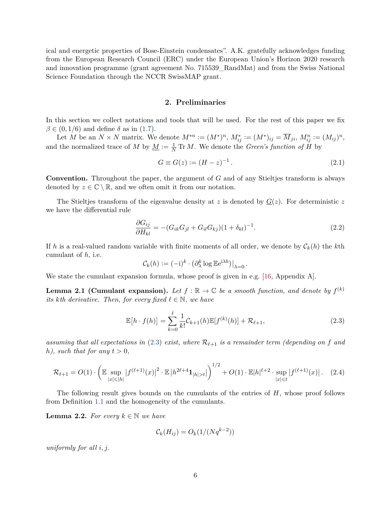ical and energetic properties of Bose-Einstein condensates". A.K. gratefully acknowledges funding from the European Research Council (ERC) under the European Union's Horizon 2020 research and innovation programme (grant agreement No. 715539\_RandMat) and from the Swiss National Science Foundation through the NCCR SwissMAP grant.

### **2. Preliminaries**

<span id="page-5-0"></span>In this section we collect notations and tools that will be used. For the rest of this paper we fix  $\beta \in (0, 1/6)$  and define  $\delta$  as in [\(1.7\)](#page-2-4).

Let M be an  $N \times N$  matrix. We denote  $M^{*n} := (M^*)^n$ ,  $M_{ij}^* := (M^*)_{ij} = \overline{M}_{ji}$ ,  $M_{ij}^n := (M_{ij})^n$ , and the normalized trace of *M* by  $\underline{M} := \frac{1}{N} \text{Tr } M$ . We denote the *Green's function of*  $H$  by

<span id="page-5-3"></span>
$$
G \equiv G(z) := (H - z)^{-1}.
$$
\n(2.1)

**Convention.** Throughout the paper, the argument of *G* and of any Stieltjes transform is always denoted by  $z \in \mathbb{C} \setminus \mathbb{R}$ , and we often omit it from our notation.

The Stieltjes transform of the eigenvalue density at  $z$  is denoted by  $G(z)$ . For deterministic  $z$ we have the differential rule

<span id="page-5-5"></span>
$$
\frac{\partial G_{ij}}{\partial H_{kl}} = -(G_{ik}G_{jl} + G_{il}G_{kj})(1 + \delta_{kl})^{-1}.
$$
\n(2.2)

If h is a real-valued random variable with finite moments of all order, we denote by  $\mathcal{C}_k(h)$  the kth cumulant of *h*, i.e.

$$
\mathcal{C}_k(h) := (-i)^k \cdot \left(\partial_\lambda^k \log \mathbb{E} e^{i\lambda h}\right)|_{\lambda=0}.
$$

We state the cumulant expansion formula, whose proof is given in e.g. [\[16,](#page-51-13) Appendix A].

<span id="page-5-2"></span>**Lemma 2.1 (Cumulant expansion).** Let  $f : \mathbb{R} \to \mathbb{C}$  be a smooth function, and denote by  $f^{(k)}$ *its kth* derivative. Then, for every fixed  $\ell \in \mathbb{N}$ , we have

<span id="page-5-1"></span>
$$
\mathbb{E}[h \cdot f(h)] = \sum_{k=0}^{\ell} \frac{1}{k!} C_{k+1}(h) \mathbb{E}[f^{(k)}(h)] + \mathcal{R}_{\ell+1},
$$
\n(2.3)

assuming that all expectations in [\(2.3\)](#page-5-1) exist, where  $\mathcal{R}_{\ell+1}$  is a remainder term (depending on f and *h*), such that for any  $t > 0$ ,

<span id="page-5-4"></span>
$$
\mathcal{R}_{\ell+1} = O(1) \cdot \left( \mathbb{E} \sup_{|x| \le |h|} |f^{(\ell+1)}(x)|^2 \cdot \mathbb{E} |h^{2\ell+4} \mathbf{1}_{|h| > t} | \right)^{1/2} + O(1) \cdot \mathbb{E} |h|^{\ell+2} \cdot \sup_{|x| \le t} |f^{(\ell+1)}(x)|. \tag{2.4}
$$

The following result gives bounds on the cumulants of the entries of *H*, whose proof follows from Definition [1.1](#page-1-2) and the homogeneity of the cumulants.

<span id="page-5-6"></span>**Lemma 2.2.** *For every*  $k \in \mathbb{N}$  *we have* 

$$
\mathcal{C}_k(H_{ij}) = O_k(1/(Nq^{k-2}))
$$

*uniformly for all i, j.*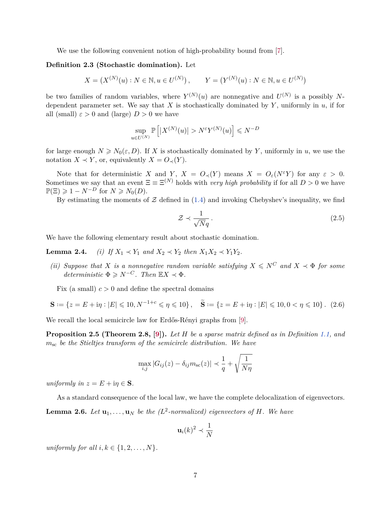We use the following convenient notion of high-probability bound from [\[7\]](#page-51-14).

## <span id="page-6-2"></span>**Definition 2.3 (Stochastic domination).** Let

 $X = (X^{(N)}(u) : N \in \mathbb{N}, u \in U^{(N)})$ ,  $Y = (Y^{(N)}(u) : N \in \mathbb{N}, u \in U^{(N)})$ 

be two families of random variables, where  $Y^{(N)}(u)$  are nonnegative and  $U^{(N)}$  is a possibly Ndependent parameter set. We say that  $X$  is stochastically dominated by  $Y$ , uniformly in  $u$ , if for all (small)  $\varepsilon > 0$  and (large)  $D > 0$  we have

$$
\sup_{u \in U^{(N)}} \mathbb{P}\left[ |X^{(N)}(u)| > N^{\varepsilon} Y^{(N)}(u) \right] \leq N^{-D}
$$

for large enough  $N \geq N_0(\varepsilon, D)$ . If X is stochastically dominated by Y, uniformly in *u*, we use the notation *X*  $\prec$  *Y*, or, equivalently *X* =  $O_{\prec}(Y)$ .

Note that for deterministic *X* and *Y*,  $X = O_{\leq}(Y)$  means  $X = O_{\epsilon}(N^{\epsilon}Y)$  for any  $\epsilon > 0$ . Sometimes we say that an event  $\Xi \equiv \Xi^{(N)}$  holds with *very high probability* if for all  $D > 0$  we have  $\mathbb{P}(\Xi) \geq 1 - N^{-D}$  for  $N \geq N_0(D)$ .

By estimating the moments of  $\mathcal Z$  defined in [\(1.4\)](#page-1-4) and invoking Chebyshev's inequality, we find

<span id="page-6-0"></span>
$$
\mathcal{Z} \prec \frac{1}{\sqrt{N}q} \,. \tag{2.5}
$$

We have the following elementary result about stochastic domination.

**Lemma 2.4.** *(i) If*  $X_1 \prec Y_1$  *and*  $X_2 \prec Y_2$  *then*  $X_1X_2 \prec Y_1Y_2$ *.* 

*(ii) Suppose that X is a nonnegative random variable satisfying*  $X \leq N^C$  *and*  $X \prec \Phi$  *for some*  $deterministic \Phi \geq N^{-C}$ *. Then*  $\mathbb{E}X \prec \Phi$ *.* 

Fix (a small)  $c > 0$  and define the spectral domains

<span id="page-6-4"></span>
$$
\mathbf{S} := \{ z = E + i\eta : |E| \leq 10, N^{-1+c} \leq \eta \leq 10 \}, \quad \widetilde{\mathbf{S}} := \{ z = E + i\eta : |E| \leq 10, 0 < \eta \leq 10 \}. \tag{2.6}
$$

We recall the local semicircle law for Erdős-Rényi graphs from [\[9\]](#page-51-1).

<span id="page-6-1"></span>**Proposition 2.5 (Theorem 2.8, [\[9\]](#page-51-1)).** *Let H be a sparse matrix defined as in Definition [1.1,](#page-1-2) and m*sc *be the Stieltjes transform of the semicircle distribution. We have*

$$
\max_{i,j} |G_{ij}(z) - \delta_{ij} m_{\rm sc}(z)| \prec \frac{1}{q} + \sqrt{\frac{1}{N\eta}}
$$

*uniformly in*  $z = E + i\eta \in S$ *.* 

As a standard consequence of the local law, we have the complete delocalization of eigenvectors.

<span id="page-6-3"></span>**Lemma 2.6.** Let  $\mathbf{u}_1, \ldots, \mathbf{u}_N$  be the ( $L^2$ -normalized) eigenvectors of H. We have

$$
\mathbf{u}_i(k)^2 \prec \frac{1}{N}
$$

*uniformly for all*  $i, k \in \{1, 2, \ldots, N\}$ *.*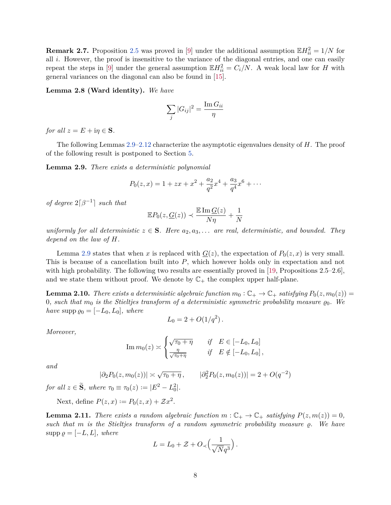**Remark 2.7.** Proposition [2.5](#page-6-1) was proved in [\[9\]](#page-51-1) under the additional assumption  $\mathbb{E}H_{ii}^2 = 1/N$  for all *i*. However, the proof is insensitive to the variance of the diagonal entries, and one can easily repeat the steps in [\[9\]](#page-51-1) under the general assumption  $\mathbb{E}H_{ii}^2 = C_i/N$ . A weak local law for *H* with general variances on the diagonal can also be found in [\[15\]](#page-51-15).

<span id="page-7-2"></span>**Lemma 2.8 (Ward identity).** *We have*

$$
\sum_j |G_{ij}|^2 = \frac{\operatorname{Im} G_{ii}}{\eta}
$$

*for all*  $z = E + i\eta \in S$ *.* 

The following Lemmas [2.9](#page-7-0)[–2.12](#page-8-1) characterize the asymptotic eigenvalues density of *H*. The proof of the following result is postponed to Section [5.](#page-13-0)

<span id="page-7-0"></span>**Lemma 2.9.** *There exists a deterministic polynomial*

$$
P_0(z,x) = 1 + zx + x^2 + \frac{a_2}{q^2}x^4 + \frac{a_3}{q^4}x^6 + \cdots
$$

*of degree*  $2\lceil \beta^{-1} \rceil$  *such that* 

$$
\mathbb{E}P_0(z, \underline{G}(z)) \prec \frac{\mathbb{E} \operatorname{Im} \underline{G}(z)}{N\eta} + \frac{1}{N}
$$

*uniformly for all deterministic*  $z \in S$ *. Here*  $a_2, a_3, \ldots$  *are real, deterministic, and bounded. They depend on the law of H.*

Lemma [2.9](#page-7-0) states that when *x* is replaced with  $G(z)$ , the expectation of  $P_0(z, x)$  is very small. This is because of a cancellation built into *P*, which however holds only in expectation and not with high probability. The following two results are essentially proved in [\[19,](#page-51-0) Propositions 2.5–2.6], and we state them without proof. We denote by  $\mathbb{C}_+$  the complex upper half-plane.

**Lemma 2.10.** *There exists a deterministic algebraic function*  $m_0 : \mathbb{C}_+ \to \mathbb{C}_+$  *satisfying*  $P_0(z, m_0(z)) =$ 0, such that  $m_0$  is the Stieltjes transform of a deterministic symmetric probability measure  $\varrho_0$ . We *have* supp  $\varrho_0 = [-L_0, L_0]$ *, where* 

$$
L_0 = 2 + O(1/q^2) \, .
$$

*Moreover,*

$$
\operatorname{Im} m_0(z) \asymp \begin{cases} \sqrt{\tau_0 + \eta} & \text{if } E \in [-L_0, L_0] \\ \frac{\eta}{\sqrt{\tau_0 + \eta}} & \text{if } E \notin [-L_0, L_0], \end{cases}
$$

*and*

$$
|\partial_2 P_0(z, m_0(z))| \asymp \sqrt{\tau_0 + \eta}, \qquad |\partial_2^2 P_0(z, m_0(z))| = 2 + O(q^{-2})
$$

*for all*  $z \in \tilde{S}$ *, where*  $\tau_0 \equiv \tau_0(z) := |E^2 - L_0^2|$ *.* 

Next, define  $P(z, x) := P_0(z, x) + \mathcal{Z}x^2$ .

<span id="page-7-1"></span>**Lemma 2.11.** *There exists a random algebraic function*  $m : \mathbb{C}_+ \to \mathbb{C}_+$  *satisfying*  $P(z, m(z)) = 0$ *,*  $such$  *that*  $m$  *is the Stieltjes transform of a random symmetric probability measure*  $\varrho$ *. We have*  $\text{supp }\varrho = [-L, L],$  where

$$
L = L_0 + \mathcal{Z} + O_{\prec} \left( \frac{1}{\sqrt{N}q^3} \right).
$$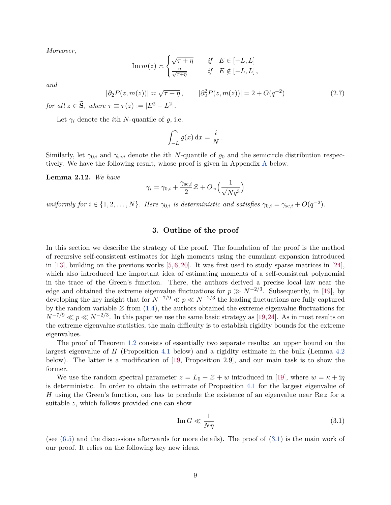*Moreover,*

$$
\operatorname{Im} m(z) \asymp \begin{cases} \sqrt{\tau + \eta} & \text{if} \quad E \in [-L, L] \\ \frac{\eta}{\sqrt{\tau + \eta}} & \text{if} \quad E \notin [-L, L] \end{cases},
$$

*and*

<span id="page-8-3"></span>
$$
|\partial_2 P(z, m(z))| \asymp \sqrt{\tau + \eta}, \qquad |\partial_2^2 P(z, m(z))| = 2 + O(q^{-2})
$$
 (2.7)

*for all*  $z \in \widetilde{S}$ *, where*  $\tau \equiv \tau(z) := |E^2 - L^2|$ *.* 

Let  $\gamma_i$  denote the *i*th *N*-quantile of  $\rho$ , i.e.

$$
\int_{-L}^{\gamma_i} \varrho(x) \, \mathrm{d}x = \frac{i}{N} \, .
$$

Similarly, let  $\gamma_{0,i}$  and  $\gamma_{sc,i}$  denote the *i*th *N*-quantile of  $\varrho_0$  and the semicircle distribution respectively. We have the following result, whose proof is given in Appendix [A](#page-49-0) below.

<span id="page-8-1"></span>**Lemma 2.12.** *We have*

$$
\gamma_i = \gamma_{0,i} + \frac{\gamma_{\text{sc},i}}{2} \mathcal{Z} + O_{\prec} \left( \frac{1}{\sqrt{N}q^3} \right)
$$

*uniformly for*  $i \in \{1, 2, \ldots, N\}$ *. Here*  $\gamma_{0,i}$  *is deterministic and satisfies*  $\gamma_{0,i} = \gamma_{\text{sc},i} + O(q^{-2})$ *.* 

## **3. Outline of the proof**

<span id="page-8-0"></span>In this section we describe the strategy of the proof. The foundation of the proof is the method of recursive self-consistent estimates for high moments using the cumulant expansion introduced in [\[13\]](#page-51-16), building on the previous works  $[5, 6, 20]$  $[5, 6, 20]$  $[5, 6, 20]$  $[5, 6, 20]$  $[5, 6, 20]$ . It was first used to study sparse matrices in [\[24\]](#page-52-0), which also introduced the important idea of estimating moments of a self-consistent polynomial in the trace of the Green's function. There, the authors derived a precise local law near the edge and obtained the extreme eigenvalue fluctuations for  $p \gg N^{-2/3}$ . Subsequently, in [\[19\]](#page-51-0), by developing the key insight that for  $N^{-7/9} \ll p \ll N^{-2/3}$  the leading fluctuations are fully captured by the random variable  $\mathcal Z$  from [\(1.4\)](#page-1-4), the authors obtained the extreme eigenvalue fluctuations for  $N^{-7/9} \ll p \ll N^{-2/3}$ . In this paper we use the same basic strategy as [\[19,](#page-51-0)[24\]](#page-52-0). As in most results on the extreme eigenvalue statistics, the main difficulty is to establish rigidity bounds for the extreme eigenvalues.

The proof of Theorem [1.2](#page-2-1) consists of essentially two separate results: an upper bound on the largest eigenvalue of *H* (Proposition [4.1](#page-11-0) below) and a rigidity estimate in the bulk (Lemma [4.2](#page-11-2) below). The latter is a modification of [\[19,](#page-51-0) Proposition 2.9], and our main task is to show the former.

We use the random spectral parameter  $z = L_0 + \mathcal{Z} + w$  introduced in [\[19\]](#page-51-0), where  $w = \kappa + i\eta$ is deterministic. In order to obtain the estimate of Proposition [4.1](#page-11-0) for the largest eigenvalue of *H* using the Green's function, one has to preclude the existence of an eigenvalue near Re *z* for a suitable *z*, which follows provided one can show

<span id="page-8-2"></span>
$$
\operatorname{Im}\underline{G} \ll \frac{1}{N\eta} \tag{3.1}
$$

(see  $(6.5)$ ) and the discussions afterwards for more details). The proof of  $(3.1)$  is the main work of our proof. It relies on the following key new ideas.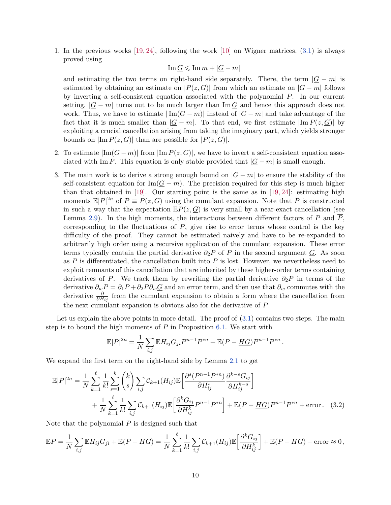1. In the previous works [\[19,](#page-51-0) [24\]](#page-52-0), following the work [\[10\]](#page-51-7) on Wigner matrices, [\(3.1\)](#page-8-2) is always proved using

 $\text{Im } G \leqslant \text{Im } m + |G - m|$ 

and estimating the two terms on right-hand side separately. There, the term  $|G - m|$  is estimated by obtaining an estimate on  $|P(z, G)|$  from which an estimate on  $|G - m|$  follows by inverting a self-consistent equation associated with the polynomial *P*. In our current setting,  $|G - m|$  turns out to be much larger than Im  $G$  and hence this approach does not work. Thus, we have to estimate  $|\text{Im}(\underline{G} - m)|$  instead of  $|\underline{G} - m|$  and take advantage of the fact that it is much smaller than  $|G - m|$ . To that end, we first estimate  $|\text{Im } P(z, G)|$  by exploiting a crucial cancellation arising from taking the imaginary part, which yields stronger bounds on  $|\text{Im } P(z, \underline{G})|$  than are possible for  $|P(z, \underline{G})|$ .

- 2. To estimate  $|\text{Im}(\underline{G}-m)|$  from  $|\text{Im} P(z,\underline{G})|$ , we have to invert a self-consistent equation associated with Im *P*. This equation is only stable provided that  $|G - m|$  is small enough.
- 3. The main work is to derive a strong enough bound on  $|G m|$  to ensure the stability of the self-consistent equation for Im( $\mathcal{G} - m$ ). The precision required for this step is much higher than that obtained in [\[19\]](#page-51-0). Our starting point is the same as in  $[19, 24]$  $[19, 24]$  $[19, 24]$ : estimating high moments  $\mathbb{E}|P|^{2n}$  of  $P \equiv P(z, G)$  using the cumulant expansion. Note that P is constructed in such a way that the expectation  $\mathbb{E}P(z,\underline{G})$  is very small by a near-exact cancellation (see Lemma [2.9\)](#page-7-0). In the high moments, the interactions between different factors of  $P$  and  $\overline{P}$ . corresponding to the fluctuations of *P*, give rise to error terms whose control is the key difficulty of the proof. They cannot be estimated naively and have to be re-expanded to arbitrarily high order using a recursive application of the cumulant expansion. These error terms typically contain the partial derivative  $\partial_2 P$  of *P* in the second argument *G*. As soon as *P* is differentiated, the cancellation built into *P* is lost. However, we nevertheless need to exploit remnants of this cancellation that are inherited by these higher-order terms containing derivatives of *P*. We track them by rewriting the partial derivative  $\partial_2 P$  in terms of the derivative  $\partial_w P = \partial_1 P + \partial_2 P \partial_w Q$  and an error term, and then use that  $\partial_w$  commutes with the derivative  $\frac{\partial}{\partial H_{ij}}$  from the cumulant expansion to obtain a form where the cancellation from the next cumulant expansion is obvious also for the derivative of *P*.

Let us explain the above points in more detail. The proof of  $(3.1)$  contains two steps. The main step is to bound the high moments of *P* in Proposition [6.1.](#page-17-1) We start with

<span id="page-9-0"></span>
$$
\mathbb{E}|P|^{2n} = \frac{1}{N} \sum_{i,j} \mathbb{E} H_{ij} G_{ji} P^{n-1} P^{*n} + \mathbb{E}(P - \underline{HG}) P^{n-1} P^{*n}.
$$

We expand the first term on the right-hand side by Lemma [2.1](#page-5-2) to get

$$
\mathbb{E}|P|^{2n} = \frac{1}{N} \sum_{k=1}^{\ell} \frac{1}{k!} \sum_{s=1}^{k} {k \choose s} \sum_{i,j} \mathcal{C}_{k+1}(H_{ij}) \mathbb{E} \left[ \frac{\partial^{s} (P^{n-1} P^{*n})}{\partial H_{ij}^{s}} \frac{\partial^{k-s} G_{ij}}{\partial H_{ij}^{k-s}} \right] + \frac{1}{N} \sum_{k=1}^{\ell} \frac{1}{k!} \sum_{i,j} \mathcal{C}_{k+1}(H_{ij}) \mathbb{E} \left[ \frac{\partial^{k} G_{ij}}{\partial H_{ij}^{k}} P^{n-1} P^{*n} \right] + \mathbb{E}(P - \underline{HG}) P^{n-1} P^{*n} + \text{error.} \quad (3.2)
$$

Note that the polynomial *P* is designed such that

$$
\mathbb{E}P = \frac{1}{N} \sum_{i,j} \mathbb{E}H_{ij}G_{ji} + \mathbb{E}(P - \underline{HG}) = \frac{1}{N} \sum_{k=1}^{\ell} \frac{1}{k!} \sum_{i,j} C_{k+1}(H_{ij}) \mathbb{E}\left[\frac{\partial^k G_{ij}}{\partial H_{ij}^k}\right] + \mathbb{E}(P - \underline{HG}) + \text{error} \approx 0,
$$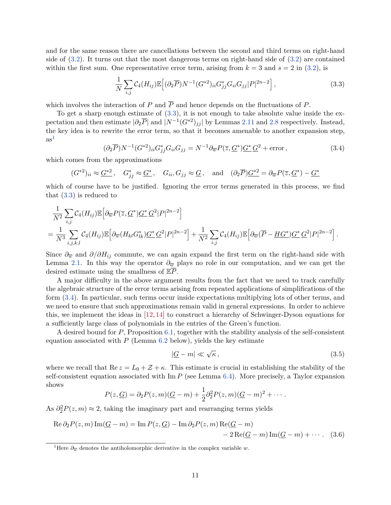and for the same reason there are cancellations between the second and third terms on right-hand side of [\(3.2\)](#page-9-0). It turns out that the most dangerous terms on right-hand side of [\(3.2\)](#page-9-0) are contained within the first sum. One representative error term, arising from  $k = 3$  and  $s = 2$  in [\(3.2\)](#page-9-0), is

<span id="page-10-0"></span>
$$
\frac{1}{N} \sum_{i,j} C_4(H_{ij}) \mathbb{E} \Big[ (\partial_2 \overline{P}) N^{-1} (G^{*2})_{ii} G^*_{jj} G_{ii} G_{jj} |P|^{2n-2} \Big], \tag{3.3}
$$

which involves the interaction of  $P$  and  $\overline{P}$  and hence depends on the fluctuations of  $P$ .

To get a sharp enough estimate of [\(3.3\)](#page-10-0), it is not enough to take absolute value inside the expectation and then estimate  $|\partial_2 \overline{P}|$  and  $|N^{-1}(G^{*2})_{jj}|$  by Lemmas [2.11](#page-7-1) and [2.8](#page-7-2) respectively. Instead, the key idea is to rewrite the error term, so that it becomes amenable to another expansion step,  $as<sup>1</sup>$  $as<sup>1</sup>$  $as<sup>1</sup>$ 

<span id="page-10-2"></span>
$$
(\partial_2 \overline{P}) N^{-1} (G^{*2})_{ii} G^*_{jj} G_{ii} G_{jj} = N^{-1} \partial_{\overline{w}} P(\overline{z}, \underline{G}^*) \underline{G}^* \underline{G}^2 + \text{error}, \qquad (3.4)
$$

which comes from the approximations

$$
(G^{*2})_{ii} \approx \underline{G^{*2}}, \quad G^*_{jj} \approx \underline{G^*}, \quad G_{ii}, G_{jj} \approx \underline{G}, \quad \text{and} \quad (\partial_2 \overline{P}) \underline{G^{*2}} = \partial_{\overline{w}} P(\overline{z}, \underline{G^*}) - \underline{G^*}
$$

which of course have to be justified. Ignoring the error terms generated in this process, we find that [\(3.3\)](#page-10-0) is reduced to

$$
\frac{1}{N^2} \sum_{i,j} C_4(H_{ij}) \mathbb{E} \Big[ \partial_{\overline{w}} P(\overline{z}, \underline{G}^*) \underline{G}^* \underline{G}^2 |P|^{2n-2} \Big] \n= \frac{1}{N^3} \sum_{i,j,k,l} C_4(H_{ij}) \mathbb{E} \Big[ \partial_{\overline{w}} (H_{kl} G_{lk}^*) \underline{G}^* \underline{G}^2 |P|^{2n-2} \Big] + \frac{1}{N^2} \sum_{i,j} C_4(H_{ij}) \mathbb{E} \Big[ \partial_{\overline{w}} (\overline{P} - \underline{HG}^*) \underline{G}^* \underline{G}^2 |P|^{2n-2} \Big] .
$$

Since  $\partial_{\overline{w}}$  and  $\partial/\partial H_{ij}$  commute, we can again expand the first term on the right-hand side with Lemma [2.1.](#page-5-2) In this way the operator  $\partial_{\overline{w}}$  plays no role in our computation, and we can get the desired estimate using the smallness of E*P*.

A major difficulty in the above argument results from the fact that we need to track carefully the algebraic structure of the error terms arising from repeated applications of simplifications of the form [\(3.4\)](#page-10-2). In particular, such terms occur inside expectations multiplying lots of other terms, and we need to ensure that such approximations remain valid in general expressions. In order to achieve this, we implement the ideas in [\[12,](#page-51-3) [14\]](#page-51-20) to construct a hierarchy of Schwinger-Dyson equations for a sufficiently large class of polynomials in the entries of the Green's function.

A desired bound for *P*, Proposition [6.1,](#page-17-1) together with the stability analysis of the self-consistent equation associated with  $P$  (Lemma [6.2](#page-17-2) below), yields the key estimate

<span id="page-10-4"></span><span id="page-10-3"></span>
$$
|\underline{G} - m| \ll \sqrt{\kappa},\tag{3.5}
$$

where we recall that  $\text{Re } z = L_0 + \mathcal{Z} + \kappa$ . This estimate is crucial in establishing the stability of the self-consistent equation associated with  $\text{Im } P$  (see Lemma [6.4\)](#page-18-1). More precisely, a Taylor expansion shows

$$
P(z,\underline{G})=\partial_2 P(z,m)(\underline{G}-m)+\frac{1}{2}\partial_2^2 P(z,m)(\underline{G}-m)^2+\cdots.
$$

As  $\partial_2^2 P(z,m) \approx 2$ , taking the imaginary part and rearranging terms yields

$$
\operatorname{Re}\partial_2 P(z,m)\operatorname{Im}(\underline{G}-m) = \operatorname{Im} P(z,\underline{G}) - \operatorname{Im}\partial_2 P(z,m)\operatorname{Re}(\underline{G}-m) - 2\operatorname{Re}(\underline{G}-m)\operatorname{Im}(\underline{G}-m) + \cdots. \tag{3.6}
$$

<span id="page-10-1"></span><sup>&</sup>lt;sup>1</sup>Here  $\partial_{\overline{w}}$  denotes the antiholomorphic derivative in the complex variable *w*.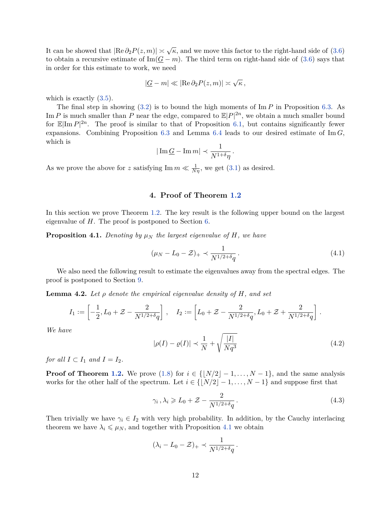It can be showed that  $|\text{Re}\,\partial_2 P(z,m)| \asymp \sqrt{\kappa}$ , and we move this factor to the right-hand side of [\(3.6\)](#page-10-3) to obtain a recursive estimate of  $\text{Im}(\underline{G} - m)$ . The third term on right-hand side of [\(3.6\)](#page-10-3) says that in order for this estimate to work, we need

$$
|\underline{G} - m| \ll |\text{Re}\,\partial_2 P(z,m)| \asymp \sqrt{\kappa} \,,
$$

which is exactly  $(3.5)$ .

The final step in showing [\(3.2\)](#page-9-0) is to bound the high moments of Im *P* in Proposition [6.3.](#page-18-2) As Im *P* is much smaller than *P* near the edge, compared to  $\mathbb{E}|P|^{2n}$ , we obtain a much smaller bound for  $\mathbb{E}|\text{Im } P|^{2n}$ . The proof is similar to that of Proposition [6.1,](#page-17-1) but contains significantly fewer expansions. Combining Proposition [6.3](#page-18-2) and Lemma [6.4](#page-18-1) leads to our desired estimate of Im *G*, which is

$$
|\operatorname{Im} \underline{G} - \operatorname{Im} m| \prec \frac{1}{N^{1+\delta}\eta}.
$$

As we prove the above for *z* satisfying  $\text{Im } m \ll \frac{1}{N\eta}$ , we get [\(3.1\)](#page-8-2) as desired.

## **4. Proof of Theorem [1.2](#page-2-1)**

<span id="page-11-1"></span>In this section we prove Theorem [1.2.](#page-2-1) The key result is the following upper bound on the largest eigenvalue of *H*. The proof is postponed to Section [6.](#page-17-0)

<span id="page-11-0"></span>**Proposition 4.1.** Denoting by  $\mu_N$  the largest eigenvalue of  $H$ *, we have* 

<span id="page-11-5"></span>
$$
(\mu_N - L_0 - \mathcal{Z})_+ \prec \frac{1}{N^{1/2 + \delta q}}.
$$
\n(4.1)

We also need the following result to estimate the eigenvalues away from the spectral edges. The proof is postponed to Section [9.](#page-40-0)

<span id="page-11-2"></span>**Lemma 4.2.** *Let ρ denote the empirical eigenvalue density of H, and set*

$$
I_1 := \left[ -\frac{1}{2}, L_0 + \mathcal{Z} - \frac{2}{N^{1/2 + \delta} q} \right], \quad I_2 := \left[ L_0 + \mathcal{Z} - \frac{2}{N^{1/2 + \delta} q}, L_0 + \mathcal{Z} + \frac{2}{N^{1/2 + \delta} q} \right].
$$

*We have*

<span id="page-11-4"></span>
$$
|\rho(I) - \varrho(I)| \prec \frac{1}{N} + \sqrt{\frac{|I|}{Nq^3}}
$$
\n(4.2)

*for all*  $I \subset I_1$  *and*  $I = I_2$ *.* 

**Proof of Theorem [1.2.](#page-2-1)** We prove [\(1.8\)](#page-2-2) for  $i \in \{N/2 - 1, ..., N - 1\}$ , and the same analysis works for the other half of the spectrum. Let  $i \in \{N/2 - 1, ..., N - 1\}$  and suppose first that

<span id="page-11-3"></span>
$$
\gamma_i, \lambda_i \geqslant L_0 + \mathcal{Z} - \frac{2}{N^{1/2 + \delta} q} \,. \tag{4.3}
$$

Then trivially we have  $\gamma_i \in I_2$  with very high probability. In addition, by the Cauchy interlacing theorem we have  $\lambda_i \leq \mu_N$ , and together with Proposition [4.1](#page-11-0) we obtain

$$
(\lambda_i - L_0 - \mathcal{Z})_+ \prec \frac{1}{N^{1/2 + \delta} q}.
$$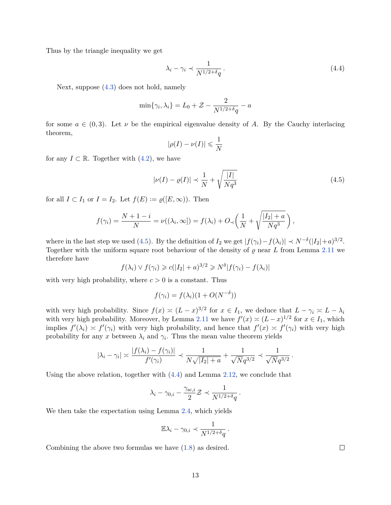Thus by the triangle inequality we get

<span id="page-12-1"></span>
$$
\lambda_i - \gamma_i \prec \frac{1}{N^{1/2 + \delta q}}.
$$
\n(4.4)

Next, suppose [\(4.3\)](#page-11-3) does not hold, namely

$$
\min\{\gamma_i, \lambda_i\} = L_0 + \mathcal{Z} - \frac{2}{N^{1/2 + \delta}q} - a
$$

for some  $a \in (0,3)$ . Let  $\nu$  be the empirical eigenvalue density of A. By the Cauchy interlacing theorem,

$$
|\rho(I) - \nu(I)| \leq \frac{1}{N}
$$

for any  $I \subset \mathbb{R}$ . Together with  $(4.2)$ , we have

<span id="page-12-0"></span>
$$
|\nu(I) - \varrho(I)| \prec \frac{1}{N} + \sqrt{\frac{|I|}{Nq^3}}
$$
\n(4.5)

for all  $I \subset I_1$  or  $I = I_2$ . Let  $f(E) := \varrho([E, \infty))$ . Then

$$
f(\gamma_i) = \frac{N+1-i}{N} = \nu((\lambda_i, \infty]) = f(\lambda_i) + O_{\prec}\left(\frac{1}{N} + \sqrt{\frac{|I_2|+a}{Nq^3}}\right),
$$

where in the last step we used [\(4.5\)](#page-12-0). By the definition of  $I_2$  we get  $|f(\gamma_i) - f(\lambda_i)| \prec N^{-\delta}(|I_2| + a)^{3/2}$ . Together with the uniform square root behaviour of the density of  $\rho$  near *L* from Lemma [2.11](#page-7-1) we therefore have

$$
f(\lambda_i) \vee f(\gamma_i) \geqslant c(|I_2| + a)^{3/2} \geqslant N^{\delta} |f(\gamma_i) - f(\lambda_i)|
$$

with very high probability, where  $c > 0$  is a constant. Thus

$$
f(\gamma_i) = f(\lambda_i)(1 + O(N^{-\delta}))
$$

with very high probability. Since  $f(x) \approx (L-x)^{3/2}$  for  $x \in I_1$ , we deduce that  $L - \gamma_i \approx L - \lambda_i$ with very high probability. Moreover, by Lemma [2.11](#page-7-1) we have  $f'(x) \asymp (L-x)^{1/2}$  for  $x \in I_1$ , which implies  $f'(\lambda_i) \asymp f'(\gamma_i)$  with very high probability, and hence that  $f'(x) \asymp f'(\gamma_i)$  with very high probability for any x between  $\lambda_i$  and  $\gamma_i$ . Thus the mean value theorem yields

$$
|\lambda_i - \gamma_i| \asymp \frac{|f(\lambda_i) - f(\gamma_i)|}{f'(\gamma_i)} \prec \frac{1}{N\sqrt{|I_2| + a}} + \frac{1}{\sqrt{N}q^{3/2}} \prec \frac{1}{\sqrt{N}q^{3/2}}
$$

Using the above relation, together with [\(4.4\)](#page-12-1) and Lemma [2.12,](#page-8-1) we conclude that

$$
\lambda_i - \gamma_{0,i} - \frac{\gamma_{\mathrm{sc},i}}{2} \mathcal{Z} \prec \frac{1}{N^{1/2 + \delta} q}.
$$

We then take the expectation using Lemma [2.4,](#page-0-1) which yields

$$
\mathbb{E}\lambda_i - \gamma_{0,i} \prec \frac{1}{N^{1/2+\delta}q}.
$$

Combining the above two formulas we have [\(1.8\)](#page-2-2) as desired.

 $\Box$ 

*.*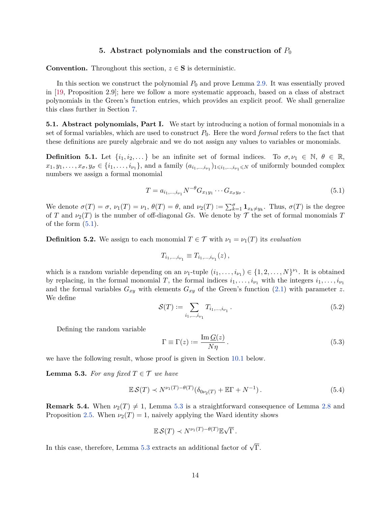## **5.** Abstract polynomials and the construction of  $P_0$

<span id="page-13-0"></span>**Convention.** Throughout this section,  $z \in S$  is deterministic.

In this section we construct the polynomial  $P_0$  and prove Lemma [2.9.](#page-7-0) It was essentially proved in [\[19,](#page-51-0) Proposition 2.9]; here we follow a more systematic approach, based on a class of abstract polynomials in the Green's function entries, which provides an explicit proof. We shall generalize this class further in Section [7.](#page-19-0)

**5.1. Abstract polynomials, Part I.** We start by introducing a notion of formal monomials in a set of formal variables, which are used to construct  $P_0$ . Here the word *formal* refers to the fact that these definitions are purely algebraic and we do not assign any values to variables or monomials.

<span id="page-13-4"></span>**Definition 5.1.** Let  $\{i_1, i_2, \ldots\}$  be an infinite set of formal indices. To  $\sigma, \nu_1 \in \mathbb{N}, \theta \in \mathbb{R},$  $x_1, y_1, \ldots, x_{\sigma}, y_{\sigma} \in \{i_1, \ldots, i_{\nu_1}\}\$ , and a family  $(a_{i_1,\ldots,i_{\nu_1}})_{1 \leq i_1,\ldots,i_{\nu_1} \leq N}$  of uniformly bounded complex numbers we assign a formal monomial

<span id="page-13-1"></span>
$$
T = a_{i_1,...,i_{\nu_1}} N^{-\theta} G_{x_1 y_1} \cdots G_{x_{\sigma} y_{\sigma}}.
$$
\n(5.1)

We denote  $\sigma(T) = \sigma$ ,  $\nu_1(T) = \nu_1$ ,  $\theta(T) = \theta$ , and  $\nu_2(T) := \sum_{k=1}^{\sigma} \mathbf{1}_{x_k \neq y_k}$ . Thus,  $\sigma(T)$  is the degree of *T* and  $\nu_2(T)$  is the number of off-diagonal *Gs*. We denote by  $\mathcal T$  the set of formal monomials *T* of the form  $(5.1)$ .

<span id="page-13-5"></span>**Definition 5.2.** We assign to each monomial  $T \in \mathcal{T}$  with  $\nu_1 = \nu_1(T)$  its *evaluation* 

$$
T_{i_1,\dots,i_{\nu_1}} \equiv T_{i_1,\dots,i_{\nu_1}}(z) \,,
$$

which is a random variable depending on an  $\nu_1$ -tuple  $(i_1, \ldots, i_{\nu_1}) \in \{1, 2, \ldots, N\}^{\nu_1}$ . It is obtained by replacing, in the formal monomial *T*, the formal indices  $i_1, \ldots, i_{\nu_1}$  with the integers  $i_1, \ldots, i_{\nu_1}$ and the formal variables  $G_{xy}$  with elements  $G_{xy}$  of the Green's function [\(2.1\)](#page-5-3) with parameter *z*. We define

<span id="page-13-6"></span>
$$
\mathcal{S}(T) := \sum_{i_1, \dots, i_{\nu_1}} T_{i_1, \dots, i_{\nu_1}}.
$$
\n(5.2)

Defining the random variable

<span id="page-13-3"></span>
$$
\Gamma \equiv \Gamma(z) := \frac{\operatorname{Im} G(z)}{N\eta} \,. \tag{5.3}
$$

we have the following result, whose proof is given in Section [10.1](#page-43-1) below.

<span id="page-13-2"></span>**Lemma 5.3.** For any fixed  $T \in \mathcal{T}$  we have

$$
\mathbb{E}\mathcal{S}(T) \prec N^{\nu_1(T)-\theta(T)}(\delta_{0\nu_2(T)} + \mathbb{E}\Gamma + N^{-1}). \tag{5.4}
$$

<span id="page-13-7"></span>**Remark 5.4.** When  $\nu_2(T) \neq 1$ , Lemma [5.3](#page-13-2) is a straightforward consequence of Lemma [2.8](#page-7-2) and Proposition [2.5.](#page-6-1) When  $\nu_2(T) = 1$ , naively applying the Ward identity shows

$$
\mathbb{E}\,\mathcal{S}(T)\prec N^{\nu_1(T)-\theta(T)}\mathbb{E}\sqrt{\Gamma}\,.
$$

In this case, therefore, Lemma [5.3](#page-13-2) extracts an additional factor of  $\sqrt{\Gamma}$ .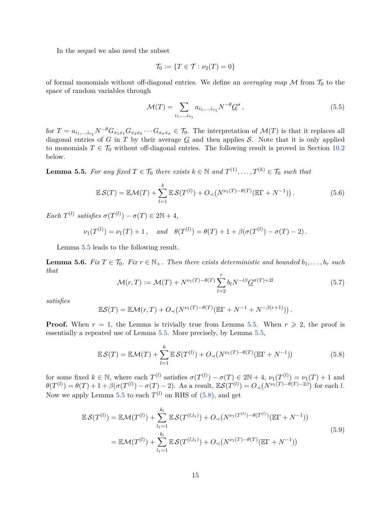In the sequel we also need the subset

$$
\mathcal{T}_0 := \{ T \in \mathcal{T} : \nu_2(T) = 0 \}
$$

of formal monomials without off-diagonal entries. We define an *averaging map*  $\mathcal M$  from  $\mathcal T_0$  to the space of random variables through

<span id="page-14-4"></span>
$$
\mathcal{M}(T) = \sum_{i_1, \dots, i_{\nu_1}} a_{i_1, \dots, i_{\nu_1}} N^{-\theta} \underline{G}^{\sigma} \,, \tag{5.5}
$$

for  $T = a_{i_1,\dots,i_{\nu_1}} N^{-\theta} G_{x_1x_1} G_{x_2x_2} \cdots G_{x_{\sigma}x_{\sigma}} \in \mathcal{T}_0$ . The interpretation of  $\mathcal{M}(T)$  is that it replaces all diagonal entries of  $G$  in  $T$  by their average  $\underline{G}$  and then applies  $S$ . Note that it is only applied to monomials  $T \in \mathcal{T}_0$  without off-diagonal entries. The following result is proved in Section [10.2](#page-45-0) below.

<span id="page-14-0"></span>**Lemma 5.5.** For any fixed  $T \in \mathcal{T}_0$  there exists  $k \in \mathbb{N}$  and  $T^{(1)}, \ldots, T^{(k)} \in \mathcal{T}_0$  such that

$$
\mathbb{E}\mathcal{S}(T) = \mathbb{E}\mathcal{M}(T) + \sum_{l=1}^{k} \mathbb{E}\mathcal{S}(T^{(l)}) + O_{\prec}(N^{\nu_1(T)-\theta(T)}(\mathbb{E}\Gamma+N^{-1})).
$$
\n(5.6)

 $\text{Each } T^{(l)} \text{ satisfies } \sigma(T^{(l)}) - \sigma(T) \in 2\mathbb{N} + 4,$ 

$$
\nu_1(T^{(l)}) = \nu_1(T) + 1
$$
, and  $\theta(T^{(l)}) = \theta(T) + 1 + \beta(\sigma(T^{(l)}) - \sigma(T) - 2)$ .

Lemma [5.5](#page-14-0) leads to the following result.

<span id="page-14-3"></span>**Lemma 5.6.** *Fix*  $T \in \mathcal{T}_0$ *. Fix*  $r \in \mathbb{N}_+$ *. Then there exists deterministic and bounded*  $b_1, \ldots, b_r$  *such that*

<span id="page-14-2"></span>
$$
\mathcal{M}(r,T) := \mathcal{M}(T) + N^{\nu_1(T) - \theta(T)} \sum_{l=2}^{r} b_l N^{-l\beta} \underline{G}^{\sigma(T) + 2l} \tag{5.7}
$$

*satisfies*

$$
\mathbb{E}\mathcal{S}(T) = \mathbb{E}\mathcal{M}(r,T) + O_{\prec}(N^{\nu_1(T)-\theta(T)}(\mathbb{E}\Gamma+N^{-1}+N^{-\beta(r+1)})).
$$

**Proof.** When  $r = 1$ , the Lemma is trivially true from Lemma [5.5.](#page-14-0) When  $r \geq 2$ , the proof is essentially a repeated use of Lemma [5.5.](#page-14-0) More precisely, by Lemma [5.5,](#page-14-0)

<span id="page-14-1"></span>
$$
\mathbb{E}\mathcal{S}(T) = \mathbb{E}\mathcal{M}(T) + \sum_{l=1}^{k} \mathbb{E}\mathcal{S}(T^{(l)}) + O_{\prec}(N^{\nu_1(T)-\theta(T)}(\mathbb{E}\Gamma+N^{-1}))
$$
(5.8)

for some fixed  $k \in \mathbb{N}$ , where each  $T^{(l)}$  satisfies  $\sigma(T^{(l)}) - \sigma(T) \in 2\mathbb{N} + 4$ ,  $\nu_1(T^{(l)}) = \nu_1(T) + 1$  and  $\theta(T^{(l)}) = \theta(T) + 1 + \beta(\sigma(T^{(l)}) - \sigma(T) - 2)$ . As a result,  $\mathbb{E}S(T^{(l)}) = O_{\prec}(N^{\nu_1(T) - \theta(T) - 2\beta})$  for each l. Now we apply Lemma [5.5](#page-14-0) to each  $T^{(l)}$  on RHS of  $(5.8)$ , and get

$$
\mathbb{E}\mathcal{S}(T^{(l)}) = \mathbb{E}\mathcal{M}(T^{(l)}) + \sum_{l_1=1}^{k_l} \mathbb{E}\mathcal{S}(T^{(l,l_1)}) + O_{\prec}(N^{\nu_1(T^{(l)})-\theta(T^{(l)})}(\mathbb{E}\Gamma+N^{-1}))
$$
  
= 
$$
\mathbb{E}\mathcal{M}(T^{(l)}) + \sum_{l_1=1}^{k_l} \mathbb{E}\mathcal{S}(T^{(l,l_1)}) + O_{\prec}(N^{\nu_1(T)-\theta(T)}(\mathbb{E}\Gamma+N^{-1}))
$$
 (5.9)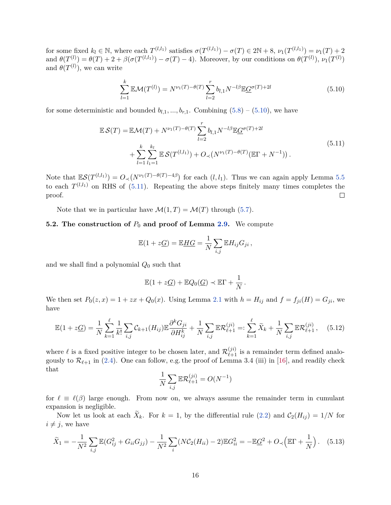for some fixed  $k_l \in \mathbb{N}$ , where each  $T^{(l,l_1)}$  satisfies  $\sigma(T^{(l,l_1)}) - \sigma(T) \in 2\mathbb{N} + 8$ ,  $\nu_1(T^{(l,l_1)}) = \nu_1(T) + 2$ and  $\theta(T^{(l)}) = \theta(T) + 2 + \beta(\sigma(T^{(l,l_1)}) - \sigma(T) - 4)$ . Moreover, by our conditions on  $\theta(T^{(l)})$ ,  $\nu_1(T^{(l)})$ and  $\theta(T^{(l)})$ , we can write

<span id="page-15-0"></span>
$$
\sum_{l=1}^{k} \mathbb{E}\mathcal{M}(T^{(l)}) = N^{\nu_1(T)-\theta(T)} \sum_{l=2}^{r} b_{l,1} N^{-l\beta} \mathbb{E} \underline{G}^{\sigma(T)+2l}
$$
(5.10)

for some deterministic and bounded  $b_{l,1},...,b_{r,1}$ . Combining  $(5.8) - (5.10)$  $(5.8) - (5.10)$  $(5.8) - (5.10)$ , we have

<span id="page-15-1"></span>
$$
\mathbb{E}\mathcal{S}(T) = \mathbb{E}\mathcal{M}(T) + N^{\nu_1(T) - \theta(T)} \sum_{l=2}^{r} b_{l,1} N^{-l\beta} \mathbb{E} \underline{G}^{\sigma(T)+2l} + \sum_{l=1}^{k} \sum_{l_1=1}^{k_l} \mathbb{E}\mathcal{S}(T^{(l,l_1)}) + O_{\prec}(N^{\nu_1(T) - \theta(T)}(\mathbb{E}\Gamma + N^{-1})).
$$
\n(5.11)

Note that  $\mathbb{E} \mathcal{S}(T^{(l,l_1)}) = O(1)^{\nu_1(T) - \theta(T) - 4\beta}$  for each  $(l, l_1)$ . Thus we can again apply Lemma [5.5](#page-14-0) to each  $T^{(l,l_1)}$  on RHS of  $(5.11)$ . Repeating the above steps finitely many times completes the proof.  $\Box$ 

Note that we in particular have  $\mathcal{M}(1,T) = \mathcal{M}(T)$  through [\(5.7\)](#page-14-2).

## <span id="page-15-3"></span>**5.2. The construction of**  $P_0$  **and proof of Lemma [2.9.](#page-7-0)** We compute

$$
\mathbb{E}(1+z\underline{G})=\mathbb{E}\underline{HG}=\frac{1}{N}\sum_{i,j}\mathbb{E}H_{ij}G_{ji},
$$

and we shall find a polynomial *Q*<sup>0</sup> such that

$$
\mathbb{E}(1+z\underline{G})+\mathbb{E}Q_0(\underline{G})\prec \mathbb{E}\Gamma+\frac{1}{N}.
$$

We then set  $P_0(z, x) = 1 + zx + Q_0(x)$ . Using Lemma [2.1](#page-5-2) with  $h = H_{ij}$  and  $f = f_{ji}(H) = G_{ji}$ , we have

<span id="page-15-2"></span>
$$
\mathbb{E}(1+z\underline{G}) = \frac{1}{N} \sum_{k=1}^{\ell} \frac{1}{k!} \sum_{i,j} C_{k+1}(H_{ij}) \mathbb{E} \frac{\partial^k G_{ji}}{\partial H_{ij}^k} + \frac{1}{N} \sum_{i,j} \mathbb{E} \mathcal{R}_{\ell+1}^{(ji)} =: \sum_{k=1}^{\ell} \widetilde{X}_k + \frac{1}{N} \sum_{i,j} \mathbb{E} \mathcal{R}_{\ell+1}^{(ji)}, \quad (5.12)
$$

where  $\ell$  is a fixed positive integer to be chosen later, and  $\mathcal{R}_{\ell+1}^{(ji)}$  is a remainder term defined analogously to  $\mathcal{R}_{\ell+1}$  in [\(2.4\)](#page-5-4). One can follow, e.g. the proof of Lemma 3.4 (iii) in [\[16\]](#page-51-13), and readily check that

$$
\frac{1}{N}\sum_{i,j} \mathbb{E} \mathcal{R}^{(ji)}_{\ell+1} = O(N^{-1})
$$

for  $\ell \equiv \ell(\beta)$  large enough. From now on, we always assume the remainder term in cumulant expansion is negligible.

Now let us look at each  $X_k$ . For  $k = 1$ , by the differential rule [\(2.2\)](#page-5-5) and  $C_2(H_{ij}) = 1/N$  for  $i \neq j$ , we have

$$
\widetilde{X}_1 = -\frac{1}{N^2} \sum_{i,j} \mathbb{E}(G_{ij}^2 + G_{ii}G_{jj}) - \frac{1}{N^2} \sum_i (N\mathcal{C}_2(H_{ii}) - 2)\mathbb{E}G_{ii}^2 = -\mathbb{E}\underline{G}^2 + O_{\prec}\left(\mathbb{E}\Gamma + \frac{1}{N}\right). \tag{5.13}
$$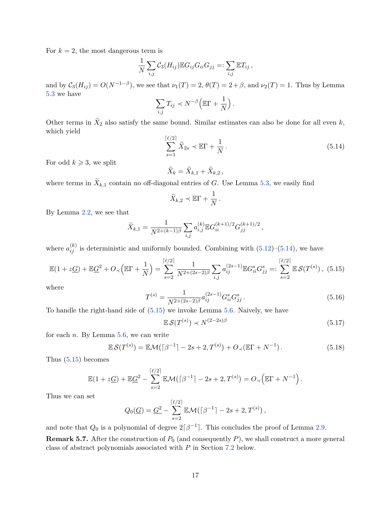For  $k = 2$ , the most dangerous term is

$$
\frac{1}{N}\sum_{i,j}\mathcal{C}_3(H_{ij})\mathbb{E}G_{ij}G_{ii}G_{jj}=: \sum_{i,j}\mathbb{E}T_{ij},
$$

and by  $C_3(H_{ij}) = O(N^{-1-\beta})$ , we see that  $\nu_1(T) = 2$ ,  $\theta(T) = 2 + \beta$ , and  $\nu_2(T) = 1$ . Thus by Lemma [5.3](#page-13-2) we have

$$
\sum_{i,j} T_{ij} \prec N^{-\beta} \Big( \mathbb{E} \Gamma + \frac{1}{N} \Big) \, .
$$

Other terms in  $X_2$  also satisfy the same bound. Similar estimates can also be done for all even  $k$ , which yield

<span id="page-16-0"></span>
$$
\sum_{s=1}^{\lceil \ell/2 \rceil} \widetilde{X}_{2s} \prec \mathbb{E}\Gamma + \frac{1}{N} \,. \tag{5.14}
$$

For odd  $k \geqslant 3$ , we split

$$
\widetilde{X}_k = \widetilde{X}_{k,1} + \widetilde{X}_{k,2} \,,
$$

where terms in  $X_{k,1}$  contain no off-diagonal entries of  $G$ . Use Lemma [5.3,](#page-13-2) we easily find

$$
\widetilde{X}_{k,2} \prec \mathbb{E}\Gamma + \frac{1}{N} \, .
$$

By Lemma [2.2,](#page-5-6) we see that

$$
\widetilde{X}_{k,1} = \frac{1}{N^{2 + (k-1)\beta}} \sum_{i,j} a_{i,j}^{(k)} \mathbb{E} G_{ii}^{(k+1)/2} G_{jj}^{(k+1)/2},
$$

where  $a_{ij}^{(k)}$  is deterministic and uniformly bounded. Combining with  $(5.12)$ – $(5.14)$ , we have

<span id="page-16-1"></span>
$$
\mathbb{E}(1+z\underline{G}) + \mathbb{E}\underline{G}^2 + O_{\prec}\left(\mathbb{E}\Gamma + \frac{1}{N}\right) = \sum_{s=2}^{\lceil \ell/2 \rceil} \frac{1}{N^{2+(2s-2)\beta}} \sum_{i,j} a_{ij}^{(2s-1)} \mathbb{E}G_{ii}^s G_{jj}^s =: \sum_{s=2}^{\lceil \ell/2 \rceil} \mathbb{E}\mathcal{S}(T^{(s)})\,,\tag{5.15}
$$

where

<span id="page-16-2"></span>
$$
T^{(s)} = \frac{1}{N^{2 + (2s - 2)\beta}} a_{ij}^{(2s - 1)} G_{ii}^s G_{jj}^s .
$$
\n(5.16)

To handle the right-hand side of [\(5.15\)](#page-16-1) we invoke Lemma [5.6.](#page-14-3) Naively, we have

$$
\mathbb{E}\,\mathcal{S}(T^{(s)}) \prec N^{(2-2s)\beta} \tag{5.17}
$$

for each *n*. By Lemma [5.6,](#page-14-3) we can write

<span id="page-16-3"></span>
$$
\mathbb{E}\mathcal{S}(T^{(s)}) = \mathbb{E}\mathcal{M}(\lceil \beta^{-1} \rceil - 2s + 2, T^{(s)}) + O_{\prec}(\mathbb{E}\Gamma + N^{-1}).
$$
\n(5.18)

Thus [\(5.15\)](#page-16-1) becomes

$$
\mathbb{E}(1+z\underline{G}) + \mathbb{E}\underline{G}^2 - \sum_{s=2}^{\lceil \ell/2 \rceil} \mathbb{E}\mathcal{M}(\lceil \beta^{-1} \rceil - 2s + 2, T^{(s)}) = O_{\prec}\left(\mathbb{E}\Gamma + N^{-1}\right).
$$

Thus we can set

$$
Q_0(\underline{G}) = \underline{G}^2 - \sum_{s=2}^{\lceil \ell/2 \rceil} \mathbb{E} \mathcal{M}(\lceil \beta^{-1} \rceil - 2s + 2, T^{(s)})\,,
$$

and note that  $Q_0$  is a polynomial of degree  $2\lceil \beta^{-1} \rceil$ . This concludes the proof of Lemma [2.9.](#page-7-0)

**Remark 5.7.** After the construction of  $P_0$  (and consequently  $P$ ), we shall construct a more general class of abstract polynomials associated with *P* in Section [7.2](#page-22-0) below.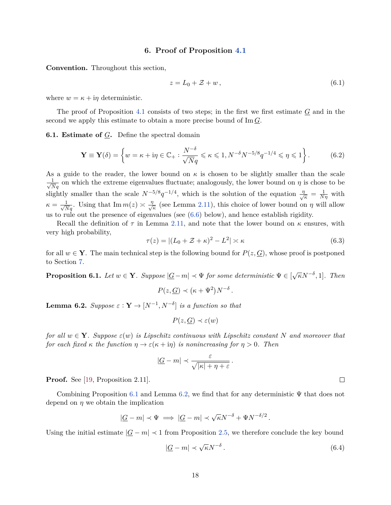#### **6. Proof of Proposition [4.1](#page-11-0)**

<span id="page-17-0"></span>**Convention.** Throughout this section,

<span id="page-17-4"></span>
$$
z = L_0 + \mathcal{Z} + w \,,\tag{6.1}
$$

where  $w = \kappa + i\eta$  deterministic.

The proof of Proposition [4.1](#page-11-0) consists of two steps; in the first we first estimate  $G$  and in the second we apply this estimate to obtain a more precise bound of Im *G*.

**6.1. Estimate of** *G***.** Define the spectral domain

$$
\mathbf{Y} \equiv \mathbf{Y}(\delta) = \left\{ w = \kappa + i\eta \in \mathbb{C}_+ : \frac{N^{-\delta}}{\sqrt{N}q} \leqslant \kappa \leqslant 1, N^{-\delta}N^{-5/8}q^{-1/4} \leqslant \eta \leqslant 1 \right\}.
$$
 (6.2)

As a guide to the reader, the lower bound on  $\kappa$  is chosen to be slightly smaller than the scale  $\frac{1}{\sqrt{Nq}}$  on which the extreme eigenvalues fluctuate; analogously, the lower bound on *η* is chose to be slightly smaller than the scale  $N^{-5/8}q^{-1/4}$ , which is the solution of the equation  $\frac{\eta}{\sqrt{2}}$  $\frac{\partial}{\partial \kappa} = \frac{1}{N\eta}$  with  $\kappa = \frac{1}{\sqrt{Nq}}$ . Using that  $\text{Im } m(z) \approx \frac{\eta}{\sqrt{Nq}}$  $\frac{L}{\kappa}$  (see Lemma [2.11\)](#page-7-1), this choice of lower bound on *η* will allow us to rule out the presence of eigenvalues (see [\(6.6\)](#page-18-3) below), and hence establish rigidity.

Recall the definition of  $\tau$  in Lemma [2.11,](#page-7-1) and note that the lower bound on  $\kappa$  ensures, with very high probability,

<span id="page-17-5"></span>
$$
\tau(z) = |(L_0 + \mathcal{Z} + \kappa)^2 - L^2| \asymp \kappa \tag{6.3}
$$

for all  $w \in Y$ . The main technical step is the following bound for  $P(z, G)$ , whose proof is postponed to Section [7.](#page-19-0)

<span id="page-17-1"></span>**Proposition 6.1.** *Let*  $w \in \mathbf{Y}$ *. Suppose*  $|\underline{G} - m| \prec \Psi$  *for some deterministic*  $\Psi \in [\sqrt{\kappa}N^{-\delta}, 1]$ *. Then* 

$$
P(z, \underline{G}) \prec (\kappa + \Psi^2) N^{-\delta}.
$$

<span id="page-17-2"></span>**Lemma 6.2.** *Suppose*  $\varepsilon$  :  $\mathbf{Y} \to [N^{-1}, N^{-\delta}]$  *is a function so that* 

$$
P(z, \underline{G}) \prec \varepsilon(w)
$$

*for all*  $w \in Y$ *. Suppose*  $\varepsilon(w)$  *is Lipschitz continuous with Lipschitz constant* N and moreover that *for each fixed*  $\kappa$  *the function*  $\eta \to \varepsilon(\kappa + i\eta)$  *is nonincreasing for*  $\eta > 0$ *. Then* 

$$
|\underline{G} - m| \prec \frac{\varepsilon}{\sqrt{|\kappa| + \eta + \varepsilon}}.
$$

**Proof.** See [\[19,](#page-51-0) Proposition 2.11].

Combining Proposition [6.1](#page-17-1) and Lemma [6.2,](#page-17-2) we find that for any deterministic  $\Psi$  that does not depend on  $\eta$  we obtain the implication

$$
|\underline{G} - m| \prec \Psi \implies |\underline{G} - m| \prec \sqrt{\kappa} N^{-\delta} + \Psi N^{-\delta/2}.
$$

Using the initial estimate  $|G - m| \prec 1$  from Proposition [2.5,](#page-6-1) we therefore conclude the key bound

<span id="page-17-3"></span>
$$
|\underline{G} - m| \prec \sqrt{\kappa} N^{-\delta} \,. \tag{6.4}
$$

 $\Box$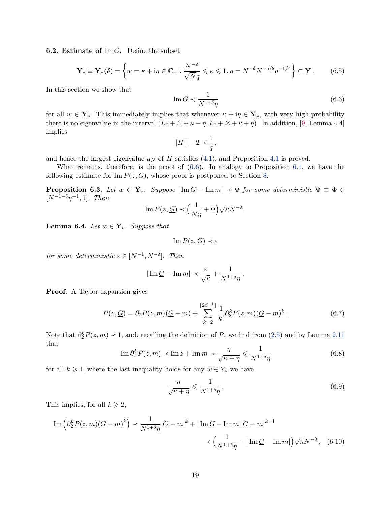**6.2. Estimate of** Im  $\overline{G}$ . Define the subset

<span id="page-18-0"></span>
$$
\mathbf{Y}_{*} \equiv \mathbf{Y}_{*}(\delta) = \left\{ w = \kappa + i\eta \in \mathbb{C}_{+} : \frac{N^{-\delta}}{\sqrt{N}q} \leqslant \kappa \leqslant 1, \eta = N^{-\delta}N^{-5/8}q^{-1/4} \right\} \subset \mathbf{Y}.
$$
 (6.5)

In this section we show that

<span id="page-18-3"></span>
$$
\operatorname{Im}\underline{G} \prec \frac{1}{N^{1+\delta}\eta} \tag{6.6}
$$

for all  $w \in Y_*$ . This immediately implies that whenever  $\kappa + i\eta \in Y_*$ , with very high probability there is no eigenvalue in the interval  $(L_0 + \mathcal{Z} + \kappa - \eta, L_0 + \mathcal{Z} + \kappa + \eta)$ . In addition, [\[9,](#page-51-1) Lemma 4.4] implies

$$
\|H\|-2\prec\frac{1}{q}\,,
$$

and hence the largest eigenvalue  $\mu_N$  of *H* satisfies [\(4.1\)](#page-11-5), and Proposition [4.1](#page-11-0) is proved.

What remains, therefore, is the proof of  $(6.6)$ . In analogy to Proposition [6.1,](#page-17-1) we have the following estimate for  $\text{Im } P(z, G)$ , whose proof is postponed to Section [8.](#page-35-0)

<span id="page-18-2"></span>**Proposition 6.3.** *Let*  $w \in Y_*$ *. Suppose*  $|\text{Im } \underline{G} - \text{Im } m| \prec \Phi$  *for some deterministic*  $\Phi \equiv \Phi \in$  $[N^{-1-\delta}\eta^{-1}, 1]$ *. Then* 

Im 
$$
P(z, G) \prec \left(\frac{1}{N\eta} + \Phi\right) \sqrt{\kappa} N^{-\delta}
$$
.

<span id="page-18-1"></span>**Lemma 6.4.** *Let*  $w \in Y_*$ *. Suppose that* 

$$
\operatorname{Im} P(z, \underline{G}) \prec \varepsilon
$$

*for some deterministic*  $\varepsilon \in [N^{-1}, N^{-\delta}]$ *. Then* 

$$
|\operatorname{Im} \underline{G} - \operatorname{Im} m| \prec \frac{\varepsilon}{\sqrt{\kappa}} + \frac{1}{N^{1+\delta}\eta}.
$$

**Proof.** A Taylor expansion gives

<span id="page-18-4"></span>
$$
P(z, \underline{G}) = \partial_2 P(z, m) (\underline{G} - m) + \sum_{k=2}^{\lceil 2\beta^{-1} \rceil} \frac{1}{k!} \partial_2^k P(z, m) (\underline{G} - m)^k.
$$
 (6.7)

Note that  $\partial_2^k P(z,m) \prec 1$ , and, recalling the definition of *P*, we find from [\(2.5\)](#page-6-0) and by Lemma [2.11](#page-7-1) that

<span id="page-18-5"></span>
$$
\operatorname{Im} \partial_2^k P(z, m) \prec \operatorname{Im} z + \operatorname{Im} m \prec \frac{\eta}{\sqrt{\kappa + \eta}} \leq \frac{1}{N^{1+\delta}\eta}
$$
(6.8)

for all  $k \geq 1$ , where the last inequality holds for any  $w \in Y_*$  we have

$$
\frac{\eta}{\sqrt{\kappa + \eta}} \leqslant \frac{1}{N^{1+\delta}\eta} \,. \tag{6.9}
$$

This implies, for all  $k \geq 2$ ,

$$
\operatorname{Im}\left(\partial_2^k P(z,m)(\underline{G}-m)^k\right) \prec \frac{1}{N^{1+\delta}\eta}|\underline{G}-m|^k + |\operatorname{Im}\underline{G}-\operatorname{Im}m||\underline{G}-m|^{k-1}
$$

$$
\prec \left(\frac{1}{N^{1+\delta}\eta} + |\operatorname{Im}\underline{G}-\operatorname{Im}m|\right)\sqrt{\kappa}N^{-\delta}, \quad (6.10)
$$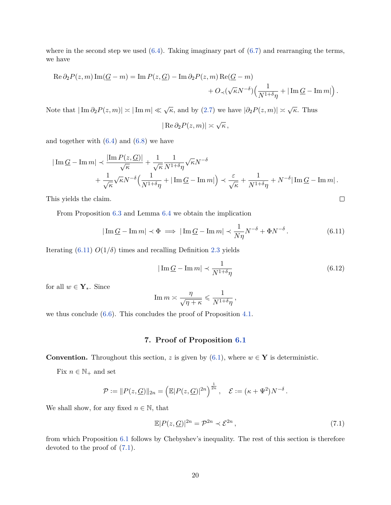where in the second step we used  $(6.4)$ . Taking imaginary part of  $(6.7)$  and rearranging the terms, we have

$$
\operatorname{Re} \partial_2 P(z,m) \operatorname{Im}(\underline{G} - m) = \operatorname{Im} P(z,\underline{G}) - \operatorname{Im} \partial_2 P(z,m) \operatorname{Re}(\underline{G} - m) + O_{\prec}(\sqrt{\kappa}N^{-\delta}) \Big( \frac{1}{N^{1+\delta}\eta} + |\operatorname{Im} \underline{G} - \operatorname{Im} m| \Big).
$$

Note that  $|\text{Im } \partial_2 P(z,m)| \asymp |\text{Im } m| \ll \sqrt{\kappa}$ , and by [\(2.7\)](#page-8-3) we have  $|\partial_2 P(z,m)| \asymp \sqrt{\kappa}$ . Thus

$$
|\operatorname{Re}\partial_2 P(z,m)| \asymp \sqrt{\kappa}\,,
$$

and together with  $(6.4)$  and  $(6.8)$  we have

$$
\vert \operatorname{Im} \underline{G} - \operatorname{Im} m \vert \prec \frac{\vert \operatorname{Im} P(z, \underline{G}) \vert}{\sqrt{\kappa}} + \frac{1}{\sqrt{\kappa}} \frac{1}{N^{1+\delta} \eta} \sqrt{\kappa} N^{-\delta} + \frac{1}{\sqrt{\kappa}} \sqrt{\kappa} N^{-\delta} \Big( \frac{1}{N^{1+\delta} \eta} + \vert \operatorname{Im} \underline{G} - \operatorname{Im} m \vert \Big) \prec \frac{\varepsilon}{\sqrt{\kappa}} + \frac{1}{N^{1+\delta} \eta} + N^{-\delta} \vert \operatorname{Im} \underline{G} - \operatorname{Im} m \vert.
$$

This yields the claim.

From Proposition [6.3](#page-18-2) and Lemma [6.4](#page-18-1) we obtain the implication

<span id="page-19-1"></span>
$$
|\operatorname{Im} \underline{G} - \operatorname{Im} m| \prec \Phi \implies |\operatorname{Im} \underline{G} - \operatorname{Im} m| \prec \frac{1}{N\eta} N^{-\delta} + \Phi N^{-\delta}.
$$
 (6.11)

Iterating  $(6.11)$   $O(1/\delta)$  times and recalling Definition [2.3](#page-6-2) yields

$$
|\operatorname{Im}\underline{G} - \operatorname{Im}m| \prec \frac{1}{N^{1+\delta}\eta} \tag{6.12}
$$

 $\Box$ 

for all  $w \in \mathbf{Y}_{*}$ . Since

$$
\operatorname{Im} m \asymp \frac{\eta}{\sqrt{\eta + \kappa}} \leqslant \frac{1}{N^{1+\delta}\eta} \,,
$$

we thus conclude [\(6.6\)](#page-18-3). This concludes the proof of Proposition [4.1.](#page-11-0)

## **7. Proof of Proposition [6.1](#page-17-1)**

<span id="page-19-0"></span>**Convention.** Throughout this section, *z* is given by [\(6.1\)](#page-17-4), where  $w \in Y$  is deterministic.

Fix  $n \in \mathbb{N}_+$  and set

$$
\mathcal{P} := ||P(z, \underline{G})||_{2n} = \left(\mathbb{E}|P(z, \underline{G})|^{2n}\right)^{\frac{1}{2n}}, \quad \mathcal{E} := (\kappa + \Psi^2)N^{-\delta}.
$$

We shall show, for any fixed  $n \in \mathbb{N}$ , that

<span id="page-19-2"></span>
$$
\mathbb{E}|P(z,\underline{G})|^{2n} = \mathcal{P}^{2n} \prec \mathcal{E}^{2n},\tag{7.1}
$$

from which Proposition [6.1](#page-17-1) follows by Chebyshev's inequality. The rest of this section is therefore devoted to the proof of [\(7.1\)](#page-19-2).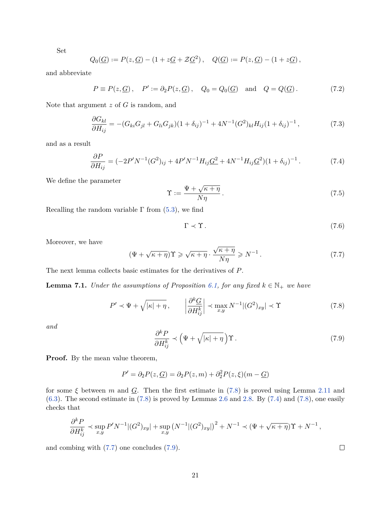Set

$$
Q_0(\underline{G}) := P(z, \underline{G}) - (1 + z\underline{G} + \mathcal{Z}\underline{G}^2), \quad Q(\underline{G}) := P(z, \underline{G}) - (1 + z\underline{G}),
$$

and abbreviate

<span id="page-20-7"></span>
$$
P \equiv P(z, \underline{G}), \quad P' := \partial_2 P(z, \underline{G}), \quad Q_0 = Q_0(\underline{G}) \quad \text{and} \quad Q = Q(\underline{G}). \tag{7.2}
$$

Note that argument *z* of *G* is random, and

<span id="page-20-6"></span>
$$
\frac{\partial G_{kl}}{\partial H_{ij}} = -(G_{ki}G_{jl} + G_{li}G_{jk})(1 + \delta_{ij})^{-1} + 4N^{-1}(G^2)_{kl}H_{ij}(1 + \delta_{ij})^{-1},\tag{7.3}
$$

and as a result

<span id="page-20-1"></span>
$$
\frac{\partial P}{\partial H_{ij}} = (-2P'N^{-1}(G^2)_{ij} + 4P'N^{-1}H_{ij}\underline{G}^2 + 4N^{-1}H_{ij}\underline{G}^2)(1+\delta_{ij})^{-1}.
$$
\n(7.4)

We define the parameter

<span id="page-20-8"></span>
$$
\Upsilon := \frac{\Psi + \sqrt{\kappa + \eta}}{N\eta} \,. \tag{7.5}
$$

Recalling the random variable  $\Gamma$  from [\(5.3\)](#page-13-3), we find

<span id="page-20-4"></span>
$$
\Gamma \prec \Upsilon. \tag{7.6}
$$

Moreover, we have

<span id="page-20-2"></span>
$$
(\Psi + \sqrt{\kappa + \eta})\Upsilon \ge \sqrt{\kappa + \eta} \cdot \frac{\sqrt{\kappa + \eta}}{N\eta} \ge N^{-1}.
$$
 (7.7)

The next lemma collects basic estimates for the derivatives of *P*.

<span id="page-20-5"></span>**Lemma 7.1.** *Under the assumptions of Proposition [6.1,](#page-17-1) for any fixed*  $k \in \mathbb{N}_+$  *we have* 

<span id="page-20-0"></span>
$$
P' \prec \Psi + \sqrt{|\kappa| + \eta}, \qquad \left| \frac{\partial^k G}{\partial H_{ij}^k} \right| \prec \max_{x,y} N^{-1} |(G^2)_{xy}| \prec \Upsilon \tag{7.8}
$$

*and*

<span id="page-20-3"></span>
$$
\frac{\partial^k P}{\partial H_{ij}^k} \prec \left(\Psi + \sqrt{|\kappa| + \eta}\right) \Upsilon \,. \tag{7.9}
$$

**Proof.** By the mean value theorem,

 $P' = \partial_2 P(z, \underline{G}) = \partial_2 P(z, m) + \partial_2^2 P(z, \xi)(m - \underline{G})$ 

for some  $\xi$  between  $m$  and  $\underline{G}$ . Then the first estimate in [\(7.8\)](#page-20-0) is proved using Lemma [2.11](#page-7-1) and  $(6.3)$ . The second estimate in  $(7.8)$  is proved by Lemmas [2.6](#page-6-3) and [2.8.](#page-7-2) By  $(7.4)$  and  $(7.8)$ , one easily checks that

$$
\frac{\partial^k P}{\partial H_{ij}^k} \prec \sup_{x,y} P' N^{-1} |(G^2)_{xy}| + \sup_{x,y} (N^{-1} |(G^2)_{xy}|)^2 + N^{-1} \prec (\Psi + \sqrt{\kappa + \eta}) \Upsilon + N^{-1},
$$

and combing with [\(7.7\)](#page-20-2) one concludes [\(7.9\)](#page-20-3).

 $\Box$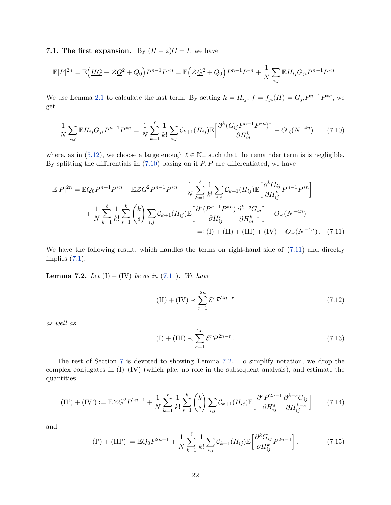**7.1. The first expansion.** By  $(H - z)G = I$ , we have

$$
\mathbb{E}|P|^{2n} = \mathbb{E}\Big(\underline{HG} + \mathcal{Z}\underline{G}^2 + Q_0\Big)P^{n-1}P^{*n} = \mathbb{E}\Big(\mathcal{Z}\underline{G}^2 + Q_0\Big)P^{n-1}P^{*n} + \frac{1}{N}\sum_{i,j}\mathbb{E}H_{ij}G_{ji}P^{n-1}P^{*n}.
$$

We use Lemma [2.1](#page-5-2) to calculate the last term. By setting  $h = H_{ij}$ ,  $f = f_{ji}(H) = G_{ji}P^{n-1}P^{*n}$ , we get

<span id="page-21-0"></span>
$$
\frac{1}{N} \sum_{i,j} \mathbb{E} H_{ij} G_{ji} P^{n-1} P^{*n} = \frac{1}{N} \sum_{k=1}^{\ell} \frac{1}{k!} \sum_{i,j} C_{k+1} (H_{ij}) \mathbb{E} \left[ \frac{\partial^k (G_{ij} P^{n-1} P^{*n})}{\partial H_{ij}^k} \right] + O_{\prec} (N^{-4n}) \tag{7.10}
$$

where, as in [\(5.12\)](#page-15-2), we choose a large enough  $\ell \in \mathbb{N}_+$  such that the remainder term is is negligible. By splitting the differentials in  $(7.10)$  basing on if  $P$ ,  $\overline{P}$  are differentiated, we have

$$
\mathbb{E}|P|^{2n} = \mathbb{E}Q_0 P^{n-1} P^{*n} + \mathbb{E}Z\underline{G}^2 P^{n-1} P^{*n} + \frac{1}{N} \sum_{k=1}^{\ell} \frac{1}{k!} \sum_{i,j} C_{k+1}(H_{ij}) \mathbb{E} \left[ \frac{\partial^k G_{ij}}{\partial H_{ij}^k} P^{n-1} P^{*n} \right] + \frac{1}{N} \sum_{k=1}^{\ell} \frac{1}{k!} \sum_{s=1}^{k} {k \choose s} \sum_{i,j} C_{k+1}(H_{ij}) \mathbb{E} \left[ \frac{\partial^s (P^{n-1} P^{*n})}{\partial H_{ij}^s} \frac{\partial^{k-s} G_{ij}}{\partial H_{ij}^{k-s}} \right] + O_{\prec}(N^{-4n}) =: (I) + (II) + (III) + (IV) + O_{\prec}(N^{-4n}). \tag{7.11}
$$

We have the following result, which handles the terms on right-hand side of  $(7.11)$  and directly implies [\(7.1\)](#page-19-2).

<span id="page-21-2"></span>**Lemma 7.2.** *Let*  $(I) - (IV)$  *be as in*  $(7.11)$ *. We have* 

<span id="page-21-1"></span>
$$
(II) + (IV) \prec \sum_{r=1}^{2n} \mathcal{E}^r \mathcal{P}^{2n-r}
$$
\n
$$
(7.12)
$$

*as well as*

$$
(I) + (III) \prec \sum_{r=1}^{2n} \mathcal{E}^r \mathcal{P}^{2n-r} \,. \tag{7.13}
$$

The rest of Section [7](#page-19-0) is devoted to showing Lemma [7.2.](#page-21-2) To simplify notation, we drop the complex conjugates in (I)–(IV) (which play no role in the subsequent analysis), and estimate the quantities

<span id="page-21-3"></span>
$$
(II') + (IV') := \mathbb{E} \mathcal{Z} \underline{G}^2 P^{2n-1} + \frac{1}{N} \sum_{k=1}^{\ell} \frac{1}{k!} \sum_{s=1}^{k} {k \choose s} \sum_{i,j} \mathcal{C}_{k+1}(H_{ij}) \mathbb{E} \left[ \frac{\partial^s P^{2n-1}}{\partial H_{ij}^s} \frac{\partial^{k-s} G_{ij}}{\partial H_{ij}^{k-s}} \right] \tag{7.14}
$$

and

<span id="page-21-4"></span>
$$
(I') + (III') := \mathbb{E}Q_0 P^{2n-1} + \frac{1}{N} \sum_{k=1}^{\ell} \frac{1}{k!} \sum_{i,j} C_{k+1}(H_{ij}) \mathbb{E} \left[ \frac{\partial^k G_{ij}}{\partial H_{ij}^k} P^{2n-1} \right].
$$
 (7.15)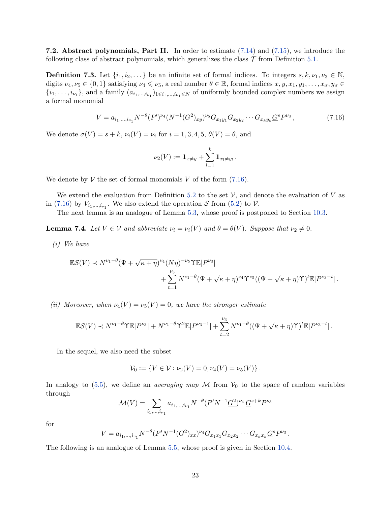<span id="page-22-0"></span>**7.2. Abstract polynomials, Part II.** In order to estimate [\(7.14\)](#page-21-3) and [\(7.15\)](#page-21-4), we introduce the following class of abstract polynomials, which generalizes the class  $\mathcal T$  from Definition [5.1.](#page-13-4)

**Definition 7.3.** Let  $\{i_1, i_2, \ldots\}$  be an infinite set of formal indices. To integers  $s, k, \nu_1, \nu_3 \in \mathbb{N}$ , digits  $\nu_4, \nu_5 \in \{0, 1\}$  satisfying  $\nu_4 \leq \nu_5$ , a real number  $\theta \in \mathbb{R}$ , formal indices  $x, y, x_1, y_1, \ldots, x_\sigma, y_\sigma \in$  $\{i_1, \ldots, i_{\nu_1}\}\$ , and a family  $(a_{i_1,\ldots,i_{\nu_1}})_{1\leq i_1,\ldots,i_{\nu_1}\leq N}$  of uniformly bounded complex numbers we assign a formal monomial

<span id="page-22-1"></span>
$$
V = a_{i_1,\dots,i_{\nu_1}} N^{-\theta} (P')^{\nu_4} (N^{-1} (G^2)_{xy})^{\nu_5} G_{x_1 y_1} G_{x_2 y_2} \cdots G_{x_k y_k} G^s P^{\nu_3},\tag{7.16}
$$

We denote  $\sigma(V) = s + k$ ,  $\nu_i(V) = \nu_i$  for  $i = 1, 3, 4, 5, \theta(V) = \theta$ , and

$$
\nu_2(V) := \mathbf{1}_{x \neq y} + \sum_{l=1}^k \mathbf{1}_{x_l \neq y_l}.
$$

We denote by  $V$  the set of formal monomials V of the form  $(7.16)$ .

We extend the evaluation from Definition [5.2](#page-13-5) to the set  $V$ , and denote the evaluation of  $V$  as in [\(7.16\)](#page-22-1) by  $V_{i_1,\dots,i_{\nu_1}}$ . We also extend the operation S from [\(5.2\)](#page-13-6) to  $\mathcal{V}$ .

The next lemma is an analogue of Lemma [5.3,](#page-13-2) whose proof is postponed to Section [10.3.](#page-45-1)

<span id="page-22-2"></span>**Lemma 7.4.** *Let*  $V \in V$  *and abbreviate*  $\nu_i = \nu_i(V)$  *and*  $\theta = \theta(V)$ *. Suppose that*  $\nu_2 \neq 0$ *.* 

*(i) We have*

$$
\mathbb{E}S(V) \prec N^{\nu_1-\theta}(\Psi+\sqrt{\kappa+\eta})^{\nu_4}(N\eta)^{-\nu_5}\Upsilon \mathbb{E}|P^{\nu_3}| +\sum_{t=1}^{\nu_3} N^{\nu_1-\theta}(\Psi+\sqrt{\kappa+\eta})^{\nu_4}\Upsilon^{\nu_5}((\Psi+\sqrt{\kappa+\eta})\Upsilon)^t\mathbb{E}|P^{\nu_3-t}|.
$$

*(ii) Moreover, when*  $\nu_4(V) = \nu_5(V) = 0$ *, we have the stronger estimate* 

$$
\mathbb{E}S(V) \prec N^{\nu_1-\theta} \Upsilon \mathbb{E}|P^{\nu_3}| + N^{\nu_1-\theta} \Upsilon^2 \mathbb{E}|P^{\nu_3-1}| + \sum_{t=2}^{\nu_3} N^{\nu_1-\theta} ((\Psi + \sqrt{\kappa + \eta}) \Upsilon)^t \mathbb{E}|P^{\nu_3-t}|.
$$

In the sequel, we also need the subset

$$
\mathcal{V}_0 := \{ V \in \mathcal{V} : \nu_2(V) = 0, \nu_4(V) = \nu_5(V) \}.
$$

In analogy to  $(5.5)$ , we define an *averaging map* M from  $V_0$  to the space of random variables through

$$
\mathcal{M}(V) = \sum_{i_1,\dots,i_{\nu_1}} a_{i_1,\dots,i_{\nu_1}} N^{-\theta} (P' N^{-1} \underline{G}^2)^{\nu_4} \underline{G}^{s+k} P^{\nu_3}
$$

for

$$
V = a_{i_1,\dots,i_{\nu_1}} N^{-\theta} (P' N^{-1} (G^2)_{xx})^{\nu_4} G_{x_1x_1} G_{x_2x_2} \cdots G_{x_kx_k} G^s P^{\nu_3}.
$$

The following is an analogue of Lemma [5.5,](#page-14-0) whose proof is given in Section [10.4.](#page-48-0)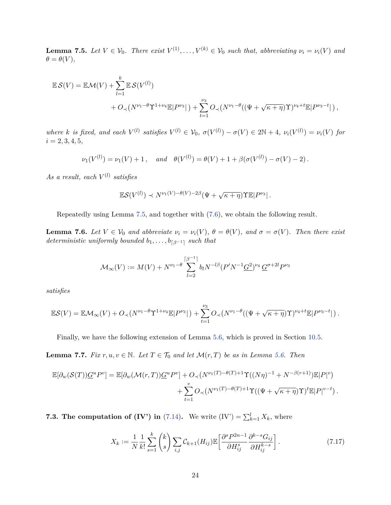<span id="page-23-0"></span>**Lemma 7.5.** Let  $V \in V_0$ . There exist  $V^{(1)}, \ldots, V^{(k)} \in V_0$  such that, abbreviating  $\nu_i = \nu_i(V)$  and  $\theta = \theta(V)$ *,* 

$$
\mathbb{E} \mathcal{S}(V) = \mathbb{E}\mathcal{M}(V) + \sum_{l=1}^{k} \mathbb{E} \mathcal{S}(V^{(l)}) + O_{\prec}(N^{\nu_1 - \theta} \Upsilon^{1 + \nu_4} \mathbb{E}|P^{\nu_3}|) + \sum_{t=1}^{\nu_3} O_{\prec}(N^{\nu_1 - \theta}((\Psi + \sqrt{\kappa + \eta})\Upsilon)^{\nu_4 + t} \mathbb{E}|P^{\nu_3 - t}|),
$$

where k is fixed, and each  $V^{(l)}$  satisfies  $V^{(l)} \in V_0$ ,  $\sigma(V^{(l)}) - \sigma(V) \in 2\mathbb{N} + 4$ ,  $\nu_i(V^{(l)}) = \nu_i(V)$  for  $i = 2, 3, 4, 5,$ 

$$
\nu_1(V^{(l)}) = \nu_1(V) + 1
$$
, and  $\theta(V^{(l)}) = \theta(V) + 1 + \beta(\sigma(V^{(l)}) - \sigma(V) - 2)$ .

 $As a result, each  $V^{(l)}$  satisfies$ 

$$
\mathbb{E} \mathcal{S}(V^{(l)}) \prec N^{\nu_1(V) - \theta(V) - 2\beta} (\Psi + \sqrt{\kappa + \eta}) \Upsilon \mathbb{E} |P^{\nu_3}|.
$$

Repeatedly using Lemma [7.5,](#page-23-0) and together with [\(7.6\)](#page-20-4), we obtain the following result.

<span id="page-23-1"></span>**Lemma 7.6.** Let  $V \in V_0$  and abbreviate  $\nu_i = \nu_i(V)$ ,  $\theta = \theta(V)$ , and  $\sigma = \sigma(V)$ . Then there exist *deterministic uniformly bounded*  $b_1, \ldots, b_{\lceil \beta^{-1} \rceil}$  *such that* 

$$
\mathcal{M}_{\infty}(V) := M(V) + N^{\nu_1 - \theta} \sum_{l=2}^{\lceil \beta^{-1} \rceil} b_l N^{-l\beta} (P' N^{-1} \underline{G}^2)^{\nu_4} \underline{G}^{\sigma + 2l} P^{\nu_3}
$$

*satisfies*

$$
\mathbb{E}S(V) = \mathbb{E}\mathcal{M}_{\infty}(V) + O_{\prec}(N^{\nu_1-\theta}\Upsilon^{1+\nu_4}\mathbb{E}|P^{\nu_3}|) + \sum_{t=1}^{\nu_3} O_{\prec}(N^{\nu_1-\theta}((\Psi+\sqrt{\kappa+\eta})\Upsilon)^{\nu_4+t}\mathbb{E}|P^{\nu_3-t}|).
$$

Finally, we have the following extension of Lemma [5.6,](#page-14-3) which is proved in Section [10.5.](#page-48-1)

<span id="page-23-2"></span>**Lemma 7.7.** *Fix*  $r, u, v \in \mathbb{N}$ *. Let*  $T \in \mathcal{T}_0$  *and let*  $\mathcal{M}(r, T)$  *be as in Lemma [5.6.](#page-14-3) Then* 

$$
\mathbb{E}[\partial_w(\mathcal{S}(T))\underline{G}^u P^v] = \mathbb{E}[\partial_w(\mathcal{M}(r,T))\underline{G}^u P^v] + O_\prec(N^{\nu_1(T)-\theta(T)+1}\Upsilon((N\eta)^{-1} + N^{-\beta(r+1)})\mathbb{E}|P|^v) + \sum_{t=1}^v O_\prec(N^{\nu_1(T)-\theta(T)+1}\Upsilon((\Psi+\sqrt{\kappa+\eta})\Upsilon)^t \mathbb{E}|P|^{v-t}).
$$

<span id="page-23-3"></span>**7.3. The computation of (IV') in** [\(7.14\)](#page-21-3). We write  $(IV') = \sum_{k=1}^{l} X_k$ , where

$$
X_k := \frac{1}{N} \frac{1}{k!} \sum_{s=1}^k \binom{k}{s} \sum_{i,j} \mathcal{C}_{k+1}(H_{ij}) \mathbb{E} \left[ \frac{\partial^s P^{2n-1}}{\partial H_{ij}^s} \frac{\partial^{k-s} G_{ij}}{\partial H_{ij}^{k-s}} \right]. \tag{7.17}
$$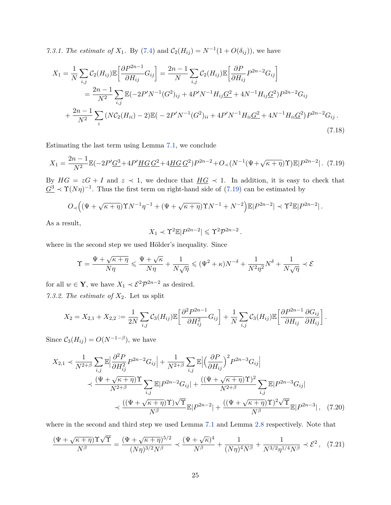<span id="page-24-3"></span>*7.3.1. The estimate of*  $X_1$ . By [\(7.4\)](#page-20-1) and  $C_2(H_{ij}) = N^{-1}(1 + O(\delta_{ij}))$ , we have

$$
X_{1} = \frac{1}{N} \sum_{i,j} C_{2}(H_{ij}) \mathbb{E} \left[ \frac{\partial P^{2n-1}}{\partial H_{ij}} G_{ij} \right] = \frac{2n-1}{N} \sum_{i,j} C_{2}(H_{ij}) \mathbb{E} \left[ \frac{\partial P}{\partial H_{ij}} P^{2n-2} G_{ij} \right]
$$
  

$$
= \frac{2n-1}{N^{2}} \sum_{i,j} \mathbb{E} (-2P'N^{-1}(G^{2})_{ij} + 4P'N^{-1}H_{ij}\underline{G}^{2} + 4N^{-1}H_{ij}\underline{G}^{2}) P^{2n-2} G_{ij}
$$
  

$$
+ \frac{2n-1}{N^{2}} \sum_{i} (N C_{2}(H_{ii}) - 2) \mathbb{E} (-2P'N^{-1}(G^{2})_{ii} + 4P'N^{-1}H_{ii}\underline{G}^{2} + 4N^{-1}H_{ii}\underline{G}^{2}) P^{2n-2} G_{ij}.
$$
  
(7.18)

Estimating the last term using Lemma [7.1,](#page-20-5) we conclude

<span id="page-24-0"></span>
$$
X_1 = \frac{2n-1}{N^2} \mathbb{E}(-2P'\underline{G}^3 + 4P'\underline{HG}\,\underline{G}^2 + 4\underline{HG}\,\underline{G}^2)P^{2n-2} + O_\prec(N^{-1}(\Psi + \sqrt{\kappa + \eta})\Upsilon)\mathbb{E}|P^{2n-2}|.
$$
 (7.19)

By  $HG = zG + I$  and  $z \leq 1$ , we deduce that  $\underline{HG} \leq 1$ . In addition, it is easy to check that  $G^3 \prec \Upsilon(N\eta)^{-1}$ . Thus the first term on right-hand side of [\(7.19\)](#page-24-0) can be estimated by

$$
O_{\prec}\Big((\Psi+\sqrt{\kappa+\eta})\Upsilon N^{-1}\eta^{-1}+(\Psi+\sqrt{\kappa+\eta})\Upsilon N^{-1}+N^{-2}\Big)\mathbb{E}|P^{2n-2}| \prec \Upsilon^2\mathbb{E}|P^{2n-2}| \,.
$$

As a result,

<span id="page-24-1"></span>
$$
X_1 \prec \Upsilon^2 \mathbb{E} |P^{2n-2}| \leq \Upsilon^2 \mathcal{P}^{2n-2}.
$$

where in the second step we used Hölder's inequality. Since

$$
\Upsilon = \frac{\Psi + \sqrt{\kappa + \eta}}{N\eta} \leqslant \frac{\Psi + \sqrt{\kappa}}{N\eta} + \frac{1}{N\sqrt{\eta}} \leqslant (\Psi^2 + \kappa) N^{-\delta} + \frac{1}{N^2\eta^2} N^{\delta} + \frac{1}{N\sqrt{\eta}} \prec \mathcal{E}
$$

for all  $w \in \mathbf{Y}$ , we have  $X_1 \prec \mathcal{E}^2 \mathcal{P}^{2n-2}$  as desired.

<span id="page-24-4"></span>*7.3.2. The estimate of X*2*.* Let us split

$$
X_2 = X_{2,1} + X_{2,2} := \frac{1}{2N} \sum_{i,j} C_3(H_{ij}) \mathbb{E}\left[\frac{\partial^2 P^{2n-1}}{\partial H_{ij}^2} G_{ij}\right] + \frac{1}{N} \sum_{i,j} C_3(H_{ij}) \mathbb{E}\left[\frac{\partial P^{2n-1}}{\partial H_{ij}} \frac{\partial G_{ij}}{\partial H_{ij}}\right].
$$

Since  $C_3(H_{ij}) = O(N^{-1-\beta})$ , we have

$$
X_{2,1} \prec \frac{1}{N^{2+\beta}} \sum_{i,j} \mathbb{E} \Big| \frac{\partial^2 P}{\partial H_{ij}^2} P^{2n-2} G_{ij} \Big| + \frac{1}{N^{2+\beta}} \sum_{i,j} \mathbb{E} \Big| \Big( \frac{\partial P}{\partial H_{ij}} \Big)^2 P^{2n-3} G_{ij} \Big|
$$
  
\$\prec \frac{(\Psi + \sqrt{\kappa} + \eta) \Upsilon}{N^{2+\beta}} \sum\_{i,j} \mathbb{E} |P^{2n-2} G\_{ij}| + \frac{((\Psi + \sqrt{\kappa} + \eta) \Upsilon)^2}{N^{2+\beta}} \sum\_{i,j} \mathbb{E} |P^{2n-3} G\_{ij}|\$  
\$\prec \frac{((\Psi + \sqrt{\kappa} + \eta) \Upsilon) \sqrt{\Upsilon}}{N^{\beta}} \mathbb{E} |P^{2n-2}| + \frac{((\Psi + \sqrt{\kappa} + \eta) \Upsilon)^2 \sqrt{\Upsilon}}{N^{\beta}} \mathbb{E} |P^{2n-3}| , (7.20)\$

where in the second and third step we used Lemma [7.1](#page-20-5) and Lemma [2.8](#page-7-2) respectively. Note that

<span id="page-24-2"></span>
$$
\frac{(\Psi + \sqrt{\kappa + \eta})\Upsilon\sqrt{\Upsilon}}{N^{\beta}} = \frac{(\Psi + \sqrt{\kappa + \eta})^{5/2}}{(N\eta)^{3/2}N^{\beta}} \prec \frac{(\Psi + \sqrt{\kappa})^4}{N^{\beta}} + \frac{1}{(N\eta)^4 N^{\beta}} + \frac{1}{N^{3/2}\eta^{1/4}N^{\beta}} \prec \mathcal{E}^2
$$
, (7.21)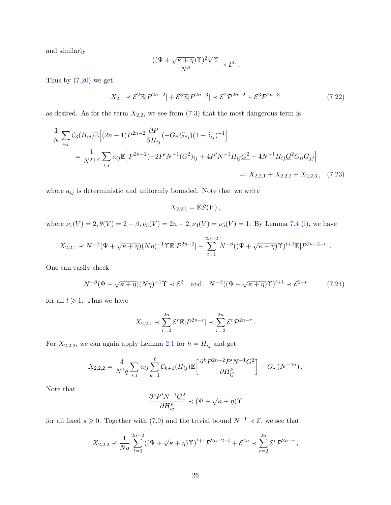and similarly

$$
\frac{((\Psi + \sqrt{\kappa + \eta})\Upsilon)^2 \sqrt{\Upsilon}}{N^{\beta}} \prec \mathcal{E}^3.
$$

Thus by [\(7.20\)](#page-24-1) we get

<span id="page-25-1"></span>
$$
X_{2,1} \prec \mathcal{E}^2 \mathbb{E}|P^{2n-2}| + \mathcal{E}^3 \mathbb{E}|P^{2n-3}| \prec \mathcal{E}^2 \mathcal{P}^{2n-2} + \mathcal{E}^3 \mathcal{P}^{2n-3}
$$
 (7.22)

as desired. As for the term  $X_{2,2}$ , we see from  $(7.3)$  that the most dangerous term is

$$
\frac{1}{N} \sum_{i,j} C_3(H_{ij}) \mathbb{E} \Big[ (2n-1) P^{2n-2} \frac{\partial P}{\partial H_{ij}} (-G_{ii} G_{jj}) (1+\delta_{ij})^{-1} \Big]
$$
\n
$$
= \frac{1}{N^{2+\beta}} \sum_{i,j} a_{ij} \mathbb{E} \Big[ P^{2n-2} (-2P'N^{-1}(G^2)_{ij} + 4P'N^{-1}H_{ij} \underline{G}^2 + 4N^{-1}H_{ij} \underline{G}^2 G_{ii} G_{jj} \Big]
$$
\n
$$
=: X_{2,2,1} + X_{2,2,2} + X_{2,2,3}, \quad (7.23)
$$

where  $\boldsymbol{a}_{ij}$  is deterministic and uniformly bounded. Note that we write

<span id="page-25-0"></span>
$$
X_{2,2,1}=\mathbb{E}\mathcal{S}(V)\,,
$$

where  $\nu_1(V) = 2, \theta(V) = 2 + \beta, \nu_3(V) = 2n - 2, \nu_4(V) = \nu_5(V) = 1$ . By Lemma [7.4](#page-22-2) (i), we have

$$
X_{2,2,1} \prec N^{-\beta}(\Psi+\sqrt{\kappa+\eta})(N\eta)^{-1}\Upsilon \mathbb{E}|P^{2n-2}| + \sum_{t=1}^{2n-2} N^{-\beta}((\Psi+\sqrt{\kappa+\eta})\Upsilon)^{t+1}\mathbb{E}|P^{2n-2-t}|.
$$

One can easily check

<span id="page-25-2"></span>
$$
N^{-\beta}(\Psi + \sqrt{\kappa + \eta})(N\eta)^{-1}\Upsilon \prec \mathcal{E}^2 \quad \text{and} \quad N^{-\beta}((\Psi + \sqrt{\kappa + \eta})\Upsilon)^{t+1} \prec \mathcal{E}^{2+t} \tag{7.24}
$$

for all  $t \geqslant 1$ . Thus we have

$$
X_{2,2,1} \prec \sum_{r=2}^{2n} \mathcal{E}^r \mathbb{E} |P^{2n-r}| \prec \sum_{r=2}^{2n} \mathcal{E}^r \mathcal{P}^{2n-r}.
$$

For  $X_{2,2,2}$ , we can again apply Lemma [2.1](#page-5-2) for  $h = H_{ij}$  and get

$$
X_{2,2,2} = \frac{4}{N^2 q} \sum_{i,j} a_{ij} \sum_{k=1}^{\ell} C_{k+1}(H_{ij}) \mathbb{E} \left[ \frac{\partial^k P^{2n-2} P' N^{-1} G^2}{\partial H_{ij}^k} \right] + O_{\prec}(N^{-4n}).
$$

Note that

$$
\frac{\partial^s P' N^{-1} \underline{G^2}}{\partial H^s_{ij}} \prec (\Psi + \sqrt{\kappa + \eta}) \Upsilon
$$

for all fixed  $s \geq 0$ . Together with [\(7.9\)](#page-20-3) and the trivial bound  $N^{-1} \prec \mathcal{E}$ , we see that

$$
X_{2,2,2} \prec \frac{1}{Nq} \sum_{t=0}^{2n-2} ((\Psi + \sqrt{\kappa + \eta}) \Upsilon)^{t+1} \mathcal{P}^{2n-2-t} + \mathcal{E}^{4n} \prec \sum_{r=2}^{2n} \mathcal{E}^r \mathcal{P}^{2n-r},
$$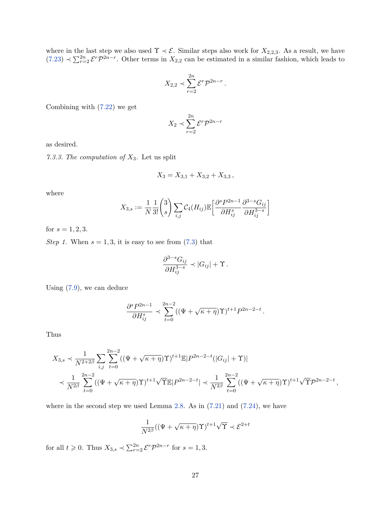where in the last step we also used  $\Upsilon \prec \mathcal{E}$ . Similar steps also work for  $X_{2,2,3}$ . As a result, we have  $(7.23) \prec \sum_{r=2}^{2n} \mathcal{E}^r \mathcal{P}^{2n-r}$  $(7.23) \prec \sum_{r=2}^{2n} \mathcal{E}^r \mathcal{P}^{2n-r}$ . Other terms in  $X_{2,2}$  can be estimated in a similar fashion, which leads to

$$
X_{2,2} \prec \sum_{r=2}^{2n} \mathcal{E}^r \mathcal{P}^{2n-r}.
$$

Combining with [\(7.22\)](#page-25-1) we get

$$
X_2 \prec \sum_{r=2}^{2n} \mathcal{E}^r \mathcal{P}^{2n-r}
$$

as desired.

<span id="page-26-0"></span>*7.3.3. The computation of X*3*.* Let us split

$$
X_3 = X_{3,1} + X_{3,2} + X_{3,3} \,,
$$

where

$$
X_{3,s} := \frac{1}{N} \frac{1}{3!} {3 \choose s} \sum_{i,j} C_4(H_{ij}) \mathbb{E} \left[ \frac{\partial^s P^{2n-1}}{\partial H_{ij}^s} \frac{\partial^{3-s} G_{ij}}{\partial H_{ij}^{3-s}} \right]
$$

for  $s = 1, 2, 3$ .

*Step 1.* When  $s = 1, 3$ , it is easy to see from  $(7.3)$  that

$$
\frac{\partial^{3-s} G_{ij}}{\partial H_{ij}^{3-s}} \prec |G_{ij}| + \Upsilon.
$$

Using [\(7.9\)](#page-20-3), we can deduce

$$
\frac{\partial^s P^{2n-1}}{\partial H_{ij}^s} \prec \sum_{t=0}^{2n-2} ((\Psi + \sqrt{\kappa + \eta}) \Upsilon)^{t+1} P^{2n-2-t}.
$$

Thus

$$
X_{3,s} \prec \frac{1}{N^{2+2\beta}} \sum_{i,j} \sum_{t=0}^{2n-2} ((\Psi + \sqrt{\kappa + \eta}) \Upsilon)^{t+1} \mathbb{E} |P^{2n-2-t}(|G_{ij}| + \Upsilon)|
$$
  

$$
\prec \frac{1}{N^{2\beta}} \sum_{t=0}^{2n-2} ((\Psi + \sqrt{\kappa + \eta}) \Upsilon)^{t+1} \sqrt{\Upsilon} \mathbb{E} |P^{2n-2-t}| \prec \frac{1}{N^{2\beta}} \sum_{t=0}^{2n-2} ((\Psi + \sqrt{\kappa + \eta}) \Upsilon)^{t+1} \sqrt{\Upsilon} \mathcal{P}^{2n-2-t},
$$

where in the second step we used Lemma [2.8.](#page-7-2) As in  $(7.21)$  and  $(7.24)$ , we have

$$
\frac{1}{N^{2\beta}}((\Psi + \sqrt{\kappa + \eta})\Upsilon)^{t+1}\sqrt{\Upsilon} \prec \mathcal{E}^{2+t}
$$

for all  $t \ge 0$ . Thus  $X_{3,s} \prec \sum_{r=2}^{2n} \mathcal{E}^r \mathcal{P}^{2n-r}$  for  $s = 1, 3$ .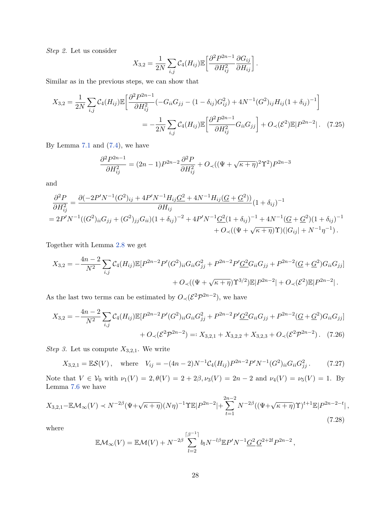*Step 2.* Let us consider

<span id="page-27-3"></span>
$$
X_{3,2} = \frac{1}{2N} \sum_{i,j} C_4(H_{ij}) \mathbb{E} \left[ \frac{\partial^2 P^{2n-1}}{\partial H_{ij}^2} \frac{\partial G_{ij}}{\partial H_{ij}} \right].
$$

Similar as in the previous steps, we can show that

$$
X_{3,2} = \frac{1}{2N} \sum_{i,j} C_4(H_{ij}) \mathbb{E} \left[ \frac{\partial^2 P^{2n-1}}{\partial H_{ij}^2} (-G_{ii}G_{jj} - (1 - \delta_{ij})G_{ij}^2) + 4N^{-1}(G^2)_{ij} H_{ij} (1 + \delta_{ij})^{-1} \right]
$$
  

$$
= -\frac{1}{2N} \sum_{i,j} C_4(H_{ij}) \mathbb{E} \left[ \frac{\partial^2 P^{2n-1}}{\partial H_{ij}^2} G_{ii} G_{jj} \right] + O_{\prec}(\mathcal{E}^2) \mathbb{E} |P^{2n-2}|. \tag{7.25}
$$

By Lemma  $7.1$  and  $(7.4)$ , we have

$$
\frac{\partial^2 P^{2n-1}}{\partial H_{ij}^2} = (2n-1)P^{2n-2}\frac{\partial^2 P}{\partial H_{ij}^2} + O\left((\Psi + \sqrt{\kappa + \eta})^2 \Upsilon^2\right) P^{2n-3}
$$

and

$$
\frac{\partial^2 P}{\partial H_{ij}^2} = \frac{\partial (-2P'N^{-1}(G^2)_{ij} + 4P'N^{-1}H_{ij}G^2 + 4N^{-1}H_{ij}(G + G^2))}{\partial H_{ij}} (1 + \delta_{ij})^{-1}
$$
  
=  $2P'N^{-1}((G^2)_{ii}G_{jj} + (G^2)_{jj}G_{ii})(1 + \delta_{ij})^{-2} + 4P'N^{-1}\underline{G^2}(1 + \delta_{ij})^{-1} + 4N^{-1}(\underline{G} + \underline{G}^2)(1 + \delta_{ij})^{-1} + O_\prec((\Psi + \sqrt{\kappa + \eta})\Upsilon)(|G_{ij}| + N^{-1}\eta^{-1}).$ 

Together with Lemma [2.8](#page-7-2) we get

$$
X_{3,2} = -\frac{4n-2}{N^2} \sum_{i,j} C_4(H_{ij}) \mathbb{E}[P^{2n-2}P'(G^2)_{ii} G_{ii} G_{jj}^2 + P^{2n-2}P'\underline{G^2} G_{ii} G_{jj} + P^{2n-2}(\underline{G} + \underline{G}^2) G_{ii} G_{jj}] + O_{\prec}((\Psi + \sqrt{\kappa + \eta}) \Upsilon^{3/2}) \mathbb{E}[P^{2n-2}| + O_{\prec}(\mathcal{E}^2) \mathbb{E}[P^{2n-2}].
$$

As the last two terms can be estimated by  $O_{\prec}(\mathcal{E}^2 \mathcal{P}^{2n-2})$ , we have

$$
X_{3,2} = -\frac{4n-2}{N^2} \sum_{i,j} C_4(H_{ij}) \mathbb{E}[P^{2n-2}P'(G^2)_{ii} G_{ii} G_{jj}^2 + P^{2n-2}P'\underline{G}^2 G_{ii} G_{jj} + P^{2n-2}(G + G^2) G_{ii} G_{jj}]
$$
  
+  $O_{\prec} (\mathcal{E}^2 \mathcal{P}^{2n-2}) =: X_{3,2,1} + X_{3,2,2} + X_{3,2,3} + O_{\prec} (\mathcal{E}^2 \mathcal{P}^{2n-2}).$  (7.26)

*Step 3.* Let us compute  $X_{3,2,1}$ . We write

<span id="page-27-2"></span>
$$
X_{3,2,1} = \mathbb{E}S(V), \quad \text{where} \quad V_{ij} = -(4n-2)N^{-1}\mathcal{C}_4(H_{ij})P^{2n-2}P'N^{-1}(G^2)_{ii}G_{ii}G_{jj}^2. \tag{7.27}
$$

Note that  $V \in V_0$  with  $\nu_1(V) = 2, \theta(V) = 2 + 2\beta, \nu_3(V) = 2n - 2$  and  $\nu_4(V) = \nu_5(V) = 1$ . By Lemma  $7.6$  we have

<span id="page-27-0"></span>
$$
X_{3,2,1} - \mathbb{E}\mathcal{M}_{\infty}(V) \prec N^{-2\beta}(\Psi + \sqrt{\kappa + \eta})(N\eta)^{-1}\Upsilon \mathbb{E}|P^{2n-2}| + \sum_{t=1}^{2n-2} N^{-2\beta}((\Psi + \sqrt{\kappa + \eta})\Upsilon)^{t+1}\mathbb{E}|P^{2n-2-t}|,
$$
\n(7.28)

where

<span id="page-27-1"></span>
$$
\mathbb{E}\mathcal{M}_{\infty}(V) = \mathbb{E}\mathcal{M}(V) + N^{-2\beta} \sum_{l=2}^{\lceil \beta^{-1} \rceil} b_l N^{-l\beta} \mathbb{E} P' N^{-1} \underline{G}^2 \underline{G}^{2+2l} P^{2n-2},
$$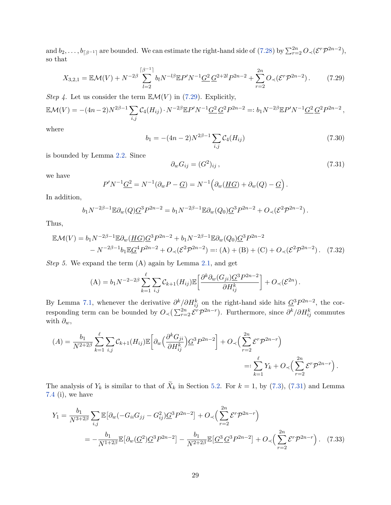and  $b_2, \ldots, b_{\lceil \beta^{-1} \rceil}$  are bounded. We can estimate the right-hand side of [\(7.28\)](#page-27-0) by  $\sum_{r=2}^{2n} O_{\prec}(\mathcal{E}^r \mathcal{P}^{2n-2}),$ so that

<span id="page-28-0"></span>
$$
X_{3,2,1} = \mathbb{E}\mathcal{M}(V) + N^{-2\beta} \sum_{l=2}^{\lceil \beta^{-1} \rceil} b_l N^{-l\beta} \mathbb{E} P' N^{-1} \underline{G}^2 \underline{G}^{2+2l} P^{2n-2} + \sum_{r=2}^{2n} O_{\prec} (\mathcal{E}^r \mathcal{P}^{2n-2}). \tag{7.29}
$$

*Step 4.* Let us consider the term  $\mathbb{E}\mathcal{M}(V)$  in [\(7.29\)](#page-28-0). Explicitly,

$$
\mathbb{E}\mathcal{M}(V) = -(4n-2)N^{2\beta-1}\sum_{i,j}\mathcal{C}_4(H_{ij})\cdot N^{-2\beta}\mathbb{E}P'N^{-1}\underline{G}^2\underline{G}^2P^{2n-2} =: b_1N^{-2\beta}\mathbb{E}P'N^{-1}\underline{G}^2\underline{G}^2P^{2n-2},
$$

where

<span id="page-28-4"></span>
$$
b_1 = -(4n-2)N^{2\beta - 1} \sum_{i,j} C_4(H_{ij})
$$
\n(7.30)

is bounded by Lemma [2.2.](#page-5-6) Since

<span id="page-28-3"></span><span id="page-28-1"></span>
$$
\partial_w G_{ij} = (G^2)_{ij},\tag{7.31}
$$

we have

$$
P'N^{-1}\underline{G}^2 = N^{-1}(\partial_w P - \underline{G}) = N^{-1}\Big(\partial_w(\underline{HG}) + \partial_w(Q) - \underline{G}\Big).
$$

In addition,

$$
b_1 N^{-2\beta-1} \mathbb{E} \partial_w(Q) \underline{G}^3 P^{2n-2} = b_1 N^{-2\beta-1} \mathbb{E} \partial_w(Q_0) \underline{G}^3 P^{2n-2} + O_{\prec}(\mathcal{E}^2 \mathcal{P}^{2n-2}).
$$

Thus,

$$
\mathbb{E}\mathcal{M}(V) = b_1 N^{-2\beta - 1} \mathbb{E}\partial_w (\underline{HG}) \underline{G}^3 P^{2n-2} + b_1 N^{-2\beta - 1} \mathbb{E}\partial_w (Q_0) \underline{G}^3 P^{2n-2} - N^{-2\beta - 1} b_1 \mathbb{E}\underline{G}^4 P^{2n-2} + O_\prec (\mathcal{E}^2 \mathcal{P}^{2n-2}) =: (\mathbf{A}) + (\mathbf{B}) + (\mathbf{C}) + O_\prec (\mathcal{E}^2 \mathcal{P}^{2n-2}).
$$
 (7.32)

*Step 5.* We expand the term (A) again by Lemma [2.1,](#page-5-2) and get

$$
(\mathbf{A}) = b_1 N^{-2-2\beta} \sum_{k=1}^{\ell} \sum_{i,j} \mathcal{C}_{k+1}(H_{ij}) \mathbb{E} \left[ \frac{\partial^k \partial_w(G_{ji}) \mathcal{G}^3 P^{2n-2}}{\partial H_{ij}^k} \right] + O_{\prec}(\mathcal{E}^{2n}).
$$

By Lemma [7.1,](#page-20-5) whenever the derivative  $\partial^k/\partial H_{ij}^k$  on the right-hand side hits  $\underline{G}^3 P^{2n-2}$ , the corresponding term can be bounded by  $O_{\prec}(\sum_{r=2}^{2n} \mathcal{E}^r \mathcal{P}^{2n-r})$ . Furthermore, since  $\partial^k/\partial H_{ij}^k$  commutes with *∂w*,

$$
(A) = \frac{b_1}{N^{2+2\beta}} \sum_{k=1}^{\ell} \sum_{i,j} \mathcal{C}_{k+1}(H_{ij}) \mathbb{E}\left[\partial_w \left(\frac{\partial^k G_{ji}}{\partial H_{ij}^k}\right) \underline{G}^3 P^{2n-2}\right] + O_{\prec}\left(\sum_{r=2}^{2n} \mathcal{E}^r \mathcal{P}^{2n-r}\right)
$$
  

$$
=: \sum_{k=1}^{\ell} Y_k + O_{\prec}\left(\sum_{r=2}^{2n} \mathcal{E}^r \mathcal{P}^{2n-r}\right).
$$

The analysis of  $Y_k$  is similar to that of  $X_k$  in Section [5.2.](#page-15-3) For  $k = 1$ , by [\(7.3\)](#page-20-6), [\(7.31\)](#page-28-1) and Lemma [7.4](#page-22-2) (i), we have

<span id="page-28-2"></span>
$$
Y_1 = \frac{b_1}{N^{3+2\beta}} \sum_{i,j} \mathbb{E} \left[ \partial_w (-G_{ii} G_{jj} - G_{ij}^2) \underline{G}^3 P^{2n-2} \right] + O_{\prec} \left( \sum_{r=2}^{2n} \mathcal{E}^r \mathcal{P}^{2n-r} \right)
$$
  
= 
$$
-\frac{b_1}{N^{1+2\beta}} \mathbb{E} \left[ \partial_w (\underline{G}^2) \underline{G}^3 P^{2n-2} \right] - \frac{b_1}{N^{2+2\beta}} \mathbb{E} \left[ \underline{G}^3 \underline{G}^3 P^{2n-2} \right] + O_{\prec} \left( \sum_{r=2}^{2n} \mathcal{E}^r \mathcal{P}^{2n-r} \right). \tag{7.33}
$$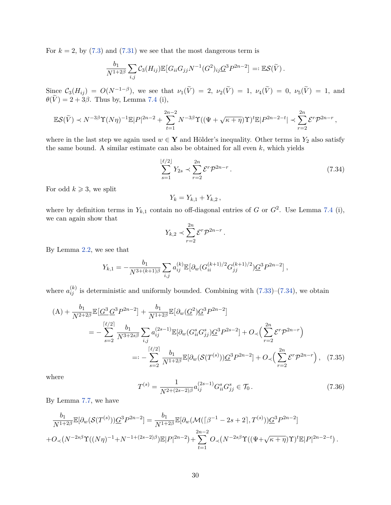For  $k = 2$ , by  $(7.3)$  and  $(7.31)$  we see that the most dangerous term is

$$
\frac{b_1}{N^{1+2\beta}}\sum_{i,j}\mathcal{C}_3(H_{ij})\mathbb{E}\big[G_{ii}G_{jj}N^{-1}(G^2)_{ij}\underline{G}^3P^{2n-2}\big]=:\mathbb{E}\mathcal{S}(\widetilde{V})\,.
$$

 $\text{Since } C_3(H_{ij}) = O(N^{-1-\beta}), \text{ we see that } \nu_1(\tilde{V}) = 2, \ \nu_2(\tilde{V}) = 1, \ \nu_4(\tilde{V}) = 0, \ \nu_5(\tilde{V}) = 1, \text{ and }$  $\theta(V) = 2 + 3\beta$ . Thus by, Lemma [7.4](#page-22-2) (i),

$$
\mathbb{E}\mathcal{S}(\widetilde{V}) \prec N^{-3\beta} \Upsilon(N\eta)^{-1} \mathbb{E}|P|^{2n-2} + \sum_{t=1}^{2n-2} N^{-3\beta} \Upsilon((\Psi + \sqrt{\kappa + \eta})\Upsilon)^t \mathbb{E}|P^{2n-2-t}| \prec \sum_{r=2}^{2n} \mathcal{E}^r \mathcal{P}^{2n-r},
$$

where in the last step we again used  $w \in Y$  and Hölder's inequality. Other terms in  $Y_2$  also satisfy the same bound. A similar estimate can also be obtained for all even *k*, which yields

<span id="page-29-0"></span>
$$
\sum_{s=1}^{\lfloor \ell/2 \rfloor} Y_{2s} \prec \sum_{r=2}^{2n} \mathcal{E}^r \mathcal{P}^{2n-r} \,. \tag{7.34}
$$

For odd  $k \geqslant 3$ , we split

$$
Y_k = Y_{k,1} + Y_{k,2} \,,
$$

where by definition terms in  $Y_{k,1}$  contain no off-diagonal entries of *G* or  $G^2$ . Use Lemma [7.4](#page-22-2) (i), we can again show that

$$
Y_{k,2} \prec \sum_{r=2}^{2n} \mathcal{E}^r \mathcal{P}^{2n-r}.
$$

By Lemma [2.2,](#page-5-6) we see that

$$
Y_{k,1} = -\frac{b_1}{N^{3+(k+1)\beta}} \sum_{i,j} a_{ij}^{(k)} \mathbb{E} \big[ \partial_w (G_{ii}^{(k+1)/2} G_{jj}^{(k+1)/2}) \underline{G}^3 P^{2n-2} \big],
$$

where  $a_{ij}^{(k)}$  is deterministic and uniformly bounded. Combining with  $(7.33)$ – $(7.34)$ , we obtain

$$
(A) + \frac{b_1}{N^{2+2\beta}} \mathbb{E}\left[G^3 G^3 P^{2n-2}\right] + \frac{b_1}{N^{1+2\beta}} \mathbb{E}\left[\partial_w (G^2) G^3 P^{2n-2}\right]
$$
  

$$
= -\sum_{s=2}^{\lceil \ell/2 \rceil} \frac{b_1}{N^{3+2s\beta}} \sum_{i,j} a_{ij}^{(2s-1)} \mathbb{E}[\partial_w (G_{ii}^s G_{jj}^s) G^3 P^{2s-2}] + O_{\prec} \Big(\sum_{r=2}^{2n} \mathcal{E}^r \mathcal{P}^{2n-r}\Big)
$$
  

$$
=: -\sum_{s=2}^{\lceil \ell/2 \rceil} \frac{b_1}{N^{1+2\beta}} \mathbb{E}[\partial_w (\mathcal{S}(T^{(s)})) G^3 P^{2n-2}] + O_{\prec} \Big(\sum_{r=2}^{2n} \mathcal{E}^r \mathcal{P}^{2n-r}\Big), \quad (7.35)
$$

where

<span id="page-29-2"></span><span id="page-29-1"></span>
$$
T^{(s)} = \frac{1}{N^{2 + (2s - 2)\beta}} a_{ij}^{(2s - 1)} G_{ii}^s G_{jj}^s \in \mathcal{T}_0.
$$
 (7.36)

By Lemma [7.7,](#page-23-2) we have

$$
\frac{b_1}{N^{1+2\beta}}\mathbb{E}[\partial_w(\mathcal{S}(T^{(s)}))\underline{G}^3 P^{2n-2}] = \frac{b_1}{N^{1+2\beta}}\mathbb{E}[\partial_w(\mathcal{M}(\lceil \beta^{-1} - 2s + 2 \rceil, T^{(s)}))\underline{G}^3 P^{2n-2}]
$$
  
+ $O_{\prec}(N^{-2s\beta}\Upsilon((N\eta)^{-1} + N^{-1+(2s-2)\beta})\mathbb{E}|P|^{2n-2}) + \sum_{t=1}^{2n-2} O_{\prec}(N^{-2s\beta}\Upsilon((\Psi + \sqrt{\kappa + \eta})\Upsilon)^t\mathbb{E}|P|^{2n-2-t}).$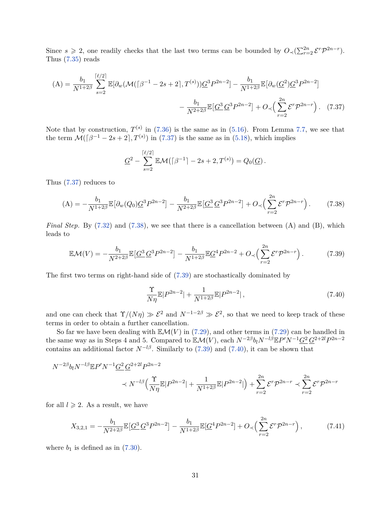Since  $s \geq 2$ , one readily checks that the last two terms can be bounded by  $O_{\prec}(\sum_{r=2}^{2n} \mathcal{E}^r \mathcal{P}^{2n-r})$ . Thus [\(7.35\)](#page-29-1) reads

$$
(A) = \frac{b_1}{N^{1+2\beta}} \sum_{s=2}^{\lceil \ell/2 \rceil} \mathbb{E}[\partial_w(\mathcal{M}(\lceil \beta^{-1} - 2s + 2 \rceil, T^{(s)})) \underline{G}^3 P^{2n-2}] - \frac{b_1}{N^{1+2\beta}} \mathbb{E}[\partial_w(\underline{G}^2) \underline{G}^3 P^{2n-2}] - \frac{b_1}{N^{2+2\beta}} \mathbb{E}[\underline{G}^3 \underline{G}^3 P^{2n-2}] + O_{\prec} \Big(\sum_{r=2}^{2n} \mathcal{E}^r \mathcal{P}^{2n-r} \Big). \tag{7.37}
$$

Note that by construction,  $T^{(s)}$  in [\(7.36\)](#page-29-2) is the same as in [\(5.16\)](#page-16-2). From Lemma [7.7,](#page-23-2) we see that the term  $\mathcal{M}(\lceil \beta^{-1} - 2s + 2 \rceil, T^{(s)})$  in [\(7.37\)](#page-30-0) is the same as in [\(5.18\)](#page-16-3), which implies

<span id="page-30-0"></span>
$$
\underline{G}^2 - \sum_{s=2}^{\lceil \ell/2 \rceil} \mathbb{E} \mathcal{M}(\lceil \beta^{-1} \rceil - 2s + 2, T^{(s)}) = Q_0(\underline{G}).
$$

Thus [\(7.37\)](#page-30-0) reduces to

<span id="page-30-1"></span>
$$
(A) = -\frac{b_1}{N^{1+2\beta}} \mathbb{E}\left[\partial_w(Q_0)\underline{G}^3 P^{2n-2}\right] - \frac{b_1}{N^{2+2\beta}} \mathbb{E}\left[\underline{G}^3 \underline{G}^3 P^{2n-2}\right] + O_{\prec}\left(\sum_{r=2}^{2n} \mathcal{E}^r \mathcal{P}^{2n-r}\right). \tag{7.38}
$$

*Final Step.* By [\(7.32\)](#page-28-3) and [\(7.38\)](#page-30-1), we see that there is a cancellation between (A) and (B), which leads to

<span id="page-30-2"></span>
$$
\mathbb{E}\mathcal{M}(V) = -\frac{b_1}{N^{2+2\beta}} \mathbb{E}\left[\underline{G}^3 \, \underline{G}^3 P^{2n-2}\right] - \frac{b_1}{N^{1+2\beta}} \mathbb{E}\underline{G}^4 P^{2n-2} + O_\prec \left(\sum_{r=2}^{2n} \mathcal{E}^r \mathcal{P}^{2n-r}\right). \tag{7.39}
$$

The first two terms on right-hand side of [\(7.39\)](#page-30-2) are stochastically dominated by

<span id="page-30-3"></span>
$$
\frac{\Upsilon}{N\eta} \mathbb{E}|P^{2n-2}| + \frac{1}{N^{1+2\beta}} \mathbb{E}|P^{2n-2}| \,, \tag{7.40}
$$

and one can check that  $\Upsilon/(N\eta) \gg \mathcal{E}^2$  and  $N^{-1-2\beta} \gg \mathcal{E}^2$ , so that we need to keep track of these terms in order to obtain a further cancellation.

So far we have been dealing with  $\mathbb{E}\mathcal{M}(V)$  in [\(7.29\)](#page-28-0), and other terms in (7.29) can be handled in the same way as in Steps 4 and 5. Compared to  $\mathbb{E}\mathcal{M}(V)$ , each  $N^{-2\beta}b_lN^{-l\beta}\mathbb{E}P'N^{-1}\underline{G^2}\,\underline{G}^{2+2l}P^{2n-2l}$ contains an additional factor  $N^{-l\beta}$ . Similarly to [\(7.39\)](#page-30-2) and [\(7.40\)](#page-30-3), it can be shown that

$$
N^{-2\beta}b_lN^{-l\beta}\mathbb{E}P'N^{-1}\underline{G}^2\underline{G}^{2+2l}P^{2n-2}
$$
  

$$
\prec N^{-l\beta}\Big(\frac{\Upsilon}{N\eta}\mathbb{E}|P^{2n-2}|+\frac{1}{N^{1+2\beta}}\mathbb{E}|P^{2n-2}|\Big)+\sum_{r=2}^{2n}\mathcal{E}^r\mathcal{P}^{2n-r}\prec\sum_{r=2}^{2n}\mathcal{E}^r\mathcal{P}^{2n-r}
$$

for all  $l \geqslant 2$ . As a result, we have

<span id="page-30-4"></span>
$$
X_{3,2,1} = -\frac{b_1}{N^{2+2\beta}} \mathbb{E}\left[\underline{G}^3 \, \underline{G}^3 P^{2n-2}\right] - \frac{b_1}{N^{1+2\beta}} \mathbb{E}\left[\underline{G}^4 P^{2n-2}\right] + O_{\prec}\left(\sum_{r=2}^{2n} \mathcal{E}^r \mathcal{P}^{2n-r}\right),\tag{7.41}
$$

where  $b_1$  is defined as in  $(7.30)$ .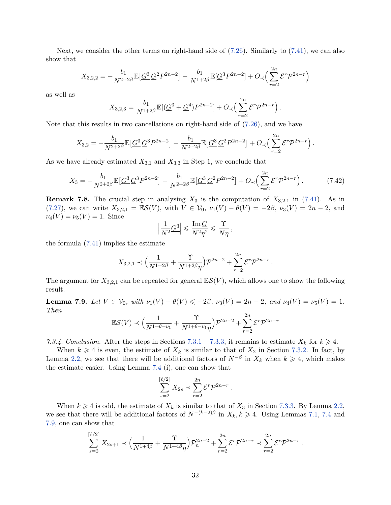Next, we consider the other terms on right-hand side of [\(7.26\)](#page-27-1). Similarly to [\(7.41\)](#page-30-4), we can also show that

$$
X_{3,2,2} = -\frac{b_1}{N^{2+2\beta}} \mathbb{E}\left[\underline{G}^3 \, \underline{G}^2 P^{2n-2}\right] - \frac{b_1}{N^{1+2\beta}} \mathbb{E}\left[\underline{G}^3 P^{2n-2}\right] + O_{\prec}\left(\sum_{r=2}^{2n} \mathcal{E}^r \mathcal{P}^{2n-r}\right)
$$

as well as

$$
X_{3,2,3} = \frac{b_1}{N^{1+2\beta}} \mathbb{E}[(\underline{G}^3 + \underline{G}^4)P^{2n-2}] + O_{\prec}\left(\sum_{r=2}^{2n} \mathcal{E}^r \mathcal{P}^{2n-r}\right).
$$

Note that this results in two cancellations on right-hand side of [\(7.26\)](#page-27-1), and we have

$$
X_{3,2} = -\frac{b_1}{N^{2+2\beta}} \mathbb{E}\left[\underline{G}^3 \, \underline{G}^3 P^{2n-2}\right] - \frac{b_1}{N^{2+2\beta}} \mathbb{E}\left[\underline{G}^3 \, \underline{G}^2 P^{2n-2}\right] + O_{\prec}\left(\sum_{r=2}^{2n} \mathcal{E}^r \mathcal{P}^{2n-r}\right).
$$

As we have already estimated  $X_{3,1}$  and  $X_{3,3}$  in Step 1, we conclude that

$$
X_3 = -\frac{b_1}{N^{2+2\beta}} \mathbb{E}\left[\underline{G}^3 \, \underline{G}^3 P^{2n-2}\right] - \frac{b_1}{N^{2+2\beta}} \mathbb{E}\left[\underline{G}^3 \, \underline{G}^2 P^{2n-2}\right] + O_{\prec}\left(\sum_{r=2}^{2n} \mathcal{E}^r \mathcal{P}^{2n-r}\right). \tag{7.42}
$$

**Remark 7.8.** The crucial step in analysing  $X_3$  is the computation of  $X_{3,2,1}$  in [\(7.41\)](#page-30-4). As in [\(7.27\)](#page-27-2), we can write  $X_{3,2,1} = \mathbb{E}S(V)$ , with  $V \in V_0$ ,  $\nu_1(V) - \theta(V) = -2\beta$ ,  $\nu_3(V) = 2n - 2$ , and  $\nu_4(V) = \nu_5(V) = 1$ . Since

$$
\Bigl| \frac{1}{N^2} \underline{G}^3 \Bigr| \leqslant \frac{\operatorname{Im} \underline{G}}{N^2 \eta^2} \leqslant \frac{\Upsilon}{N \eta} \,,
$$

the formula [\(7.41\)](#page-30-4) implies the estimate

$$
X_{3,2,1} \prec \Big(\frac{1}{N^{1+2\beta}} + \frac{\Upsilon}{N^{1+2\beta}\eta}\Big) \mathcal{P}^{2n-2} + \sum_{r=2}^{2n} \mathcal{E}^r \mathcal{P}^{2n-r}
$$

*.*

The argument for  $X_{3,2,1}$  can be repeated for general  $\mathbb{E}S(V)$ , which allows one to show the following result.

<span id="page-31-0"></span>**Lemma 7.9.** *Let*  $V \in V_0$ *, with*  $\nu_1(V) - \theta(V) \leq -2\beta$ *,*  $\nu_3(V) = 2n - 2$ *, and*  $\nu_4(V) = \nu_5(V) = 1$ *. Then*

$$
\mathbb{E}S(V) \prec \Big(\frac{1}{N^{1+\theta-\nu_1}} + \frac{\Upsilon}{N^{1+\theta-\nu_1}\eta}\Big)\mathcal{P}^{2n-2} + \sum_{r=2}^{2n} \mathcal{E}^r \mathcal{P}^{2n-r}
$$

<span id="page-31-1"></span>*7.3.4. Conclusion.* After the steps in Sections [7.3.1](#page-24-3) – [7.3.3,](#page-26-0) it remains to estimate  $X_k$  for  $k \geq 4$ .

When  $k \geq 4$  is even, the estimate of  $X_k$  is similar to that of  $X_2$  in Section [7.3.2.](#page-24-4) In fact, by Lemma [2.2,](#page-5-6) we see that there will be additional factors of  $N^{-\beta}$  in  $X_k$  when  $k \geq 4$ , which makes the estimate easier. Using Lemma [7.4](#page-22-2) (i), one can show that

$$
\sum_{s=2}^{\lceil \ell/2 \rceil} X_{2s} \prec \sum_{r=2}^{2n} \mathcal{E}^r \mathcal{P}^{2n-r}.
$$

When  $k \geq 4$  is odd, the estimate of  $X_k$  is similar to that of  $X_3$  in Section [7.3.3.](#page-26-0) By Lemma [2.2,](#page-5-6) we see that there will be additional factors of  $N^{-(k-2)\beta}$  in  $X_k, k \geq 4$ . Using Lemmas [7.1,](#page-20-5) [7.4](#page-22-2) and [7.9,](#page-31-0) one can show that

$$
\sum_{s=2}^{\lceil \ell/2 \rceil} X_{2s+1} \prec \Big( \frac{1}{N^{1+4\beta}} + \frac{\Upsilon}{N^{1+4\beta}\eta} \Big) \mathcal{P}_n^{2n-2} + \sum_{r=2}^{2n} \mathcal{E}^r \mathcal{P}^{2n-r} \prec \sum_{r=2}^{2n} \mathcal{E}^r \mathcal{P}^{2n-r}.
$$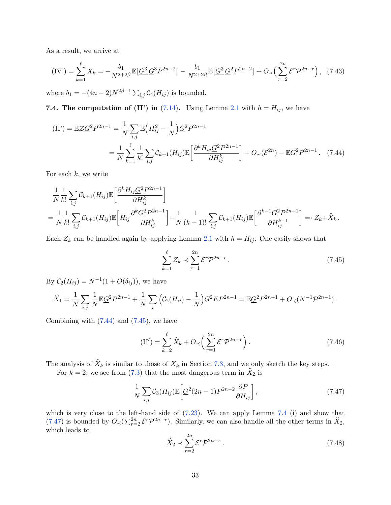As a result, we arrive at

<span id="page-32-4"></span>
$$
(IV') = \sum_{k=1}^{\ell} X_k = -\frac{b_1}{N^{2+2\beta}} \mathbb{E}\left[\underline{G}^3 \, \underline{G}^3 P^{2n-2}\right] - \frac{b_1}{N^{2+2\beta}} \mathbb{E}\left[\underline{G}^3 \, \underline{G}^2 P^{2n-2}\right] + O_{\prec}\left(\sum_{r=2}^{2n} \mathcal{E}^r \mathcal{P}^{2n-r}\right),\tag{7.43}
$$

where  $b_1 = -(4n-2)N^{2\beta-1}\sum_{i,j} C_4(H_{ij})$  is bounded.

**7.4. The computation of (II') in** [\(7.14\)](#page-21-3). Using Lemma [2.1](#page-5-2) with  $h = H_{ij}$ , we have

$$
(II') = \mathbb{E} \mathcal{Z} \underline{G}^2 P^{2n-1} = \frac{1}{N} \sum_{i,j} \mathbb{E} \Big( H_{ij}^2 - \frac{1}{N} \Big) \underline{G}^2 P^{2n-1}
$$

$$
= \frac{1}{N} \sum_{k=1}^{\ell} \frac{1}{k!} \sum_{i,j} \mathcal{C}_{k+1}(H_{ij}) \mathbb{E} \Big[ \frac{\partial^k H_{ij} \underline{G}^2 P^{2n-1}}{\partial H_{ij}^k} \Big] + O_{\prec}(\mathcal{E}^{2n}) - \mathbb{E} \underline{G}^2 P^{2n-1}.
$$
 (7.44)

For each *k*, we write

$$
\frac{1}{N} \frac{1}{k!} \sum_{i,j} C_{k+1}(H_{ij}) \mathbb{E} \left[ \frac{\partial^k H_{ij} \underline{G}^2 P^{2n-1}}{\partial H_{ij}^k} \right]
$$
\n
$$
= \frac{1}{N} \frac{1}{k!} \sum_{i,j} C_{k+1}(H_{ij}) \mathbb{E} \left[ H_{ij} \frac{\partial^k \underline{G}^2 P^{2n-1}}{\partial H_{ij}^k} \right] + \frac{1}{N} \frac{1}{(k-1)!} \sum_{i,j} C_{k+1}(H_{ij}) \mathbb{E} \left[ \frac{\partial^{k-1} \underline{G}^2 P^{2n-1}}{\partial H_{ij}^{k-1}} \right] =: Z_k + \hat{X}_k \, .
$$

Each  $Z_k$  can be handled again by applying Lemma [2.1](#page-5-2) with  $h = H_{ij}$ . One easily shows that

<span id="page-32-1"></span><span id="page-32-0"></span>
$$
\sum_{k=1}^{\ell} Z_k \prec \sum_{r=1}^{2n} \mathcal{E}^r \mathcal{P}^{2n-r} \,. \tag{7.45}
$$

By  $C_2(H_{ij}) = N^{-1}(1 + O(\delta_{ij}))$ , we have

$$
\widehat{X}_1 = \frac{1}{N} \sum_{i,j} \frac{1}{N} \mathbb{E} \underline{G}^2 P^{2n-1} + \frac{1}{N} \sum_i \left( C_2(H_{ii}) - \frac{1}{N} \right) G^2 E P^{2n-1} = \mathbb{E} \underline{G}^2 P^{2n-1} + O_{\prec}(N^{-1} \mathcal{P}^{2n-1}).
$$

Combining with  $(7.44)$  and  $(7.45)$ , we have

<span id="page-32-3"></span>
$$
(II') = \sum_{k=2}^{\ell} \hat{X}_k + O_{\prec} \left( \sum_{r=1}^{2n} \mathcal{E}^r \mathcal{P}^{2n-r} \right).
$$
 (7.46)

The analysis of  $X_k$  is similar to those of  $X_k$  in Section [7.3,](#page-23-3) and we only sketch the key steps.

For  $k = 2$ , we see from [\(7.3\)](#page-20-6) that the most dangerous term in  $X_2$  is

<span id="page-32-2"></span>
$$
\frac{1}{N} \sum_{i,j} C_3(H_{ij}) \mathbb{E} \left[ \underline{G}^2 (2n-1) P^{2n-2} \frac{\partial P}{\partial H_{ij}} \right],\tag{7.47}
$$

which is very close to the left-hand side of  $(7.23)$ . We can apply Lemma [7.4](#page-22-2) (i) and show that [\(7.47\)](#page-32-2) is bounded by  $O_{\prec}(\sum_{r=2}^{2n} \mathcal{E}^r \mathcal{P}^{2n-r})$ . Similarly, we can also handle all the other terms in  $\hat{X}_2$ , which leads to

$$
\widehat{X}_2 \prec \sum_{r=2}^{2n} \mathcal{E}^r \mathcal{P}^{2n-r} \,. \tag{7.48}
$$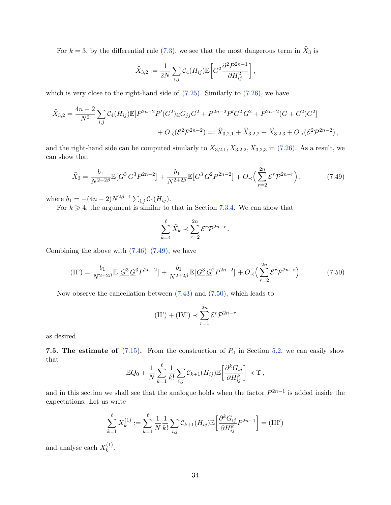For  $k = 3$ , by the differential rule [\(7.3\)](#page-20-6), we see that the most dangerous term in  $X_3$  is

$$
\widehat{X}_{3,2} := \frac{1}{2N} \sum_{i,j} C_4(H_{ij}) \mathbb{E} \left[ \underline{G}^2 \frac{\partial^2 P^{2n-1}}{\partial H_{ij}^2} \right],
$$

which is very close to the right-hand side of  $(7.25)$ . Similarly to  $(7.26)$ , we have

$$
\hat{X}_{3,2} = \frac{4n-2}{N^2} \sum_{i,j} C_4(H_{ij}) \mathbb{E}[P^{2n-2}P'(G^2)_{ii}G_{jj}\underline{G}^2 + P^{2n-2}P'\underline{G}^2\underline{G}^2 + P^{2n-2}(\underline{G} + \underline{G}^2)\underline{G}^2] \n+ O\left(\mathcal{E}^2\mathcal{P}^{2n-2}\right) =: \hat{X}_{3,2,1} + \hat{X}_{3,2,2} + \hat{X}_{3,2,3} + O\left(\mathcal{E}^2\mathcal{P}^{2n-2}\right),
$$

and the right-hand side can be computed similarly to  $X_{3,2,1}, X_{3,2,2}, X_{3,2,3}$  in [\(7.26\)](#page-27-1). As a result, we can show that

<span id="page-33-0"></span>
$$
\hat{X}_3 = \frac{b_1}{N^{2+2\beta}} \mathbb{E}[\underline{G}^3 \underline{G}^3 P^{2n-2}] + \frac{b_1}{N^{2+2\beta}} \mathbb{E}[\underline{G}^3 \underline{G}^2 P^{2n-2}] + O_{\prec} \left(\sum_{r=2}^{2n} \mathcal{E}^r \mathcal{P}^{2n-r}\right),\tag{7.49}
$$

where  $b_1 = -(4n-2)N^{2\beta-1} \sum_{i,j} C_4(H_{ij}).$ 

For  $k \geq 4$ , the argument is similar to that in Section [7.3.4.](#page-31-1) We can show that

$$
\sum_{k=4}^{\ell} \widehat{X}_k \prec \sum_{r=2}^{2n} \mathcal{E}^r \mathcal{P}^{2n-r}.
$$

Combining the above with  $(7.46)$ – $(7.49)$ , we have

<span id="page-33-1"></span>
$$
\text{(II')} = \frac{b_1}{N^{2+2\beta}} \mathbb{E}\left[\underline{G}^3 \, \underline{G}^3 P^{2n-2}\right] + \frac{b_1}{N^{2+2\beta}} \mathbb{E}\left[\underline{G}^3 \, \underline{G}^2 P^{2n-2}\right] + O_{\prec}\left(\sum_{r=2}^{2n} \mathcal{E}^r \mathcal{P}^{2n-r}\right). \tag{7.50}
$$

Now observe the cancellation between [\(7.43\)](#page-32-4) and [\(7.50\)](#page-33-1), which leads to

$$
(II') + (IV') \prec \sum_{r=1}^{2n} \mathcal{E}^r \mathcal{P}^{2n-r}
$$

as desired.

<span id="page-33-2"></span>**7.5. The estimate of**  $(7.15)$ . From the construction of  $P_0$  in Section [5.2,](#page-15-3) we can easily show that

$$
\mathbb{E}Q_0 + \frac{1}{N} \sum_{k=1}^{\ell} \frac{1}{k!} \sum_{i,j} C_{k+1}(H_{ij}) \mathbb{E} \left[ \frac{\partial^k G_{ij}}{\partial H_{ij}^k} \right] \prec \Upsilon,
$$

and in this section we shall see that the analogue holds when the factor  $P^{2n-1}$  is added inside the expectations. Let us write

$$
\sum_{k=1}^{\ell} X_k^{(1)} := \sum_{k=1}^{\ell} \frac{1}{N} \frac{1}{k!} \sum_{i,j} C_{k+1}(H_{ij}) \mathbb{E} \left[ \frac{\partial^k G_{ij}}{\partial H_{ij}^k} P^{2n-1} \right] = (\text{III}')
$$

and analyse each  $X_k^{(1)}$ *k* .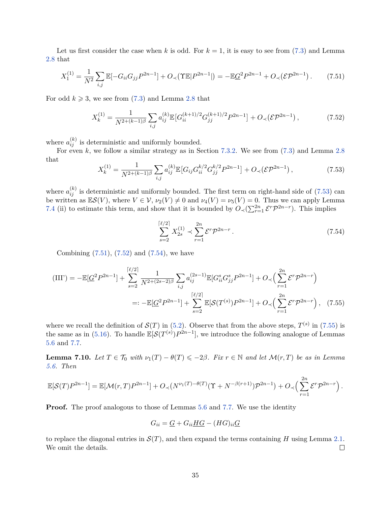Let us first consider the case when  $k$  is odd. For  $k = 1$ , it is easy to see from [\(7.3\)](#page-20-6) and Lemma [2.8](#page-7-2) that

<span id="page-34-1"></span>
$$
X_1^{(1)} = \frac{1}{N^2} \sum_{i,j} \mathbb{E}[-G_{ii}G_{jj}P^{2n-1}] + O_{\prec}(\Upsilon \mathbb{E}|P^{2n-1}|) = -\mathbb{E}\underline{G}^2 P^{2n-1} + O_{\prec}(\mathcal{E}P^{2n-1}). \tag{7.51}
$$

For odd  $k \ge 3$ , we see from [\(7.3\)](#page-20-6) and Lemma [2.8](#page-7-2) that

<span id="page-34-2"></span>
$$
X_k^{(1)} = \frac{1}{N^{2 + (k-1)\beta}} \sum_{i,j} a_{ij}^{(k)} \mathbb{E} \left[ G_{ii}^{(k+1)/2} G_{jj}^{(k+1)/2} P^{2n-1} \right] + O_\prec(\mathcal{E} \mathcal{P}^{2n-1}),\tag{7.52}
$$

where  $a_{ij}^{(k)}$  is deterministic and uniformly bounded.

For even *k*, we follow a similar strategy as in Section [7.3.2.](#page-24-4) We see from  $(7.3)$  and Lemma [2.8](#page-7-2) that

<span id="page-34-0"></span>
$$
X_k^{(1)} = \frac{1}{N^{2+(k-1)\beta}} \sum_{i,j} a_{ij}^{(k)} \mathbb{E} \left[ G_{ij} G_{ii}^{k/2} G_{jj}^{k/2} P^{2n-1} \right] + O_\prec \left( \mathcal{E} \mathcal{P}^{2n-1} \right),\tag{7.53}
$$

where  $a_{ij}^{(k)}$  is deterministic and uniformly bounded. The first term on right-hand side of  $(7.53)$  can be written as  $\mathbb{E}S(V)$ , where  $V \in V$ ,  $\nu_2(V) \neq 0$  and  $\nu_4(V) = \nu_5(V) = 0$ . Thus we can apply Lemma [7.4](#page-22-2) (ii) to estimate this term, and show that it is bounded by  $O_{\prec}(\sum_{r=1}^{2n} \mathcal{E}^r \mathcal{P}^{2n-r})$ . This implies

<span id="page-34-4"></span><span id="page-34-3"></span>
$$
\sum_{s=2}^{\lceil \ell/2 \rceil} X_{2s}^{(1)} \prec \sum_{r=1}^{2n} \mathcal{E}^r \mathcal{P}^{2n-r} \,. \tag{7.54}
$$

Combining  $(7.51)$ ,  $(7.52)$  and  $(7.54)$ , we have

$$
(III') = -\mathbb{E}[\underline{G}^2 P^{2n-1}] + \sum_{s=2}^{\lceil \ell/2 \rceil} \frac{1}{N^{2+(2s-2)\beta}} \sum_{i,j} a_{ij}^{(2s-1)} \mathbb{E}[G_{ii}^s G_{jj}^s P^{2n-1}] + O_{\prec} \Big(\sum_{r=1}^{2n} \mathcal{E}^r \mathcal{P}^{2n-r}\Big)
$$
  

$$
=: -\mathbb{E}[\underline{G}^2 P^{2n-1}] + \sum_{s=2}^{\lceil \ell/2 \rceil} \mathbb{E}[\mathcal{S}(T^{(s)}) P^{2n-1}] + O_{\prec} \Big(\sum_{r=1}^{2n} \mathcal{E}^r \mathcal{P}^{2n-r}\Big), \quad (7.55)
$$

where we recall the definition of  $\mathcal{S}(T)$  in [\(5.2\)](#page-13-6). Observe that from the above steps,  $T^{(s)}$  in [\(7.55\)](#page-34-4) is the same as in [\(5.16\)](#page-16-2). To handle  $\mathbb{E}[\mathcal{S}(T^{(s)})P^{2n-1}]$ , we introduce the following analogue of Lemmas [5.6](#page-14-3) and [7.7.](#page-23-2)

<span id="page-34-5"></span>**Lemma 7.10.** *Let*  $T \in \mathcal{T}_0$  *with*  $\nu_1(T) - \theta(T) \leq -2\beta$ . Fix  $r \in \mathbb{N}$  and let  $\mathcal{M}(r,T)$  be as in Lemma *[5.6.](#page-14-3) Then*

$$
\mathbb{E}[\mathcal{S}(T)P^{2n-1}] = \mathbb{E}[\mathcal{M}(r,T)P^{2n-1}] + O_{\prec}(N^{\nu_1(T)-\theta(T)}(\Upsilon+N^{-\beta(r+1)})\mathcal{P}^{2n-1}) + O_{\prec}\Big(\sum_{r=1}^{2n} \mathcal{E}^r \mathcal{P}^{2n-r}\Big).
$$

**Proof.** The proof analogous to those of Lemmas [5.6](#page-14-3) and [7.7.](#page-23-2) We use the identity

$$
G_{ii} = \underline{G} + G_{ii} \underline{HG} - (HG)_{ii} \underline{G}
$$

to replace the diagonal entries in  $\mathcal{S}(T)$ , and then expand the terms containing *H* using Lemma [2.1.](#page-5-2) We omit the details.  $\Box$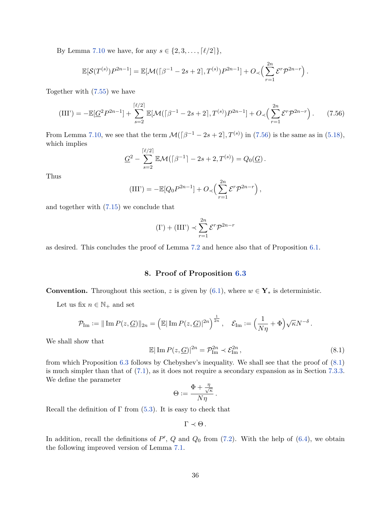By Lemma [7.10](#page-34-5) we have, for any  $s \in \{2, 3, ..., [\ell/2]\},$ 

$$
\mathbb{E}[\mathcal{S}(T^{(s)})P^{2n-1}] = \mathbb{E}[\mathcal{M}(\lceil \beta^{-1} - 2s + 2 \rceil, T^{(s)})P^{2n-1}] + O_{\prec}\Big(\sum_{r=1}^{2n} \mathcal{E}^r \mathcal{P}^{2n-r}\Big).
$$

Together with [\(7.55\)](#page-34-4) we have

<span id="page-35-1"></span>
$$
(III') = -\mathbb{E}[\underline{G}^2 P^{2n-1}] + \sum_{s=2}^{\lceil \ell/2 \rceil} \mathbb{E}[\mathcal{M}(\lceil \beta^{-1} - 2s + 2 \rceil, T^{(s)}) P^{2n-1}] + O_{\prec} \Big( \sum_{r=1}^{2n} \mathcal{E}^r \mathcal{P}^{2n-r} \Big).
$$
 (7.56)

From Lemma [7.10,](#page-34-5) we see that the term  $\mathcal{M}(\lceil \beta^{-1} - 2s + 2 \rceil, T^{(s)})$  in [\(7.56\)](#page-35-1) is the same as in [\(5.18\)](#page-16-3), which implies

$$
\underline{G}^2 - \sum_{s=2}^{\lceil \ell/2 \rceil} \mathbb{E} \mathcal{M}(\lceil \beta^{-1} \rceil - 2s + 2, T^{(s)}) = Q_0(\underline{G}).
$$

Thus

$$
(III') = -\mathbb{E}[Q_0 P^{2n-1}] + O\left(\sum_{r=1}^{2n} \mathcal{E}^r \mathcal{P}^{2n-r}\right),
$$

and together with [\(7.15\)](#page-21-4) we conclude that

$$
(\mathbf{I'}) + (\mathbf{III'}) \prec \sum_{r=1}^{2n} \mathcal{E}^r \mathcal{P}^{2n-r}
$$

as desired. This concludes the proof of Lemma [7.2](#page-21-2) and hence also that of Proposition [6.1.](#page-17-1)

## **8. Proof of Proposition [6.3](#page-18-2)**

<span id="page-35-0"></span>**Convention.** Throughout this section, *z* is given by [\(6.1\)](#page-17-4), where  $w \in Y_*$  is deterministic.

Let us fix  $n \in \mathbb{N}_+$  and set

$$
\mathcal{P}_{\text{Im}} := \|\operatorname{Im} P(z, \underline{G})\|_{2n} = \left(\mathbb{E}|\operatorname{Im} P(z, \underline{G})|^{2n}\right)^{\frac{1}{2n}}, \quad \mathcal{E}_{\text{Im}} := \left(\frac{1}{N\eta} + \Phi\right)\sqrt{\kappa}N^{-\delta}.
$$

We shall show that

<span id="page-35-2"></span>
$$
\mathbb{E}|\operatorname{Im} P(z,\underline{G})|^{2n} = \mathcal{P}_{\operatorname{Im}}^{2n} \prec \mathcal{E}_{\operatorname{Im}}^{2n},\tag{8.1}
$$

from which Proposition [6.3](#page-18-2) follows by Chebyshev's inequality. We shall see that the proof of [\(8.1\)](#page-35-2) is much simpler than that of [\(7.1\)](#page-19-2), as it does not require a secondary expansion as in Section [7.3.3.](#page-26-0) We define the parameter

$$
\Theta := \frac{\Phi + \frac{\eta}{\sqrt{\kappa}}}{N\eta}.
$$

Recall the definition of  $\Gamma$  from [\(5.3\)](#page-13-3). It is easy to check that

$$
\Gamma \prec \Theta.
$$

In addition, recall the definitions of  $P'$ ,  $Q$  and  $Q_0$  from  $(7.2)$ . With the help of  $(6.4)$ , we obtain the following improved version of Lemma [7.1.](#page-20-5)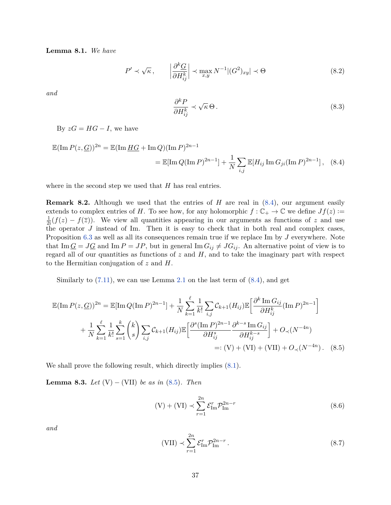**Lemma 8.1.** *We have*

$$
P' \prec \sqrt{\kappa}, \qquad \left| \frac{\partial^k G}{\partial H_{ij}^k} \right| \prec \max_{x,y} N^{-1} |(G^2)_{xy}| \prec \Theta \tag{8.2}
$$

*and*

<span id="page-36-4"></span><span id="page-36-1"></span>
$$
\frac{\partial^k P}{\partial H_{ij}^k} \prec \sqrt{\kappa} \,\Theta\,. \tag{8.3}
$$

By  $zG = HG - I$ , we have

$$
\mathbb{E}(\text{Im } P(z, \underline{G}))^{2n} = \mathbb{E}(\text{Im } \underline{HG} + \text{Im } Q)(\text{Im } P)^{2n-1} \\
= \mathbb{E}[\text{Im } Q(\text{Im } P)^{2n-1}] + \frac{1}{N} \sum_{i,j} \mathbb{E}[H_{ij} \text{ Im } G_{ji}(\text{Im } P)^{2n-1}], \quad (8.4)
$$

where in the second step we used that *H* has real entries.

<span id="page-36-0"></span>**Remark 8.2.** Although we used that the entries of *H* are real in  $(8.4)$ , our argument easily extends to complex entries of *H*. To see how, for any holomorphic  $f: \mathbb{C}_+ \to \mathbb{C}$  we define  $Jf(z) :=$  $\frac{1}{2i}(f(z) - f(\overline{z}))$ . We view all quantities appearing in our arguments as functions of *z* and use the operator *J* instead of Im. Then it is easy to check that in both real and complex cases, Proposition [6.3](#page-18-2) as well as all its consequences remain true if we replace Im by *J* everywhere. Note that Im  $\underline{G} = J\underline{G}$  and Im  $P = JP$ , but in general Im  $G_{ij} \neq JG_{ij}$ . An alternative point of view is to regard all of our quantities as functions of *z* and *H*, and to take the imaginary part with respect to the Hermitian conjugation of *z* and *H*.

Similarly to  $(7.11)$ , we can use Lemma [2.1](#page-5-2) on the last term of  $(8.4)$ , and get

$$
\mathbb{E}(\text{Im } P(z, \underline{G}))^{2n} = \mathbb{E}[\text{Im } Q(\text{Im } P)^{2n-1}] + \frac{1}{N} \sum_{k=1}^{\ell} \frac{1}{k!} \sum_{i,j} C_{k+1}(H_{ij}) \mathbb{E} \left[ \frac{\partial^k \text{Im } G_{ij}}{\partial H_{ij}^k} (\text{Im } P)^{2n-1} \right] + \frac{1}{N} \sum_{k=1}^{\ell} \frac{1}{k!} \sum_{s=1}^{k} {k \choose s} \sum_{i,j} C_{k+1}(H_{ij}) \mathbb{E} \left[ \frac{\partial^s (\text{Im } P)^{2n-1}}{\partial H_{ij}^s} \frac{\partial^{k-s} \text{Im } G_{ij}}{\partial H_{ij}^{k-s}} \right] + O_{\prec}(N^{-4n}) =: (V) + (VI) + (VII) + O_{\prec}(N^{-4n}).
$$
 (8.5)

We shall prove the following result, which directly implies  $(8.1)$ .

<span id="page-36-6"></span>**Lemma 8.3.** *Let*  $(V) - (VII)$  *be as in*  $(8.5)$ *. Then* 

<span id="page-36-5"></span><span id="page-36-2"></span>
$$
(V) + (VI) \sim \sum_{r=1}^{2n} \mathcal{E}_{\text{Im}}^r \mathcal{P}_{\text{Im}}^{2n-r}
$$
\n(8.6)

*and*

<span id="page-36-3"></span>
$$
\text{(VII)} \prec \sum_{r=1}^{2n} \mathcal{E}_{\text{Im}}^r \mathcal{P}_{\text{Im}}^{2n-r} \,. \tag{8.7}
$$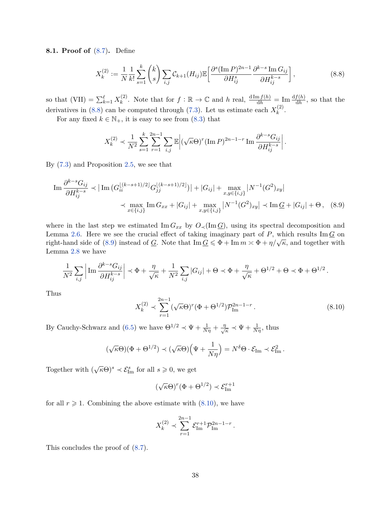**8.1. Proof of** [\(8.7\)](#page-36-3)**.** Define

<span id="page-37-0"></span>
$$
X_k^{(2)} := \frac{1}{N} \frac{1}{k!} \sum_{s=1}^k {k \choose s} \sum_{i,j} C_{k+1}(H_{ij}) \mathbb{E} \left[ \frac{\partial^s (\text{Im } P)^{2n-1}}{\partial H_{ij}^s} \frac{\partial^{k-s} \text{Im } G_{ij}}{\partial H_{ij}^{k-s}} \right],
$$
(8.8)

so that  $(VII) = \sum_{k=1}^{\ell} X_k^{(2)}$ <sup>(2)</sup>
. Note that for  $f: \mathbb{R} \to \mathbb{C}$  and *h* real,  $\frac{d \text{Im } f(h)}{dh} = \text{Im } \frac{df(h)}{dh}$ , so that the derivatives in [\(8.8\)](#page-37-0) can be computed through [\(7.3\)](#page-20-6). Let us estimate each  $X_k^{(2)}$  $k^{(2)}$ .

For any fixed  $k \in \mathbb{N}_+$ , it is easy to see from [\(8.3\)](#page-36-4) that

$$
X_k^{(2)} \prec \frac{1}{N^2} \sum_{s=1}^k \sum_{r=1}^{2n-1} \sum_{i,j} \mathbb{E} \left| (\sqrt{\kappa} \Theta)^r (\text{Im } P)^{2n-1-r} \text{Im } \frac{\partial^{k-s} G_{ij}}{\partial H_{ij}^{k-s}} \right|.
$$

By [\(7.3\)](#page-20-6) and Proposition [2.5,](#page-6-1) we see that

$$
\operatorname{Im} \frac{\partial^{k-s} G_{ij}}{\partial H_{ij}^{k-s}} \prec \left| \operatorname{Im} \left( G_{ii}^{\lfloor (k-s+1)/2 \rfloor} G_{jj}^{\lfloor (k-s+1)/2 \rfloor} \right) \right| + |G_{ij}| + \max_{x, y \in \{i, j\}} |N^{-1} (G^2)_{xy}|
$$
  

$$
\prec \max_{x \in \{i, j\}} \operatorname{Im} G_{xx} + |G_{ij}| + \max_{x, y \in \{i, j\}} |N^{-1} (G^2)_{xy}| \prec \operatorname{Im} G + |G_{ij}| + \Theta, \quad (8.9)
$$

where in the last step we estimated Im  $G_{xx}$  by  $O_{\prec}(\text{Im }G)$ , using its spectral decomposition and Lemma [2.6.](#page-6-3) Here we see the crucial effect of taking imaginary part of  $P$ , which results Im  $\underline{G}$  on right-hand side of [\(8.9\)](#page-37-1) instead of *G*. Note that  $\text{Im } G \leq \Phi + \text{Im } m \approx \Phi + \eta/\sqrt{\kappa}$ , and together with Lemma [2.8](#page-7-2) we have

$$
\frac{1}{N^2} \sum_{i,j} \left| \operatorname{Im} \frac{\partial^{k-s} G_{ij}}{\partial H_{ij}^{k-s}} \right| \prec \Phi + \frac{\eta}{\sqrt{\kappa}} + \frac{1}{N^2} \sum_{i,j} |G_{ij}| + \Theta \prec \Phi + \frac{\eta}{\sqrt{\kappa}} + \Theta^{1/2} + \Theta \prec \Phi + \Theta^{1/2}.
$$

Thus

<span id="page-37-2"></span><span id="page-37-1"></span>
$$
X_k^{(2)} \prec \sum_{r=1}^{2n-1} (\sqrt{\kappa} \Theta)^r (\Phi + \Theta^{1/2}) \mathcal{P}_{\text{Im}}^{2n-1-r} . \tag{8.10}
$$

By Cauchy-Schwarz and [\(6.5\)](#page-18-0) we have  $\Theta^{1/2} \prec \Psi + \frac{1}{N\eta} + \frac{\eta}{\sqrt{N}}$  $\frac{\hbar}{\kappa} \prec \Psi + \frac{1}{N\eta}$ , thus

$$
(\sqrt{\kappa}\Theta)(\Phi + \Theta^{1/2}) \prec (\sqrt{\kappa}\Theta)\Big(\Psi + \frac{1}{N\eta}\Big) = N^{\delta}\Theta \cdot \mathcal{E}_{\text{Im}} \prec \mathcal{E}_{\text{Im}}^2.
$$

Together with  $(\sqrt{\kappa}\Theta)^s \prec \mathcal{E}_{\text{Im}}^s$  for all  $s \geqslant 0$ , we get

$$
(\sqrt{\kappa}\Theta)^r(\Phi+\Theta^{1/2})\prec\mathcal{E}^{r+1}_{\operatorname{Im}}
$$

for all  $r \geq 1$ . Combining the above estimate with  $(8.10)$ , we have

$$
X_k^{(2)} \prec \sum_{r=1}^{2n-1} \mathcal{E}_{\text{Im}}^{r+1} \mathcal{P}_{\text{Im}}^{2n-1-r}.
$$

This concludes the proof of [\(8.7\)](#page-36-3).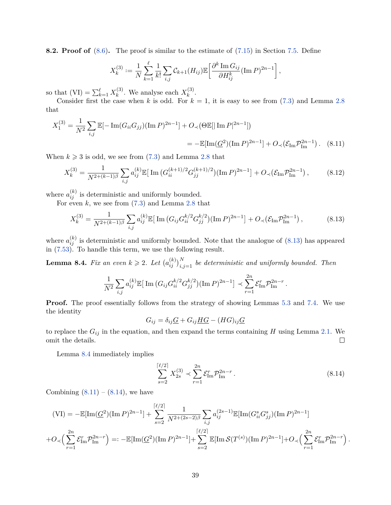**8.2. Proof of** [\(8.6\)](#page-36-5). The proof is similar to the estimate of [\(7.15\)](#page-21-4) in Section [7.5.](#page-33-2) Define

<span id="page-38-2"></span>
$$
X_k^{(3)} := \frac{1}{N} \sum_{k=1}^{\ell} \frac{1}{k!} \sum_{i,j} C_{k+1}(H_{ij}) \mathbb{E} \left[ \frac{\partial^k \operatorname{Im} G_{ij}}{\partial H_{ij}^k} (\operatorname{Im} P)^{2n-1} \right],
$$

so that  $(VI) = \sum_{k=1}^{l} X_k^{(3)}$  $k^{(3)}$ . We analyse each  $X_k^{(3)}$  $k^{(3)}$ .

Consider first the case when *k* is odd. For  $k = 1$ , it is easy to see from  $(7.3)$  and Lemma [2.8](#page-7-2) that

$$
X_1^{(3)} = \frac{1}{N^2} \sum_{i,j} \mathbb{E}[-\operatorname{Im}(G_{ii}G_{jj})(\operatorname{Im} P)^{2n-1}] + O_{\prec}(\Theta \mathbb{E}[\operatorname{Im} P|^{2n-1}])
$$
  
= 
$$
-\mathbb{E}[\operatorname{Im}(\underline{G}^2)(\operatorname{Im} P)^{2n-1}] + O_{\prec}(\mathcal{E}_{\operatorname{Im}} \mathcal{P}_{\operatorname{Im}}^{2n-1}) . \quad (8.11)
$$

When  $k \geq 3$  is odd, we see from [\(7.3\)](#page-20-6) and Lemma [2.8](#page-7-2) that

$$
X_k^{(3)} = \frac{1}{N^{2 + (k-1)\beta}} \sum_{i,j} a_{ij}^{(k)} \mathbb{E} \left[ \operatorname{Im} \left( G_{ii}^{(k+1)/2} G_{jj}^{(k+1)/2} \right) (\operatorname{Im} P)^{2n-1} \right] + O_{\prec} \left( \mathcal{E}_{\operatorname{Im}} \mathcal{P}_{\operatorname{Im}}^{2n-1} \right), \tag{8.12}
$$

where  $a_{ij}^{(k)}$  is deterministic and uniformly bounded.

For even *k*, we see from [\(7.3\)](#page-20-6) and Lemma [2.8](#page-7-2) that

<span id="page-38-0"></span>
$$
X_k^{(3)} = \frac{1}{N^{2 + (k-1)\beta}} \sum_{i,j} a_{ij}^{(k)} \mathbb{E} \left[ \operatorname{Im} \left( G_{ij} G_{ii}^{k/2} G_{jj}^{k/2} \right) (\operatorname{Im} P)^{2n-1} \right] + O_{\prec} \left( \mathcal{E}_{\operatorname{Im}} \mathcal{P}_{\operatorname{Im}}^{2n-1} \right), \tag{8.13}
$$

where  $a_{ij}^{(k)}$  is deterministic and uniformly bounded. Note that the analogue of  $(8.13)$  has appeared in [\(7.53\)](#page-34-0). To handle this term, we use the following result.

<span id="page-38-1"></span>**Lemma 8.4.** *Fix an even*  $k \geqslant 2$ . Let  $(a_{ij}^{(k)})_{i,j=1}^N$  be deterministic and uniformly bounded. Then

$$
\frac{1}{N^2} \sum_{i,j} a_{ij}^{(k)} \mathbb{E} \big[ \operatorname{Im} \big( G_{ij} G_{ii}^{k/2} G_{jj}^{k/2} \big) (\operatorname{Im} P)^{2n-1} \big] \prec \sum_{r=1}^{2n} \mathcal{E}_{\operatorname{Im}}^r \mathcal{P}_{\operatorname{Im}}^{2n-r} .
$$

**Proof.** The proof essentially follows from the strategy of showing Lemmas [5.3](#page-13-2) and [7.4.](#page-22-2) We use the identity

$$
G_{ij} = \delta_{ij}\underline{G} + G_{ij}\underline{HG} - (HG)_{ij}\underline{G}
$$

to replace the  $G_{ij}$  in the equation, and then expand the terms containing  $H$  using Lemma [2.1.](#page-5-2) We omit the details.  $\Box$ 

Lemma [8.4](#page-38-1) immediately implies

<span id="page-38-3"></span>
$$
\sum_{s=2}^{\lceil \ell/2 \rceil} X_{2s}^{(3)} \prec \sum_{r=1}^{2n} \mathcal{E}_{\text{Im}}^r \mathcal{P}_{\text{Im}}^{2n-r} \,. \tag{8.14}
$$

*.*

Combining  $(8.11) - (8.14)$  $(8.11) - (8.14)$  $(8.11) - (8.14)$ , we have

$$
\begin{aligned} \n\text{(VI)} &= -\mathbb{E}[\text{Im}(\underline{G}^2)(\text{Im}\,P)^{2n-1}] + \sum_{s=2}^{\lceil \ell/2 \rceil} \frac{1}{N^{2+(2s-2)\beta}} \sum_{i,j} a_{ij}^{(2s-1)} \mathbb{E}[\text{Im}(G_{ii}^s G_{jj}^s)(\text{Im}\,P)^{2n-1}] \\ \n&+ O_{\prec} \Big(\sum_{r=1}^{2n} \mathcal{E}_{\text{Im}}^r \mathcal{P}_{\text{Im}}^{2n-r} \Big) =: -\mathbb{E}[\text{Im}(\underline{G}^2)(\text{Im}\,P)^{2n-1}] + \sum_{s=2}^{\lceil \ell/2 \rceil} \mathbb{E}[\text{Im}\,\mathcal{S}(T^{(s)})(\text{Im}\,P)^{2n-1}] + O_{\prec} \Big(\sum_{r=1}^{2n} \mathcal{E}_{\text{Im}}^r \mathcal{P}_{\text{Im}}^{2n-r} \Big) \n\end{aligned}
$$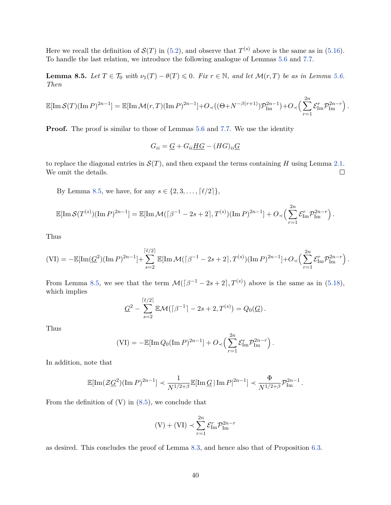Here we recall the definition of  $\mathcal{S}(T)$  in [\(5.2\)](#page-13-6), and observe that  $T^{(s)}$  above is the same as in [\(5.16\)](#page-16-2). To handle the last relation, we introduce the following analogue of Lemmas [5.6](#page-14-3) and [7.7.](#page-23-2)

<span id="page-39-0"></span>**Lemma 8.5.** *Let*  $T \in \mathcal{T}_0$  *with*  $\nu_1(T) - \theta(T) \leq 0$ *. Fix*  $r \in \mathbb{N}$ *, and let*  $\mathcal{M}(r,T)$  *be as in Lemma [5.6.](#page-14-3) Then*

$$
\mathbb{E}[\text{Im}\,\mathcal{S}(T)(\text{Im}\,P)^{2n-1}] = \mathbb{E}[\text{Im}\,\mathcal{M}(r,T)(\text{Im}\,P)^{2n-1}] + O_{\prec}((\Theta+N^{-\beta(r+1)})\mathcal{P}_{\text{Im}}^{2n-1}) + O_{\prec}\Big(\sum_{r=1}^{2n} \mathcal{E}_{\text{Im}}^r \mathcal{P}_{\text{Im}}^{2n-r}\Big).
$$

**Proof.** The proof is similar to those of Lemmas [5.6](#page-14-3) and [7.7.](#page-23-2) We use the identity

$$
G_{ii} = \underline{G} + G_{ii} \underline{H} \underline{G} - (H\underline{G})_{ii} \underline{G}
$$

to replace the diagonal entries in  $\mathcal{S}(T)$ , and then expand the terms containing *H* using Lemma [2.1.](#page-5-2) We omit the details.  $\Box$ 

By Lemma [8.5,](#page-39-0) we have, for any  $s \in \{2, 3, ..., [\ell/2]\},\$ 

$$
\mathbb{E}[\text{Im}\,\mathcal{S}(T^{(s)})(\text{Im}\,P)^{2n-1}] = \mathbb{E}[\text{Im}\,\mathcal{M}(\lceil\beta^{-1} - 2s + 2\rceil, T^{(s)})(\text{Im}\,P)^{2n-1}] + O\left(\sum_{r=1}^{2n} \mathcal{E}_{\text{Im}}^r \mathcal{P}_{\text{Im}}^{2n-r}\right).
$$

Thus

$$
(\text{VI}) = -\mathbb{E}[\text{Im}(\underline{G}^2)(\text{Im} \, P)^{2n-1}] + \sum_{s=2}^{\lceil \ell/2 \rceil} \mathbb{E}[\text{Im} \, \mathcal{M}(\lceil \beta^{-1} - 2s + 2 \rceil, T^{(s)})(\text{Im} \, P)^{2n-1}] + O \right\langle \sum_{r=1}^{2n} \mathcal{E}_{\text{Im}}^r \mathcal{P}_{\text{Im}}^{2n-r} \rangle.
$$

From Lemma [8.5,](#page-39-0) we see that the term  $\mathcal{M}(\lceil \beta^{-1} - 2s + 2 \rceil, T^{(s)})$  above is the same as in [\(5.18\)](#page-16-3), which implies

$$
\underline{G}^2 - \sum_{s=2}^{\lceil \ell/2 \rceil} \mathbb{E} \mathcal{M}\big(\lceil \beta^{-1} \rceil - 2s + 2, T^{(s)}\big) = Q_0(\underline{G})\,.
$$

Thus

$$
(VI) = -\mathbb{E}[\text{Im }Q_0(\text{Im }P)^{2n-1}] + O_{\prec}\Big(\sum_{r=1}^{2n} \mathcal{E}_{\text{Im}}^r \mathcal{P}_{\text{Im}}^{2n-r}\Big).
$$

In addition, note that

$$
\mathbb{E}[\text{Im}(\mathcal{Z}\underline{G}^2)(\text{Im} P)^{2n-1}] \prec \frac{1}{N^{1/2+\beta}} \mathbb{E}[\text{Im} \,\underline{G} \,|\, \text{Im} P|^{2n-1}] \prec \frac{\Phi}{N^{1/2+\beta}} \mathcal{P}_{\text{Im}}^{2n-1}.
$$

From the definition of  $(V)$  in  $(8.5)$ , we conclude that

$$
(V) + (VI) \prec \sum_{r=1}^{2n} \mathcal{E}_{\text{Im}}^r \mathcal{P}_{\text{Im}}^{2n-r}
$$

as desired. This concludes the proof of Lemma [8.3,](#page-36-6) and hence also that of Proposition [6.3.](#page-18-2)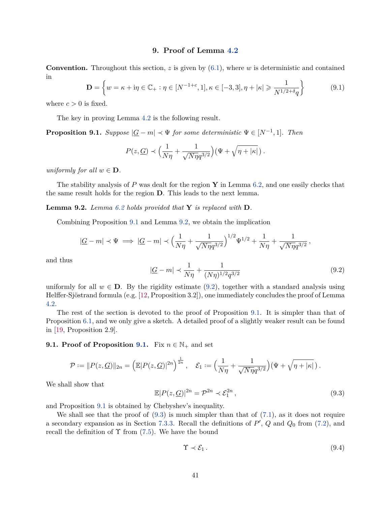#### **9. Proof of Lemma [4.2](#page-11-2)**

<span id="page-40-0"></span>**Convention.** Throughout this section, *z* is given by [\(6.1\)](#page-17-4), where *w* is deterministic and contained in

$$
\mathbf{D} = \left\{ w = \kappa + i\eta \in \mathbb{C}_+ : \eta \in [N^{-1+c}, 1], \kappa \in [-3, 3], \eta + |\kappa| \geq \frac{1}{N^{1/2 + \delta} q} \right\}
$$
(9.1)

where  $c > 0$  is fixed.

The key in proving Lemma [4.2](#page-11-2) is the following result.

<span id="page-40-1"></span>**Proposition 9.1.** *Suppose*  $|G - m| \prec \Psi$  *for some deterministic*  $\Psi \in [N^{-1}, 1]$ *. Then* 

$$
P(z, \underline{G}) \prec \Big(\frac{1}{N\eta} + \frac{1}{\sqrt{N\eta}q^{3/2}}\Big) \big(\Psi + \sqrt{\eta + |\kappa|}\,\big) \, .
$$

*uniformly for all*  $w \in D$ *.* 

The stability analysis of *P* was dealt for the region **Y** in Lemma [6.2,](#page-17-2) and one easily checks that the same result holds for the region **D**. This leads to the next lemma.

<span id="page-40-2"></span>**Lemma 9.2.** *Lemma [6.2](#page-17-2) holds provided that* **Y** *is replaced with* **D***.*

Combining Proposition [9.1](#page-40-1) and Lemma [9.2,](#page-40-2) we obtain the implication

$$
|G - m| \prec \Psi \implies |G - m| \prec \left(\frac{1}{N\eta} + \frac{1}{\sqrt{N\eta}q^{3/2}}\right)^{1/2} \Psi^{1/2} + \frac{1}{N\eta} + \frac{1}{\sqrt{N\eta}q^{3/2}},
$$

and thus

<span id="page-40-3"></span>
$$
|\underline{G} - m| \prec \frac{1}{N\eta} + \frac{1}{(N\eta)^{1/2} q^{3/2}} \tag{9.2}
$$

uniformly for all  $w \in \mathbf{D}$ . By the rigidity estimate [\(9.2\)](#page-40-3), together with a standard analysis using Helffer-Sjöstrand formula (e.g. [\[12,](#page-51-3) Proposition 3.2]), one immediately concludes the proof of Lemma [4.2.](#page-11-2)

The rest of the section is devoted to the proof of Proposition [9.1.](#page-40-1) It is simpler than that of Proposition [6.1,](#page-17-1) and we only give a sketch. A detailed proof of a slightly weaker result can be found in [\[19,](#page-51-0) Proposition 2.9].

## **[9.1.](#page-40-1) Proof of Proposition 9.1.** Fix  $n \in \mathbb{N}_+$  and set

$$
\mathcal{P} := ||P(z, \mathcal{G})||_{2n} = \left(\mathbb{E}|P(z, \mathcal{G})|^{2n}\right)^{\frac{1}{2n}}, \quad \mathcal{E}_1 := \left(\frac{1}{N\eta} + \frac{1}{\sqrt{N\eta}q^{3/2}}\right)(\Psi + \sqrt{\eta + |\kappa|}).
$$

We shall show that

<span id="page-40-4"></span>
$$
\mathbb{E}|P(z,\underline{G})|^{2n} = \mathcal{P}^{2n} \prec \mathcal{E}_1^{2n},\tag{9.3}
$$

and Proposition [9.1](#page-40-1) is obtained by Chebyshev's inequality.

We shall see that the proof of  $(9.3)$  is much simpler than that of  $(7.1)$ , as it does not require a secondary expansion as in Section [7.3.3.](#page-26-0) Recall the definitions of  $P'$ ,  $Q$  and  $Q_0$  from [\(7.2\)](#page-20-7), and recall the definition of  $\Upsilon$  from [\(7.5\)](#page-20-8). We have the bound

<span id="page-40-5"></span>
$$
\Upsilon \prec \mathcal{E}_1. \tag{9.4}
$$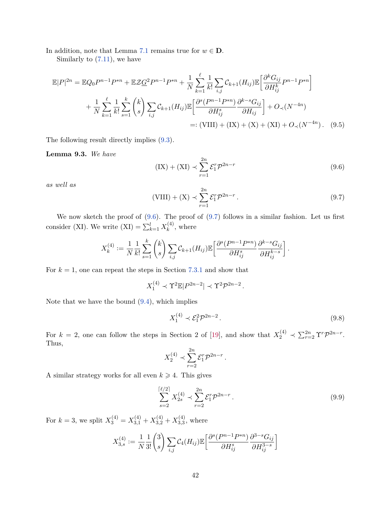In addition, note that Lemma [7.1](#page-20-5) remains true for  $w \in \mathbf{D}$ .

Similarly to [\(7.11\)](#page-21-1), we have

$$
\mathbb{E}|P|^{2n} = \mathbb{E}Q_0 P^{n-1} P^{*n} + \mathbb{E}Z \underline{G}^2 P^{n-1} P^{*n} + \frac{1}{N} \sum_{k=1}^{\ell} \frac{1}{k!} \sum_{i,j} C_{k+1}(H_{ij}) \mathbb{E} \left[ \frac{\partial^k G_{ij}}{\partial H_{ij}^k} P^{n-1} P^{*n} \right] + \frac{1}{N} \sum_{k=1}^{\ell} \frac{1}{k!} \sum_{s=1}^{k} {k \choose s} \sum_{i,j} C_{k+1}(H_{ij}) \mathbb{E} \left[ \frac{\partial^s (P^{n-1} P^{*n})}{\partial H_{ij}^s} \frac{\partial^{k-s} G_{ij}}{\partial H_{ij}} \right] + O_{\prec}(N^{-4n}) =: (\text{VIII}) + (\text{IX}) + (\text{X}) + (\text{XI}) + O_{\prec}(N^{-4n}). \quad (9.5)
$$

The following result directly implies [\(9.3\)](#page-40-4).

<span id="page-41-3"></span>**Lemma 9.3.** *We have*

<span id="page-41-0"></span>
$$
(IX) + (XI) \prec \sum_{r=1}^{2n} \mathcal{E}_1^r \mathcal{P}^{2n-r}
$$
\n(9.6)

*as well as*

<span id="page-41-1"></span>
$$
(\text{VIII}) + (\text{X}) \prec \sum_{r=1}^{2n} \mathcal{E}_1^r \mathcal{P}^{2n-r} \,. \tag{9.7}
$$

We now sketch the proof of  $(9.6)$ . The proof of  $(9.7)$  follows in a similar fashion. Let us first consider (XI). We write  $(XI) = \sum_{k=1}^{l} X_k^{(4)}$  $k^{(4)}$ , where

$$
X_k^{(4)} := \frac{1}{N} \frac{1}{k!} \sum_{s=1}^k {k \choose s} \sum_{i,j} C_{k+1}(H_{ij}) \mathbb{E} \left[ \frac{\partial^s (P^{n-1} P^{*n})}{\partial H_{ij}^s} \frac{\partial^{k-s} G_{ij}}{\partial H_{ij}^{k-s}} \right].
$$

For  $k = 1$ , one can repeat the steps in Section [7.3.1](#page-24-3) and show that

$$
X_1^{(4)} \prec \Upsilon^2 \mathbb{E} |P^{2n-2}| \prec \Upsilon^2 \mathcal{P}^{2n-2}.
$$

Note that we have the bound [\(9.4\)](#page-40-5), which implies

<span id="page-41-2"></span>
$$
X_1^{(4)} \prec \mathcal{E}_1^2 \mathcal{P}^{2n-2} \,. \tag{9.8}
$$

For  $k = 2$ , one can follow the steps in Section 2 of [\[19\]](#page-51-0), and show that  $X_2^{(4)} \prec \sum_{r=2}^{2n} \Upsilon^r \mathcal{P}^{2n-r}$ . Thus,

$$
X_2^{(4)} \prec \sum_{r=2}^{2n} \mathcal{E}_1^r \mathcal{P}^{2n-r} \, .
$$

A similar strategy works for all even  $k \geq 4$ . This gives

$$
\sum_{s=2}^{\lceil \ell/2 \rceil} X_{2s}^{(4)} \prec \sum_{r=2}^{2n} \mathcal{E}_1^r \mathcal{P}^{2n-r} \,. \tag{9.9}
$$

For  $k = 3$ , we split  $X_3^{(4)} = X_{3,1}^{(4)} + X_{3,2}^{(4)} + X_{3,3}^{(4)}$  $^{(4)}_{3,3}$ , where

$$
X_{3,s}^{(4)} := \frac{1}{N} \frac{1}{3!} {3 \choose s} \sum_{i,j} C_4(H_{ij}) \mathbb{E} \left[ \frac{\partial^s (P^{n-1} P^{*n})}{\partial H_{ij}^s} \frac{\partial^{3-s} G_{ij}}{\partial H_{ij}^{3-s}} \right]
$$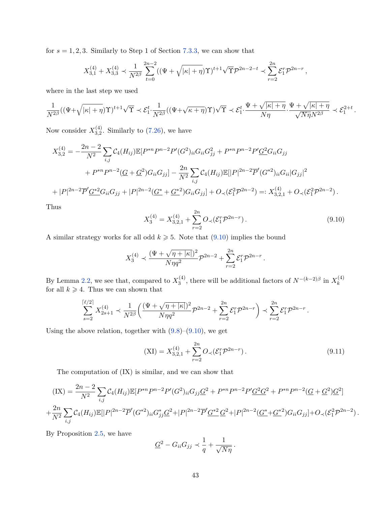for  $s = 1, 2, 3$ . Similarly to Step 1 of Section [7.3.3,](#page-26-0) we can show that

$$
X_{3,1}^{(4)} + X_{3,3}^{(4)} \prec \frac{1}{N^{2\beta}} \sum_{t=0}^{2n-2} ((\Psi + \sqrt{|\kappa| + \eta}) \Upsilon)^{t+1} \sqrt{\Upsilon} \mathcal{P}^{2n-2-t} \prec \sum_{r=2}^{2n} \mathcal{E}_1^r \mathcal{P}^{2n-r},
$$

where in the last step we used

$$
\frac{1}{N^{2\beta}}((\Psi+\sqrt{|\kappa|+\eta})\Upsilon)^{t+1}\sqrt{\Upsilon}\prec \mathcal{E}_1^t\cdot \frac{1}{N^{2\beta}}((\Psi+\sqrt{\kappa+\eta})\Upsilon)\sqrt{\Upsilon}\prec \mathcal{E}_1^t\cdot \frac{\Psi+\sqrt{|\kappa|+\eta}}{N\eta}\cdot \frac{\Psi+\sqrt{|\kappa|+\eta}}{\sqrt{N\eta}N^{2\beta}}\prec \mathcal{E}_1^{2+t}\,.
$$

Now consider  $X_{3,2}^{(4)}$  $_{3,2}^{(4)}$ . Similarly to  $(7.26)$ , we have

$$
X_{3,2}^{(4)} = -\frac{2n-2}{N^2} \sum_{i,j} C_4(H_{ij}) \mathbb{E}[P^{*n}P^{n-2}P'(G^2)_{ii} G_{ii} G_{jj}^2 + P^{*n}P^{n-2}P'\underline{G}^2 G_{ii} G_{jj}
$$
  
+ 
$$
P^{*n}P^{n-2}(\underline{G} + \underline{G}^2) G_{ii} G_{jj}] - \frac{2n}{N^2} \sum_{i,j} C_4(H_{ij}) \mathbb{E}[|P|^{2n-2} \overline{P}'(G^{*2})_{ii} G_{ii}|G_{jj}|^2
$$
  
+ 
$$
|P|^{2n-2} \overline{P}'\underline{G}^{*2} G_{ii} G_{jj} + |P|^{2n-2} (\underline{G}^* + \underline{G}^{*2}) G_{ii} G_{jj}] + O_{\prec}(\mathcal{E}_1^2 \mathcal{P}^{2n-2}) =: X_{3,2,1}^{(4)} + O_{\prec}(\mathcal{E}_1^2 \mathcal{P}^{2n-2}).
$$

Thus

<span id="page-42-0"></span>
$$
X_3^{(4)} = X_{3,2,1}^{(4)} + \sum_{r=2}^{2n} O_\prec (\mathcal{E}_1^r \mathcal{P}^{2n-r}). \tag{9.10}
$$

A similar strategy works for all odd  $k \geq 5$ . Note that [\(9.10\)](#page-42-0) implies the bound

$$
X_3^{(4)} \prec \frac{(\Psi + \sqrt{\eta + |\kappa|})^2}{N\eta q^2} \mathcal{P}^{2n-2} + \sum_{r=2}^{2n} \mathcal{E}_1^r \mathcal{P}^{2n-r}.
$$

By Lemma [2.2,](#page-5-6) we see that, compared to  $X_3^{(4)}$  $S_3^{(4)}$ , there will be additional factors of  $N^{-(k-2)\beta}$  in  $X_k^{(4)}$ *k* for all  $k \geqslant 4$ . Thus we can shown that

$$
\sum_{s=2}^{\lceil \ell/2 \rceil} X_{2s+1}^{(4)} \prec \frac{1}{N^{2\beta}} \left( \frac{(\Psi + \sqrt{\eta + |\kappa|})^2}{N\eta q^2} \mathcal{P}^{2n-2} + \sum_{r=2}^{2n} \mathcal{E}_1^r \mathcal{P}^{2n-r} \right) \prec \sum_{r=2}^{2n} \mathcal{E}_1^r \mathcal{P}^{2n-r}.
$$

Using the above relation, together with  $(9.8)$ – $(9.10)$ , we get

$$
(\text{XI}) = X_{3,2,1}^{(4)} + \sum_{r=2}^{2n} O_{\prec} (\mathcal{E}_1^r \mathcal{P}^{2n-r}). \tag{9.11}
$$

The computation of (IX) is similar, and we can show that

$$
(IX) = \frac{2n-2}{N^2} \sum_{i,j} C_4(H_{ij}) \mathbb{E}[P^{*n}P^{n-2}P'(G^2)_{ii}G_{jj}G^2 + P^{*n}P^{n-2}P'G^2G^2 + P^{*n}P^{n-2}(G+G^2)G^2]
$$
  
+ 
$$
\frac{2n}{N^2} \sum_{i,j} C_4(H_{ij}) \mathbb{E}[|P|^{2n-2}\overline{P}'(G^{*2})_{ii}G^*_{jj}G^2 + |P|^{2n-2}\overline{P}'(G^{*2}G^2 + |P|^{2n-2}(G^*+G^{*2})G_{ii}G_{jj}] + O(\sqrt{C_1^2}P^{2n-2}).
$$

By Proposition [2.5,](#page-6-1) we have

$$
\underline{G}^2 - G_{ii}G_{jj} \prec \frac{1}{q} + \frac{1}{\sqrt{N\eta}}.
$$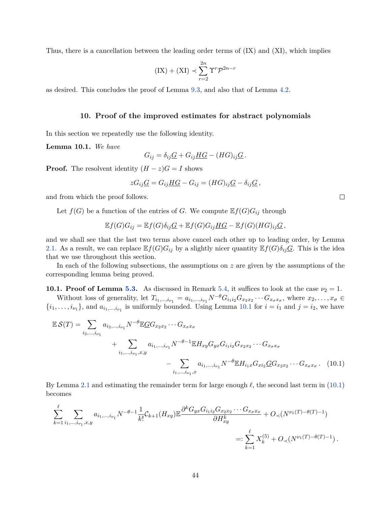Thus, there is a cancellation between the leading order terms of (IX) and (XI), which implies

$$
(IX) + (XI) \prec \sum_{r=2}^{2n} \Upsilon^r \mathcal{P}^{2n-r}
$$

as desired. This concludes the proof of Lemma [9.3,](#page-41-3) and also that of Lemma [4.2.](#page-11-2)

#### **10. Proof of the improved estimates for abstract polynomials**

<span id="page-43-0"></span>In this section we repeatedly use the following identity.

<span id="page-43-2"></span>**Lemma 10.1.** *We have*

$$
G_{ij} = \delta_{ij} \underline{G} + G_{ij} \underline{H} \underline{G} - (H G)_{ij} \underline{G}.
$$

**Proof.** The resolvent identity  $(H - z)G = I$  shows

$$
zG_{ij}\underline{G}=G_{ij}\underline{HG}-G_{ij}=(HG)_{ij}\underline{G}-\delta_{ij}\underline{G},
$$

and from which the proof follows.

Let  $f(G)$  be a function of the entries of *G*. We compute  $\mathbb{E} f(G)G_{ij}$  through

$$
\mathbb{E}f(G)G_{ij} = \mathbb{E}f(G)\delta_{ij}\underline{G} + \mathbb{E}f(G)G_{ij}\underline{HG} - \mathbb{E}f(G)(HG)_{ij}\underline{G},
$$

and we shall see that the last two terms above cancel each other up to leading order, by Lemma [2.1.](#page-5-2) As a result, we can replace  $\mathbb{E}f(G)G_{ij}$  by a slightly nicer quantity  $\mathbb{E}f(G)\delta_{ij}\underline{G}$ . This is the idea that we use throughout this section.

In each of the following subsections, the assumptions on *z* are given by the assumptions of the corresponding lemma being proved.

<span id="page-43-1"></span>**10.1. Proof of Lemma [5.3.](#page-13-2)** As discussed in Remark [5.4,](#page-13-7) it suffices to look at the case  $\nu_2 = 1$ .

Without loss of generality, let  $T_{i_1,\dots,i_{\nu_1}} = a_{i_1,\dots,i_{\nu_1}} N^{-\theta} G_{i_1 i_2} G_{x_2 x_2} \cdots G_{x_{\sigma} x_{\sigma}}$ , where  $x_2,\dots,x_{\sigma} \in$  $\{i_1, \ldots, i_{\nu_1}\}\$ , and  $a_{i_1,\ldots,i_{\nu_1}}$  is uniformly bounded. Using Lemma [10.1](#page-43-2) for  $i = i_1$  and  $j = i_2$ , we have

$$
\mathbb{E} S(T) = \sum_{i_2, ..., i_{\nu_1}} a_{i_2, ..., i_{\nu_1}} N^{-\theta} \mathbb{E} G G_{x_2 x_2} \cdots G_{x_{\sigma} x_{\sigma}}
$$
  
+ 
$$
\sum_{i_1, ..., i_{\nu_1}, x, y} a_{i_1, ..., i_{\nu_1}} N^{-\theta - 1} \mathbb{E} H_{xy} G_{yx} G_{i_1 i_2} G_{x_2 x_2} \cdots G_{x_{\sigma} x_{\sigma}}
$$
  
- 
$$
\sum_{i_1, ..., i_{\nu_1}, x} a_{i_1, ..., i_{\nu_1}} N^{-\theta} \mathbb{E} H_{i_1 x} G_{x i_2} \underline{G} G_{x_2 x_2} \cdots G_{x_{\sigma} x_{\sigma}}.
$$
 (10.1)

By Lemma [2.1](#page-5-2) and estimating the remainder term for large enough  $\ell$ , the second last term in [\(10.1\)](#page-43-3) becomes

$$
\sum_{k=1}^{\ell} \sum_{i_1, \dots, i_{\nu_1}, x, y} a_{i_1, \dots, i_{\nu_1}} N^{-\theta - 1} \frac{1}{k!} C_{k+1}(H_{xy}) \mathbb{E} \frac{\partial^k G_{yx} G_{i_1 i_2} G_{x_2 x_2} \cdots G_{x_{\sigma} x_{\sigma}}}{\partial H_{xy}^k} + O_{\prec}(N^{\nu_1(T) - \theta(T) - 1})
$$
\n
$$
=: \sum_{k=1}^{\ell} X_k^{(5)} + O_{\prec}(N^{\nu_1(T) - \theta(T) - 1}).
$$

<span id="page-43-3"></span> $\Box$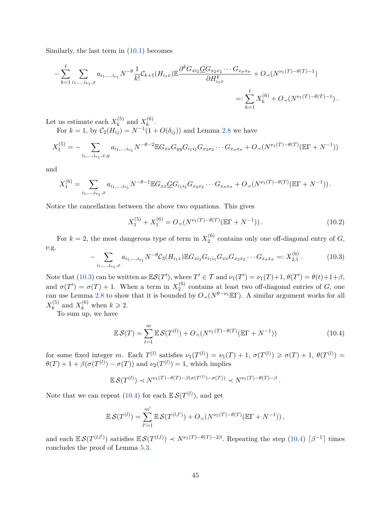Similarly, the last term in [\(10.1\)](#page-43-3) becomes

$$
- \sum_{k=1}^{\ell} \sum_{i_1, \dots, i_{\nu_1}, x} a_{i_1, \dots, i_{\nu_1}} N^{-\theta} \frac{1}{k!} C_{k+1}(H_{i_1x}) \mathbb{E} \frac{\partial^k G_{xi_2} \underline{G} G_{x_2 x_2} \cdots G_{x_{\sigma} x_{\sigma}}}{\partial H_{i_1x}^k} + O_{\prec}(N^{\nu_1(T) - \theta(T) - 1})
$$
  

$$
=: \sum_{k=1}^{\ell} X_k^{(6)} + O_{\prec}(N^{\nu_1(T) - \theta(T) - 1}).
$$

Let us estimate each  $X_k^{(5)}$  $\chi_k^{(5)}$  and  $X_k^{(6)}$  $k^{(0)}$ . For  $k = 1$ , by  $C_2(H_{ij}) = N^{-1}(1 + O(\delta_{ij}))$  and Lemma [2.8](#page-7-2) we have

$$
X_1^{(5)} = -\sum_{i_1,\dots,i_{\nu_1},x,y} a_{i_1,\dots,i_{\nu_1}} N^{-\theta - 2} \mathbb{E} G_{xx} G_{yy} G_{i_1 i_2} G_{x_2 x_2} \cdots G_{x_{\sigma} x_{\sigma}} + O_{\prec} (N^{\nu_1(T) - \theta(T)} (\mathbb{E} \Gamma + N^{-1}))
$$

and

$$
X_1^{(6)} = \sum_{i_1,\dots,i_{\nu_1},x} a_{i_1,\dots,i_{\nu_1}} N^{-\theta-1} \mathbb{E} G_{xx} \underline{G} G_{i_1 i_2} G_{x_2 x_2} \cdots G_{x_\sigma x_\sigma} + O_\prec (N^{\nu_1(T)-\theta(T)} (\mathbb{E} \Gamma + N^{-1})).
$$

Notice the cancellation between the above two equations. This gives

$$
X_1^{(5)} + X_1^{(6)} = O\left(\frac{N^{\nu_1(T) - \theta(T)}(\mathbb{E}\Gamma + N^{-1})}{N}\right). \tag{10.2}
$$

For  $k = 2$ , the most dangerous type of term in  $X_2^{(6)}$  $2^{(0)}$  contains only one off-diagonal entry of  $G$ , e.g.

<span id="page-44-0"></span>
$$
- \sum_{i_1, \dots, i_{\nu_1}, x} a_{i_1, \dots, i_{\nu_1}} N^{-\theta} C_3(H_{i_1 x}) \mathbb{E} G_{x i_2} G_{i_1 i_1} G_{x x} G_{x_2 x_2} \cdots G_{x_\sigma x_\sigma} =: X_{2,1}^{(6)}.
$$
 (10.3)

Note that [\(10.3\)](#page-44-0) can be written as  $\mathbb{E}S(T')$ , where  $T' \in \mathcal{T}$  and  $\nu_1(T') = \nu_1(T) + 1$ ,  $\theta(T') = \theta(t) + 1 + \beta$ , and  $\sigma(T') = \sigma(T) + 1$ . When a term in  $X_2^{(6)}$  $2^{(0)}$  contains at least two off-diagonal entries of *G*, one can use Lemma [2.8](#page-7-2) to show that it is bounded by  $O\left(\sqrt{N^{\theta-\nu_1}}\mathbb{E}\Gamma\right)$ . A similar argument works for all  $X_k^{(5)}$  $\binom{5}{k}$  and  $X_k^{(6)}$  when  $k \geq 2$ .

To sum up, we have

<span id="page-44-1"></span>
$$
\mathbb{E}\mathcal{S}(T) = \sum_{l=1}^{m} \mathbb{E}\mathcal{S}(T^{(l)}) + O_{\prec}(N^{\nu_1(T)-\theta(T)}(\mathbb{E}\Gamma+N^{-1}))
$$
\n(10.4)

for some fixed integer *m*. Each  $T^{(l)}$  satisfies  $\nu_1(T^{(l)}) = \nu_1(T) + 1$ ,  $\sigma(T^{(l)}) \geq \sigma(T) + 1$ ,  $\theta(T^{(l)}) =$  $\theta(T) + 1 + \beta(\sigma(T^{(l)}) - \sigma(T))$  and  $\nu_2(T^{(l)}) = 1$ , which implies

$$
\mathbb{E}\,\mathcal{S}(T^{(l)})\prec N^{\nu_1(T)-\theta(T)-\beta(\sigma(T^{(l)})-\sigma(T))}\prec N^{\nu_1(T)-\theta(T)-\beta}\,.
$$

Note that we can repeat  $(10.4)$  for each  $\mathbb{E} \mathcal{S}(T^{(l)})$ , and get

$$
\mathbb{E}\,\mathcal{S}(T^{(l)}) = \sum_{l'=1}^{m'} \mathbb{E}\,\mathcal{S}(T^{(l,l')}) + O_{\prec}(N^{\nu_1(T)-\theta(T)}(\mathbb{E}\Gamma+N^{-1})),
$$

and each  $\mathbb{E} S(T^{(l,l')})$  satisfies  $\mathbb{E} S(T^{(l,l)}) \prec N^{\nu_1(T)-\theta(T)-2\beta}$ . Repeating the step [\(10.4\)](#page-44-1)  $\lceil \beta^{-1} \rceil$  times concludes the proof of Lemma [5.3.](#page-13-2)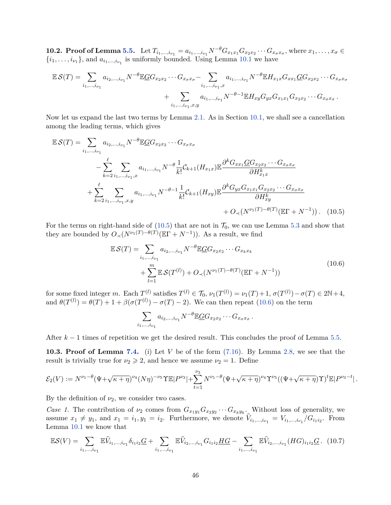<span id="page-45-0"></span>**10.2. Proof of Lemma [5.5.](#page-14-0)** Let  $T_{i_1,...,i_{\nu_1}} = a_{i_1,...,i_{\nu_1}} N^{-\theta} G_{x_1x_1} G_{x_2x_2} \cdots G_{x_{\sigma}x_{\sigma}}$ , where  $x_1,...,x_{\sigma} \in$  $\{i_1, \ldots, i_{\nu_1}\}$ , and  $a_{i_1, \ldots, i_{\nu_1}}$  is uniformly bounded. Using Lemma [10.1](#page-43-2) we have

$$
\mathbb{E} S(T) = \sum_{i_1, ..., i_{\nu_1}} a_{i_2, ..., i_{\nu_1}} N^{-\theta} \mathbb{E} G G_{x_2 x_2} \cdots G_{x_{\sigma} x_{\sigma}} - \sum_{i_1, ..., i_{\nu_1}, x} a_{i_1, ..., i_{\nu_1}} N^{-\theta} \mathbb{E} H_{x_1 x} G_{x x_1} G G_{x_2 x_2} \cdots G_{x_{\sigma} x_{\sigma}}
$$
  
+ 
$$
\sum_{i_1, ..., i_{\nu_1}, x, y} a_{i_1, ..., i_{\nu_1}} N^{-\theta - 1} \mathbb{E} H_{x y} G_{y x} G_{x_1 x_1} G_{x_2 x_2} \cdots G_{x_{\sigma} x_{\sigma}}.
$$

Now let us expand the last two terms by Lemma [2.1.](#page-5-2) As in Section [10.1,](#page-43-1) we shall see a cancellation among the leading terms, which gives

$$
\mathbb{E}\mathcal{S}(T) = \sum_{i_1,\dots,i_{\nu_1}} a_{i_2,\dots,i_{\nu_1}} N^{-\theta} \mathbb{E}\mathbb{G} G_{x_2 x_2} \cdots G_{x_\sigma x_\sigma}
$$
  
\n
$$
- \sum_{k=2}^{\ell} \sum_{i_1,\dots,i_{\nu_1},x} a_{i_1,\dots,i_{\nu_1}} N^{-\theta} \frac{1}{k!} C_{k+1} (H_{x_1 x}) \mathbb{E} \frac{\partial^k G_{xx_1} \mathbb{G} G_{x_2 x_2} \cdots G_{x_\sigma x_\sigma}}{\partial H_{x_1 x}^k}
$$
  
\n
$$
+ \sum_{k=2}^{\ell} \sum_{i_1,\dots,i_{\nu_1},x,y} a_{i_1,\dots,i_{\nu_1}} N^{-\theta-1} \frac{1}{k!} C_{k+1} (H_{xy}) \mathbb{E} \frac{\partial^k G_{yx} G_{x_1 x_1} G_{x_2 x_2} \cdots G_{x_\sigma x_\sigma}}{\partial H_{xy}^k}
$$
  
\n
$$
+ O_{\prec} (N^{\nu_1(T)-\theta(T)} (\mathbb{E}\Gamma + N^{-1})). \quad (10.5)
$$

For the terms on right-hand side of  $(10.5)$  that are not in  $\mathcal{T}_0$ , we can use Lemma [5.3](#page-13-2) and show that they are bounded by  $O_{\prec}(N^{\nu_1(T)-\theta(T)}(\mathbb{E}\Gamma+N^{-1}))$ . As a result, we find

<span id="page-45-3"></span>
$$
\mathbb{E}\mathcal{S}(T) = \sum_{i_1,\dots,i_{\nu_1}} a_{i_2,\dots,i_{\nu_1}} N^{-\theta} \mathbb{E}\mathbb{E}\mathbb{G}G_{x_2x_2} \cdots G_{x_kx_k} + \sum_{l=1}^m \mathbb{E}\mathcal{S}(T^{(l)}) + O_\prec(N^{\nu_1(T)-\theta(T)}(\mathbb{E}\Gamma+N^{-1}))
$$
\n(10.6)

for some fixed integer *m*. Each  $T^{(l)}$  satisfies  $T^{(l)} \in \mathcal{T}_0$ ,  $\nu_1(T^{(l)}) = \nu_1(T) + 1$ ,  $\sigma(T^{(l)}) - \sigma(T) \in 2\mathbb{N} + 4$ , and  $\theta(T^{(l)}) = \theta(T) + 1 + \beta(\sigma(T^{(l)}) - \sigma(T) - 2)$ . We can then repeat [\(10.6\)](#page-45-3) on the term

<span id="page-45-2"></span>
$$
\sum_{i_1,\dots,i_{\nu_1}} a_{i_2,\dots,i_{\nu_1}} N^{-\theta} \mathbb{E} G G_{x_2x_2} \cdots G_{x_{\sigma}x_{\sigma}}.
$$

After  $k-1$  times of repetition we get the desired result. This concludes the proof of Lemma [5.5.](#page-14-0)

<span id="page-45-1"></span>**10.3. Proof of Lemma [7.4.](#page-22-2)** (i) Let *V* be of the form [\(7.16\)](#page-22-1). By Lemma [2.8,](#page-7-2) we see that the result is trivially true for  $\nu_2 \geq 2$ , and hence we assume  $\nu_2 = 1$ . Define

$$
\mathcal{E}_2(V) := N^{\nu_1 - \theta} (\Psi + \sqrt{\kappa + \eta})^{\nu_4} (N\eta)^{-\nu_5} \Upsilon \mathbb{E} |P^{\nu_3}| + \sum_{t=1}^{\nu_3} N^{\nu_1 - \theta} (\Psi + \sqrt{\kappa + \eta})^{\nu_4} \Upsilon^{\nu_5} ((\Psi + \sqrt{\kappa + \eta}) \Upsilon)^t \mathbb{E} |P^{\nu_3 - t}|.
$$

By the definition of  $\nu_2$ , we consider two cases.

*Case 1.* The contribution of  $\nu_2$  comes from  $G_{x_1y_1}G_{x_2y_2}\cdots G_{x_ky_k}$ . Without loss of generality, we assume  $x_1 \neq y_1$ , and  $x_1 = i_1, y_1 = i_2$ . Furthermore, we denote  $V_{i_1,...,i_{\nu_1}} = V_{i_1,...,i_{\nu_1}}/G_{i_1 i_2}$ . From Lemma [10.1](#page-43-2) we know that

<span id="page-45-4"></span>
$$
\mathbb{E}S(V) = \sum_{i_1,\dots,i_{\nu_1}} \mathbb{E}\widehat{V}_{i_1,\dots,i_{\nu_1}} \delta_{i_1 i_2} \underline{G} + \sum_{i_1,\dots,i_{\nu_1}} \mathbb{E}\widehat{V}_{i_2,\dots,i_{\nu_1}} G_{i_1 i_2} \underline{H} \underline{G} - \sum_{i_1,\dots,i_{\nu_1}} \mathbb{E}\widehat{V}_{i_2,\dots,i_{\nu_1}} (HG)_{i_1 i_2} \underline{G}. \tag{10.7}
$$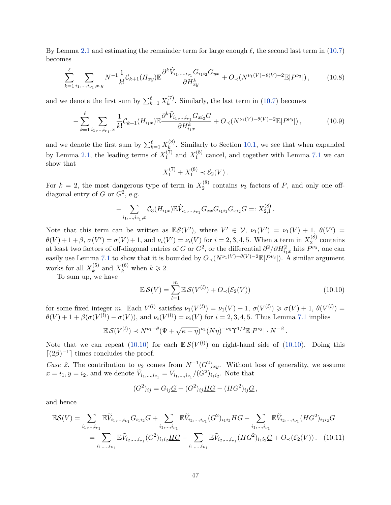By Lemma [2.1](#page-5-2) and estimating the remainder term for large enough  $\ell$ , the second last term in [\(10.7\)](#page-45-4) becomes

<span id="page-46-3"></span>
$$
\sum_{k=1}^{\ell} \sum_{i_1,\dots,i_{\nu_1},x,y} N^{-1} \frac{1}{k!} C_{k+1}(H_{xy}) \mathbb{E} \frac{\partial^k \widehat{V}_{i_1,\dots,i_{\nu_1}} G_{i_1 i_2} G_{yx}}{\partial H_{xy}^k} + O_{\prec}(N^{\nu_1(V)-\theta(V)-2} \mathbb{E}|P^{\nu_3}|), \tag{10.8}
$$

and we denote the first sum by  $\sum_{k=1}^{\ell} X_k^{(7)}$  $k^{(t)}$ . Similarly, the last term in [\(10.7\)](#page-45-4) becomes

<span id="page-46-2"></span>
$$
-\sum_{k=1}^{\ell} \sum_{i_1,\dots,i_{\nu_1},x} \frac{1}{k!} \mathcal{C}_{k+1}(H_{i_1x}) \mathbb{E} \frac{\partial^k \widehat{V}_{i_1,\dots,i_{\nu_1}} G_{xi} G}{\partial H_{i_1x}^k} + O_{\prec}(N^{\nu_1(V)-\theta(V)-2} \mathbb{E}|P^{\nu_3}|),\tag{10.9}
$$

and we denote the first sum by  $\sum_{k=1}^{\ell} X_k^{(8)}$  $\mathbf{k}^{(0)}$ . Similarly to Section [10.1,](#page-43-1) we see that when expanded by Lemma [2.1,](#page-5-2) the leading terms of  $X_1^{(7)}$  $X_1^{(7)}$  and  $X_1^{(8)}$  $_1^{\circ}$  cancel, and together with Lemma [7.1](#page-20-5) we can show that

$$
X_1^{(7)} + X_1^{(8)} \prec \mathcal{E}_2(V) \, .
$$

For  $k = 2$ , the most dangerous type of term in  $X_2^{(8)}$  $\chi_2^{(0)}$  contains  $\nu_3$  factors of *P*, and only one offdiagonal entry of  $G$  or  $G^2$ , e.g.

$$
- \sum_{i_1,\dots,i_{\nu_1},x} C_3(H_{i_1x}) \mathbb{E} \widehat{V}_{i_1,\dots,i_{\nu_1}} G_{xx} G_{i_1i_1} G_{xi_2} G =: X_{2,1}^{(8)}.
$$

Note that this term can be written as  $\mathbb{E}S(V')$ , where  $V' \in V$ ,  $\nu_1(V') = \nu_1(V) + 1$ ,  $\theta(V') =$  $\theta(V) + 1 + \beta$ ,  $\sigma(V') = \sigma(V) + 1$ , and  $\nu_i(V') = \nu_i(V)$  for  $i = 2, 3, 4, 5$ . When a term in  $X_2^{(8)}$  $2^{(8)}$  contains at least two factors of off-diagonal entries of *G* or  $G^2$ , or the differential  $\partial^2/\partial H_{i_1x}^2$  hits  $P^{\nu_3}$ , one can easily use Lemma [7.1](#page-20-5) to show that it is bounded by  $O\left(\sqrt{N^{\nu_1(V)-\theta(V)-2}}\mathbb{E}|P^{\nu_3}|\right)$ . A similar argument works for all  $X_k^{(5)}$  $\binom{5}{k}$  and  $X_k^{(6)}$  when  $k \geq 2$ .

To sum up, we have

<span id="page-46-0"></span>
$$
\mathbb{E}\mathcal{S}(V) = \sum_{l=1}^{m} \mathbb{E}\mathcal{S}(V^{(l)}) + O_{\prec}(\mathcal{E}_2(V))
$$
\n(10.10)

for some fixed integer *m*. Each  $V^{(l)}$  satisfies  $\nu_1(V^{(l)}) = \nu_1(V) + 1$ ,  $\sigma(V^{(l)}) \geq \sigma(V) + 1$ ,  $\theta(V^{(l)}) =$  $\theta(V) + 1 + \beta(\sigma(V^{(l)}) - \sigma(V)),$  and  $\nu_i(V^{(l)}) = \nu_i(V)$  for  $i = 2, 3, 4, 5$ . Thus Lemma [7.1](#page-20-5) implies

$$
\mathbb{E}\,\mathcal{S}(V^{(l)})\prec N^{\nu_1-\theta}(\Psi+\sqrt{\kappa+\eta})^{\nu_4}(N\eta)^{-\nu_5}\Upsilon^{1/2}\mathbb{E}|P^{\nu_3}|\cdot N^{-\beta}.
$$

Note that we can repeat [\(10.10\)](#page-46-0) for each  $\mathbb{E} S(V^{(l)})$  on right-hand side of (10.10). Doing this  $\lceil (2\beta)^{-1} \rceil$  times concludes the proof.

*Case 2.* The contribution to  $\nu_2$  comes from  $N^{-1}(G^2)_{xy}$ . Without loss of generality, we assume  $x = i_1, y = i_2$ , and we denote  $\tilde{V}_{i_1,...,i_{\nu_1}} = V_{i_1,...,i_{\nu_1}}/(G^2)_{i_1 i_2}$ . Note that

<span id="page-46-1"></span>
$$
(G2)ij = GijG + (G2)ijHG - (HG2)ijG,
$$

and hence

$$
\mathbb{E}\mathcal{S}(V) = \sum_{i_1,\dots,i_{\nu_1}} \mathbb{E}\widetilde{V}_{i_1,\dots,i_{\nu_1}} G_{i_1 i_2} \underline{G} + \sum_{i_1,\dots,i_{\nu_1}} \mathbb{E}\widetilde{V}_{i_2,\dots,i_{\nu_1}} (G^2)_{i_1 i_2} \underline{H} G - \sum_{i_1,\dots,i_{\nu_1}} \mathbb{E}\widetilde{V}_{i_2,\dots,i_{\nu_1}} (H G^2)_{i_1 i_2} \underline{G}
$$
  
= 
$$
\sum_{i_1,\dots,i_{\nu_1}} \mathbb{E}\widetilde{V}_{i_2,\dots,i_{\nu_1}} (G^2)_{i_1 i_2} \underline{H} G - \sum_{i_1,\dots,i_{\nu_1}} \mathbb{E}\widetilde{V}_{i_2,\dots,i_{\nu_1}} (H G^2)_{i_1 i_2} \underline{G} + O_{\prec}(\mathcal{E}_2(V)) . \quad (10.11)
$$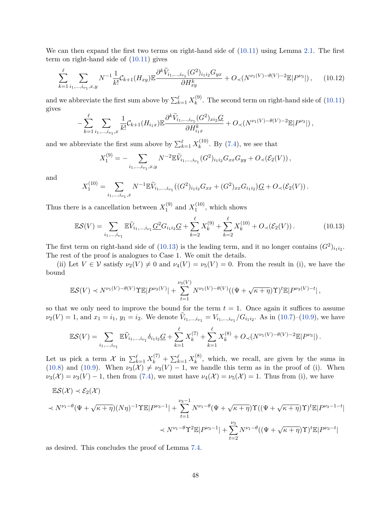We can then expand the first two terms on right-hand side of  $(10.11)$  using Lemma [2.1.](#page-5-2) The first term on right-hand side of  $(10.11)$  gives

$$
\sum_{k=1}^{\ell} \sum_{i_1, \dots, i_{\nu_1}, x, y} N^{-1} \frac{1}{k!} C_{k+1}(H_{xy}) \mathbb{E} \frac{\partial^k \widetilde{V}_{i_1, \dots, i_{\nu_1}}(G^2)_{i_1 i_2} G_{yx}}{\partial H_{xy}^k} + O_{\prec}(N^{\nu_1(V) - \theta(V) - 2} \mathbb{E}|P^{\nu_3}|), \quad (10.12)
$$

and we abbreviate the first sum above by  $\sum_{k=1}^{\ell} X_k^{(9)}$  $\binom{9}{k}$ . The second term on right-hand side of  $(10.11)$ gives

$$
-\sum_{k=1}^{\ell} \sum_{i_1,\dots,i_{\nu_1},x} \frac{1}{k!} C_{k+1}(H_{i_1x}) \mathbb{E} \frac{\partial^k \widetilde{V}_{i_1,\dots,i_{\nu_1}}(G^2)_{xi_2} G}{\partial H_{i_1x}^k} + O_{\prec}(N^{\nu_1(V)-\theta(V)-2} \mathbb{E}|P^{\nu_3}|),
$$

and we abbreviate the first sum above by  $\sum_{k=1}^{\ell} X_k^{(10)}$  $k^{(10)}$ . By [\(7.4\)](#page-20-1), we see that

$$
X_1^{(9)} = -\sum_{i_1,\dots,i_{\nu_1},x,y} N^{-2} \mathbb{E} \tilde{V}_{i_1,\dots,i_{\nu_1}}(G^2)_{i_1i_2} G_{xx} G_{yy} + O_{\prec}(\mathcal{E}_2(V)),
$$

and

$$
X_1^{(10)} = \sum_{i_1,\dots,i_{\nu_1},x} N^{-1} \mathbb{E} \widetilde{V}_{i_1,\dots,i_{\nu_1}}((G^2)_{i_1i_2} G_{xx} + (G^2)_{xx} G_{i_1i_2}) \underline{G} + O_{\prec}(\mathcal{E}_2(V)).
$$

Thus there is a cancellation between  $X_1^{(9)}$  $_1^{(9)}$  and  $X_1^{(10)}$  $1^{(10)}$ , which shows

<span id="page-47-0"></span>
$$
\mathbb{E} \mathcal{S}(V) = \sum_{i_1, \dots, i_{\nu_1}} \mathbb{E} \widetilde{V}_{i_1, \dots, i_{\nu_1}} \underline{G^2} G_{i_1 i_2} \underline{G} + \sum_{k=2}^{\ell} X_k^{(9)} + \sum_{k=2}^{\ell} X_k^{(10)} + O_{\prec}(\mathcal{E}_2(V)). \tag{10.13}
$$

The first term on right-hand side of [\(10.13\)](#page-47-0) is the leading term, and it no longer contains  $(G^2)_{i_1 i_2}$ . The rest of the proof is analogues to Case 1. We omit the details.

(ii) Let  $V \in V$  satisfy  $\nu_2(V) \neq 0$  and  $\nu_4(V) = \nu_5(V) = 0$ . From the result in (i), we have the bound

$$
\mathbb{E}S(V) \prec N^{\nu_1(V)-\theta(V)}\Upsilon \mathbb{E}|P^{\nu_3(V)}|+\sum_{t=1}^{\nu_3(V)} N^{\nu_1(V)-\theta(V)}((\Psi+\sqrt{\kappa+\eta})\Upsilon)^t \mathbb{E}|P^{\nu_3(V)-t}|,
$$

so that we only need to improve the bound for the term  $t = 1$ . Once again it suffices to assume  $\nu_2(V) = 1$ , and  $x_1 = i_1$ ,  $y_1 = i_2$ . We denote  $V_{i_1,...,i_{\nu_1}} = V_{i_1,...,i_{\nu_1}}/G_{i_1i_2}$ . As in [\(10.7\)](#page-45-4)–[\(10.9\)](#page-46-2), we have

$$
\mathbb{E} \mathcal{S}(V) = \sum_{i_1,\dots,i_{\nu_1}} \mathbb{E} \widehat{V}_{i_1,\dots,i_{\nu_1}} \delta_{i_1 i_2} \underline{G} + \sum_{k=1}^{\ell} X_k^{(7)} + \sum_{k=1}^{\ell} X_k^{(8)} + O_{\prec}(N^{\nu_1(V) - \theta(V) - 2} \mathbb{E} |P^{\nu_3}|).
$$

Let us pick a term  $\mathcal{X}$  in  $\sum_{k=1}^{\ell} X_k^{(7)} + \sum_{k=1}^{\ell} X_k^{(8)}$  $\lambda_k^{(0)}$ , which, we recall, are given by the sums in [\(10.8\)](#page-46-3) and [\(10.9\)](#page-46-2). When  $\nu_3(\mathcal{X}) \neq \nu_3(V) - 1$ , we handle this term as in the proof of (i). When  $\nu_3(\mathcal{X}) = \nu_3(V) - 1$ , then from [\(7.4\)](#page-20-1), we must have  $\nu_4(\mathcal{X}) = \nu_5(\mathcal{X}) = 1$ . Thus from (i), we have

$$
\mathbb{E}S(\mathcal{X}) \prec \mathcal{E}_2(\mathcal{X})
$$
  

$$
\prec N^{\nu_1-\theta}(\Psi+\sqrt{\kappa+\eta})(N\eta)^{-1}\Upsilon \mathbb{E}|P^{\nu_3-1}| + \sum_{t=1}^{\nu_3-1} N^{\nu_1-\theta}(\Psi+\sqrt{\kappa+\eta})\Upsilon((\Psi+\sqrt{\kappa+\eta})\Upsilon)^t \mathbb{E}|P^{\nu_3-1-t}|
$$
  

$$
\prec N^{\nu_1-\theta}\Upsilon^2 \mathbb{E}|P^{\nu_3-1}| + \sum_{t=2}^{\nu_3} N^{\nu_1-\theta}((\Psi+\sqrt{\kappa+\eta})\Upsilon)^t \mathbb{E}|P^{\nu_3-t}|
$$

as desired. This concludes the proof of Lemma [7.4.](#page-22-2)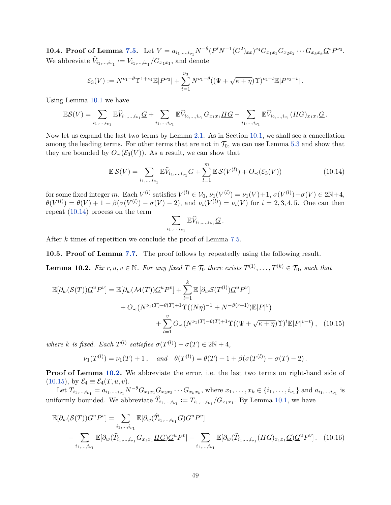<span id="page-48-0"></span>**10.4. Proof of Lemma [7.5.](#page-23-0)** Let  $V = a_{i_1,...,i_{\nu_1}} N^{-\theta} (P' N^{-1} (G^2)_{xx})^{\nu_4} G_{x_1x_1} G_{x_2x_2} \cdots G_{x_kx_k} G^s P^{\nu_3}$ . We abbreviate  $\widehat{V}_{i_1,\dots,i_{\nu_1}} := V_{i_1,\dots,i_{\nu_1}} / G_{x_1x_1}$ , and denote

$$
\mathcal{E}_3(V) := N^{\nu_1 - \theta} \Upsilon^{1 + \nu_4} \mathbb{E} |P^{\nu_3}| + \sum_{t=1}^{\nu_3} N^{\nu_1 - \theta} ((\Psi + \sqrt{\kappa + \eta}) \Upsilon)^{\nu_4 + t} \mathbb{E} |P^{\nu_3 - t}|.
$$

Using Lemma [10.1](#page-43-2) we have

$$
\mathbb{E}S(V) = \sum_{i_1,\dots,i_{\nu_1}} \mathbb{E}\hat{V}_{i_1,\dots,i_{\nu_1}}G + \sum_{i_1,\dots,i_{\nu_1}} \mathbb{E}\hat{V}_{i_2,\dots,i_{\nu_1}}G_{x_1x_1}\underline{HG} - \sum_{i_1,\dots,i_{\nu_1}} \mathbb{E}\hat{V}_{i_2,\dots,i_{\nu_1}}(HG)_{x_1x_1}\underline{G}.
$$

Now let us expand the last two terms by Lemma [2.1.](#page-5-2) As in Section [10.1,](#page-43-1) we shall see a cancellation among the leading terms. For other terms that are not in  $\mathcal{T}_0$ , we can use Lemma [5.3](#page-13-2) and show that they are bounded by  $O_{\prec}(\mathcal{E}_3(V))$ . As a result, we can show that

<span id="page-48-2"></span>
$$
\mathbb{E}\mathcal{S}(V) = \sum_{i_1,\dots,i_{\nu_1}} \mathbb{E}\widehat{V}_{i_1,\dots,i_{\nu_1}} \underline{G} + \sum_{l=1}^m \mathbb{E}\mathcal{S}(V^{(l)}) + O_{\prec}(\mathcal{E}_3(V))
$$
(10.14)

for some fixed integer *m*. Each  $V^{(l)}$  satisfies  $V^{(l)} \in V_0$ ,  $\nu_1(V^{(l)}) = \nu_1(V) + 1$ ,  $\sigma(V^{(l)}) - \sigma(V) \in 2\mathbb{N} + 4$ ,  $\theta(V^{(l)}) = \theta(V) + 1 + \beta(\sigma(V^{(l)}) - \sigma(V) - 2)$ , and  $\nu_i(V^{(l)}) = \nu_i(V)$  for  $i = 2, 3, 4, 5$ . One can then repeat [\(10.14\)](#page-48-2) process on the term

<span id="page-48-4"></span>
$$
\sum_{i_1,\ldots,i_{\nu_1}}\mathbb{E}\widehat{V}_{i_1,\ldots,i_{\nu_1}}\underline{G}\,.
$$

After *k* times of repetition we conclude the proof of Lemma [7.5.](#page-23-0)

<span id="page-48-1"></span>**10.5. Proof of Lemma [7.7.](#page-23-2)** The proof follows by repeatedly using the following result.

<span id="page-48-3"></span>**Lemma 10.2.** *Fix*  $r, u, v \in \mathbb{N}$ *. For any fixed*  $T \in \mathcal{T}_0$  *there exists*  $T^{(1)}, \ldots, T^{(k)} \in \mathcal{T}_0$ *, such that* 

$$
\mathbb{E}[\partial_w(\mathcal{S}(T))\underline{G}^u P^v] = \mathbb{E}[\partial_w(\mathcal{M}(T))\underline{G}^u P^v] + \sum_{l=1}^k \mathbb{E}[\partial_w \mathcal{S}(T^{(l)})\underline{G}^u P^v]
$$
  
+  $O_\prec (N^{\nu_1(T)-\theta(T)+1}\Upsilon((N\eta)^{-1} + N^{-\beta(r+1)})\mathbb{E}|P|^v)$   
+  $\sum_{t=1}^v O_\prec (N^{\nu_1(T)-\theta(T)+1}\Upsilon((\Psi + \sqrt{\kappa + \eta})\Upsilon)^t \mathbb{E}|P|^{v-t}),$  (10.15)

*where k is fixed. Each*  $T^{(l)}$  *satisfies*  $\sigma(T^{(l)}) - \sigma(T) \in 2\mathbb{N} + 4$ *,* 

<span id="page-48-5"></span>
$$
\nu_1(T^{(l)}) = \nu_1(T) + 1
$$
, and  $\theta(T^{(l)}) = \theta(T) + 1 + \beta(\sigma(T^{(l)}) - \sigma(T) - 2)$ .

**Proof of Lemma [10.2.](#page-48-3)** We abbreviate the error, i.e. the last two terms on right-hand side of  $(10.15)$ , by  $\mathcal{E}_4 \equiv \mathcal{E}_4(T, u, v)$ .

Let  $T_{i_1,...,i_{\nu_1}} = a_{i_1,...,i_{\nu_1}} N^{-\theta} G_{x_1x_1} G_{x_2x_2} \cdots G_{x_kx_k}$ , where  $x_1,...,x_k \in \{i_1,...,i_{\nu_1}\}$  and  $a_{i_1,...,i_{\nu_1}}$  is uniformly bounded. We abbreviate  $\hat{T}_{i_1,\dots,i_{\nu_1}} := T_{i_1,\dots,i_{\nu_1}}/G_{x_1x_1}$ . By Lemma [10.1,](#page-43-2) we have

$$
\mathbb{E}[\partial_w(\mathcal{S}(T))\underline{G}^u P^v] = \sum_{i_1,\dots,i_{\nu_1}} \mathbb{E}[\partial_w(\widehat{T}_{i_1,\dots,i_{\nu_1}}\underline{G})\underline{G}^u P^v] \n+ \sum_{i_1,\dots,i_{\nu_1}} \mathbb{E}[\partial_w(\widehat{T}_{i_1,\dots,i_{\nu_1}}G_{x_1x_1}\underline{HG})\underline{G}^u P^v] - \sum_{i_1,\dots,i_{\nu_1}} \mathbb{E}[\partial_w(\widehat{T}_{i_1,\dots,i_{\nu_1}}(HG)_{x_1x_1}\underline{G})\underline{G}^u P^v].
$$
\n(10.16)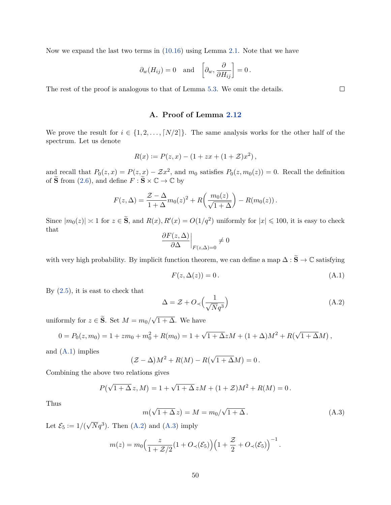Now we expand the last two terms in [\(10.16\)](#page-48-5) using Lemma [2.1.](#page-5-2) Note that we have

$$
\partial_w(H_{ij}) = 0
$$
 and  $\left[\partial_w, \frac{\partial}{\partial H_{ij}}\right] = 0$ .

The rest of the proof is analogous to that of Lemma [5.3.](#page-13-2) We omit the details.

## **A. Proof of Lemma [2.12](#page-8-1)**

<span id="page-49-0"></span>We prove the result for  $i \in \{1, 2, ..., [N/2]\}$ . The same analysis works for the other half of the spectrum. Let us denote

$$
R(x) := P(z, x) - (1 + zx + (1 + \mathcal{Z})x^{2}),
$$

and recall that  $P_0(z, x) = P(z, x) - \mathcal{Z}x^2$ , and  $m_0$  satisfies  $P_0(z, m_0(z)) = 0$ . Recall the definition of  $\widetilde{\mathbf{S}}$  from [\(2.6\)](#page-6-4), and define  $F : \widetilde{\mathbf{S}} \times \mathbb{C} \to \mathbb{C}$  by

$$
F(z, \Delta) = \frac{\mathcal{Z} - \Delta}{1 + \Delta} m_0(z)^2 + R\left(\frac{m_0(z)}{\sqrt{1 + \Delta}}\right) - R(m_0(z)).
$$

Since  $|m_0(z)| \approx 1$  for  $z \in \tilde{S}$ , and  $R(x)$ ,  $R'(x) = O(1/q^2)$  uniformly for  $|x| \leq 100$ , it is easy to check that

$$
\left. \frac{\partial F(z, \Delta)}{\partial \Delta} \right|_{F(z, \Delta) = 0} \neq 0
$$

with very high probability. By implicit function theorem, we can define a map  $\Delta : \widetilde{S} \to \mathbb{C}$  satisfying

<span id="page-49-1"></span>
$$
F(z, \Delta(z)) = 0.
$$
\n(A.1)

By  $(2.5)$ , it is east to check that

<span id="page-49-2"></span>
$$
\Delta = \mathcal{Z} + O_{\prec} \left( \frac{1}{\sqrt{N}q^3} \right) \tag{A.2}
$$

uniformly for  $z \in \mathbf{S}$ . Set  $M = m_0/$ √  $1 + \Delta$ . We have

$$
0 = P_0(z, m_0) = 1 + zm_0 + m_0^2 + R(m_0) = 1 + \sqrt{1 + \Delta} zM + (1 + \Delta)M^2 + R(\sqrt{1 + \Delta}M),
$$

and  $(A.1)$  implies

$$
(\mathcal{Z} - \Delta)M^2 + R(M) - R(\sqrt{1 + \Delta}M) = 0.
$$

Combining the above two relations gives

$$
P(\sqrt{1+\Delta} z, M) = 1 + \sqrt{1+\Delta} zM + (1+\mathcal{Z})M^{2} + R(M) = 0.
$$

Thus

<span id="page-49-3"></span>
$$
m(\sqrt{1+\Delta}z) = M = m_0/\sqrt{1+\Delta}.
$$
 (A.3)

Let  $\mathcal{E}_5 := 1/($  $\sqrt{N}q^3$ ). Then [\(A.2\)](#page-49-2) and [\(A.3\)](#page-49-3) imply

$$
m(z) = m_0 \Big(\frac{z}{1 + \mathcal{Z}/2} (1 + O_{\prec}(\mathcal{E}_5) \Big) \Big(1 + \frac{\mathcal{Z}}{2} + O_{\prec}(\mathcal{E}_5) \Big)^{-1}.
$$

 $\Box$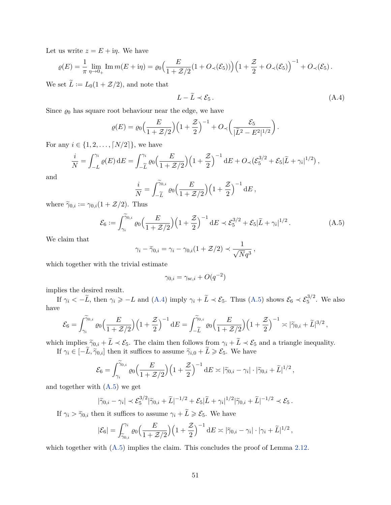Let us write  $z = E + i\eta$ . We have

$$
\varrho(E) = \frac{1}{\pi} \lim_{\eta \to 0+} \text{Im} \, m(E + i\eta) = \varrho_0 \Big( \frac{E}{1 + \mathcal{Z}/2} (1 + O_{\prec}(\mathcal{E}_5)) \Big) \Big( 1 + \frac{\mathcal{Z}}{2} + O_{\prec}(\mathcal{E}_5) \Big)^{-1} + O_{\prec}(\mathcal{E}_5).
$$

We set  $\tilde{L} := L_0(1 + \mathcal{Z}/2)$ , and note that

<span id="page-50-0"></span>
$$
L - \widetilde{L} \prec \mathcal{E}_5. \tag{A.4}
$$

Since  $\varrho_0$  has square root behaviour near the edge, we have

$$
\varrho(E) = \varrho_0 \Big(\frac{E}{1+\mathcal{Z}/2}\Big) \Big(1+\frac{\mathcal{Z}}{2}\Big)^{-1} + O_{\prec}\bigg(\frac{\mathcal{E}_5}{|\widetilde{L}^2 - E^2|^{1/2}}\bigg).
$$

For any  $i \in \{1, 2, ..., \lceil N/2 \rceil\}$ , we have

$$
\frac{i}{N} = \int_{-L}^{\gamma_i} \varrho(E) \, \mathrm{d}E = \int_{-\widetilde{L}}^{\gamma_i} \varrho_0 \Big( \frac{E}{1 + \mathcal{Z}/2} \Big) \Big( 1 + \frac{\mathcal{Z}}{2} \Big)^{-1} \, \mathrm{d}E + O_{\prec} \big( \mathcal{E}_5^{3/2} + \mathcal{E}_5 | \widetilde{L} + \gamma_i |^{1/2} \big) \, ,
$$

and

$$
\frac{i}{N} = \int_{-\widetilde{L}}^{\widetilde{\gamma}_{0,i}} \varrho_0 \Big(\frac{E}{1 + \mathcal{Z}/2}\Big) \Big(1 + \frac{\mathcal{Z}}{2}\Big)^{-1} dE,
$$

where  $\tilde{\gamma}_{0,i} := \gamma_{0,i}(1 + \mathcal{Z}/2)$ . Thus

<span id="page-50-1"></span>
$$
\mathcal{E}_6 := \int_{\gamma_i}^{\tilde{\gamma}_{0,i}} \varrho_0 \Big( \frac{E}{1 + \mathcal{Z}/2} \Big) \Big( 1 + \frac{\mathcal{Z}}{2} \Big)^{-1} dE \prec \mathcal{E}_5^{3/2} + \mathcal{E}_5 |\tilde{L} + \gamma_i|^{1/2} \,. \tag{A.5}
$$

We claim that

$$
\gamma_i - \widetilde{\gamma}_{0,i} = \gamma_i - \gamma_{0,i}(1 + \mathcal{Z}/2) \prec \frac{1}{\sqrt{N}q^3},
$$

which together with the trivial estimate

$$
\gamma_{0,i} = \gamma_{\text{sc},i} + O(q^{-2})
$$

implies the desired result.

If  $\gamma_i < -\tilde{L}$ , then  $\gamma_i \ge -L$  and [\(A.4\)](#page-50-0) imply  $\gamma_i + \tilde{L} \prec \mathcal{E}_5$ . Thus [\(A.5\)](#page-50-1) shows  $\mathcal{E}_6 \prec \mathcal{E}_5^{3/2}$ . We also have

$$
\mathcal{E}_6 = \int_{\gamma_i}^{\widetilde{\gamma}_{0,i}} \varrho_0 \Big( \frac{E}{1+\mathcal{Z}/2} \Big) \Big( 1 + \frac{\mathcal{Z}}{2} \Big)^{-1} dE = \int_{-\widetilde{L}}^{\widetilde{\gamma}_{0,i}} \varrho_0 \Big( \frac{E}{1+\mathcal{Z}/2} \Big) \Big( 1 + \frac{\mathcal{Z}}{2} \Big)^{-1} \asymp |\widetilde{\gamma}_{0,i} + \widetilde{L}|^{3/2} ,
$$

which implies  $\tilde{\gamma}_{0,i} + \tilde{L} \prec \mathcal{E}_5$ . The claim then follows from  $\gamma_i + \tilde{L} \prec \mathcal{E}_5$  and a triangle inequality.

If  $\gamma_i \in [-\tilde{L}, \tilde{\gamma}_{0,i}]$  then it suffices to assume  $\tilde{\gamma}_{i,0} + \tilde{L} \ge \mathcal{E}_5$ . We have

$$
\mathcal{E}_6 = \int_{\gamma_i}^{\widetilde{\gamma}_{0,i}} \varrho_0 \Big(\frac{E}{1 + \mathcal{Z}/2}\Big) \Big(1 + \frac{\mathcal{Z}}{2}\Big)^{-1} dE \asymp |\widetilde{\gamma}_{0,i} - \gamma_i| \cdot |\widetilde{\gamma}_{0,i} + \widetilde{L}|^{1/2},
$$

and together with  $(A.5)$  we get

$$
|\widetilde{\gamma}_{0,i}-\gamma_i| \prec \mathcal{E}_5^{3/2} |\widetilde{\gamma}_{0,i}+\widetilde{L}|^{-1/2} + \mathcal{E}_5|\widetilde{L}+\gamma_i|^{1/2} |\widetilde{\gamma}_{0,i}+\widetilde{L}|^{-1/2} \prec \mathcal{E}_5.
$$

If  $\gamma_i > \tilde{\gamma}_{0,i}$  then it suffices to assume  $\gamma_i + \tilde{L} \geq \mathcal{E}_5$ . We have

$$
|\mathcal{E}_6| = \int_{\widetilde{\gamma}_{0,i}}^{\gamma_i} \varrho_0 \Big(\frac{E}{1+\mathcal{Z}/2}\Big) \Big(1+\frac{\mathcal{Z}}{2}\Big)^{-1} dE \asymp |\widetilde{\gamma}_{0,i} - \gamma_i| \cdot |\gamma_i + \widetilde{L}|^{1/2},
$$

which together with  $(A.5)$  implies the claim. This concludes the proof of Lemma [2.12.](#page-8-1)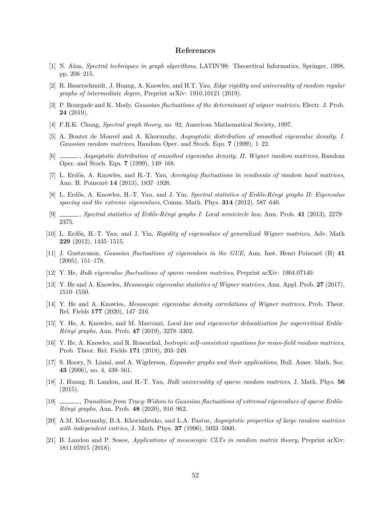## **References**

- <span id="page-51-4"></span>[1] N. Alon, *Spectral techniques in graph algorithms*, LATIN'98: Theoretical Informatics, Springer, 1998, pp. 206–215.
- <span id="page-51-8"></span>[2] R. Bauerschmidt, J. Huang, A. Knowles, and H.T. Yau, *Edge rigidity and universality of random regular graphs of intermediate degree*, Preprint arXiv: 1910.10121 (2019).
- <span id="page-51-10"></span>[3] P. Bourgade and K. Mody, *Gaussian fluctuations of the determinant of wigner matrices*, Electr. J. Prob. **24** (2019).
- <span id="page-51-5"></span>[4] F.R.K. Chung, *Spectral graph theory*, no. 92, American Mathematical Society, 1997.
- <span id="page-51-17"></span>[5] A. Boutet de Monvel and A. Khorunzhy, *Asymptotic distribution of smoothed eigenvalue density. I. Gaussian random matrices*, Random Oper. and Stoch. Equ. **7** (1999), 1–22.
- <span id="page-51-18"></span>[6] , *Asymptotic distribution of smoothed eigenvalue density. II. Wigner random matrices*, Random Oper. and Stoch. Equ. **7** (1999), 149–168.
- <span id="page-51-14"></span>[7] L. Erdős, A. Knowles, and H.-T. Yau, *Averaging fluctuations in resolvents of random band matrices*, Ann. H. Poincaré **14** (2013), 1837–1926.
- <span id="page-51-2"></span>[8] L. Erdős, A. Knowles, H.-T. Yau, and J. Yin, *Spectral statistics of Erdős-Rényi graphs II: Eigenvalue spacing and the extreme eigenvalues*, Comm. Math. Phys. **314** (2012), 587–640.
- <span id="page-51-1"></span>[9] , *Spectral statistics of Erdős-Rényi graphs I: Local semicircle law*, Ann. Prob. **41** (2013), 2279– 2375.
- <span id="page-51-7"></span>[10] L. Erdős, H.-T. Yau, and J. Yin, *Rigidity of eigenvalues of generalized Wigner matrices*, Adv. Math **229** (2012), 1435–1515.
- <span id="page-51-9"></span>[11] J. Gustavsson, *Gaussian fluctuations of eigenvalues in the GUE*, Ann. Inst. Henri Poincaré (B) **41** (2005), 151–178.
- <span id="page-51-3"></span>[12] Y. He, *Bulk eigenvalue fluctuations of sparse random matrices*, Preprint arXiv: 1904.07140.
- <span id="page-51-16"></span>[13] Y. He and A. Knowles, *Mesoscopic eigenvalue statistics of Wigner matrices*, Ann. Appl. Prob. **27** (2017), 1510–1550.
- <span id="page-51-20"></span>[14] Y. He and A. Knowles, *Mesoscopic eigenvalue density correlations of Wigner matrices*, Prob. Theor. Rel. Fields **177** (2020), 147–216.
- <span id="page-51-15"></span>[15] Y. He, A. Knowles, and M. Marcozzi, *Local law and eigenvector delocalization for supercritical Erdős– Rényi graphs*, Ann. Prob. **47** (2019), 3278–3302.
- <span id="page-51-13"></span>[16] Y. He, A. Knowles, and R. Rosenthal, *Isotropic self-consistent equations for mean-field random matrices*, Prob. Theor. Rel. Fields **171** (2018), 203–249.
- <span id="page-51-6"></span>[17] S. Hoory, N. Linial, and A. Wigderson, *Expander graphs and their applications*, Bull. Amer. Math. Soc. **43** (2006), no. 4, 439–561.
- <span id="page-51-12"></span>[18] J. Huang, B. Landon, and H.-T. Yau, *Bulk universality of sparse random matrices*, J. Math. Phys. **56** (2015).
- <span id="page-51-0"></span>[19] , *Transition from Tracy-Widom to Gaussian fluctuations of extremal eigenvalues of sparse Erdős– Rényi graphs*, Ann. Prob. **48** (2020), 916–962.
- <span id="page-51-19"></span>[20] A.M. Khorunzhy, B.A. Khoruzhenko, and L.A. Pastur, *Asymptotic properties of large random matrices with independent entries*, J. Math. Phys. **37** (1996), 5033–5060.
- <span id="page-51-11"></span>[21] B. Landon and P. Sosoe, *Applications of mesoscopic CLTs in random matrix theory*, Preprint arXiv: 1811.05915 (2018).